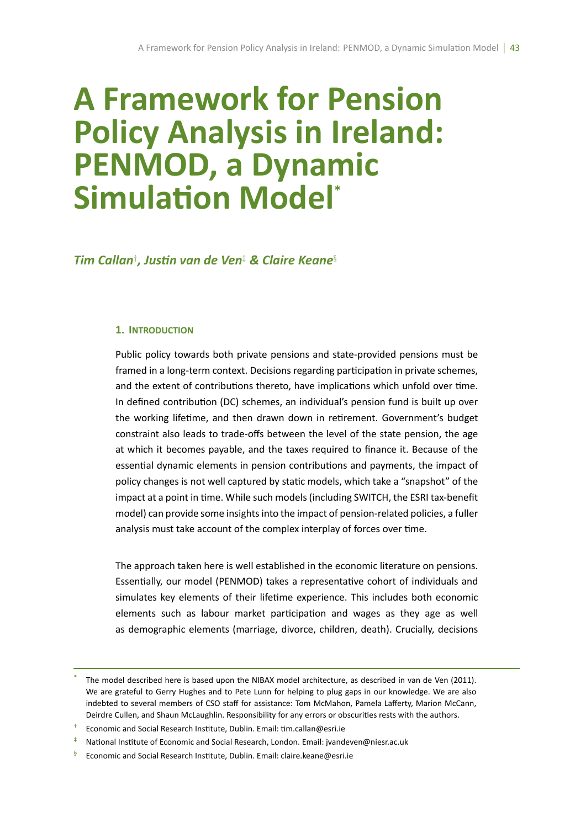# **A Framework for Pension Policy Analysis in Ireland: PENMOD, a Dynamic Simulation Model**\*

*Tim Callan† , JusƟn van de Ven‡ & Claire Keane§*

## **1. INTRODUCTION**

Public policy towards both private pensions and state-provided pensions must be framed in a long-term context. Decisions regarding participation in private schemes, and the extent of contributions thereto, have implications which unfold over time. In defined contribution (DC) schemes, an individual's pension fund is built up over the working lifetime, and then drawn down in retirement. Government's budget constraint also leads to trade-offs between the level of the state pension, the age at which it becomes payable, and the taxes required to finance it. Because of the essential dynamic elements in pension contributions and payments, the impact of policy changes is not well captured by static models, which take a "snapshot" of the impact at a point in time. While such models (including SWITCH, the ESRI tax-benefit model) can provide some insights into the impact of pension-related policies, a fuller analysis must take account of the complex interplay of forces over time.

The approach taken here is well established in the economic literature on pensions. Essentially, our model (PENMOD) takes a representative cohort of individuals and simulates key elements of their lifetime experience. This includes both economic elements such as labour market participation and wages as they age as well as demographic elements (marriage, divorce, children, death). Crucially, decisions

The model described here is based upon the NIBAX model architecture, as described in van de Ven (2011). We are grateful to Gerry Hughes and to Pete Lunn for helping to plug gaps in our knowledge. We are also indebted to several members of CSO staff for assistance: Tom McMahon, Pamela Lafferty, Marion McCann, Deirdre Cullen, and Shaun McLaughlin. Responsibility for any errors or obscurities rests with the authors.

<sup>†</sup> Economic and Social Research InsƟtute, Dublin. Email: Ɵm.callan@esri.ie

<sup>‡</sup> NaƟonal InsƟtute of Economic and Social Research, London. Email: jvandeven@niesr.ac.uk

<sup>§</sup> Economic and Social Research Institute, Dublin. Email: claire.keane@esri.ie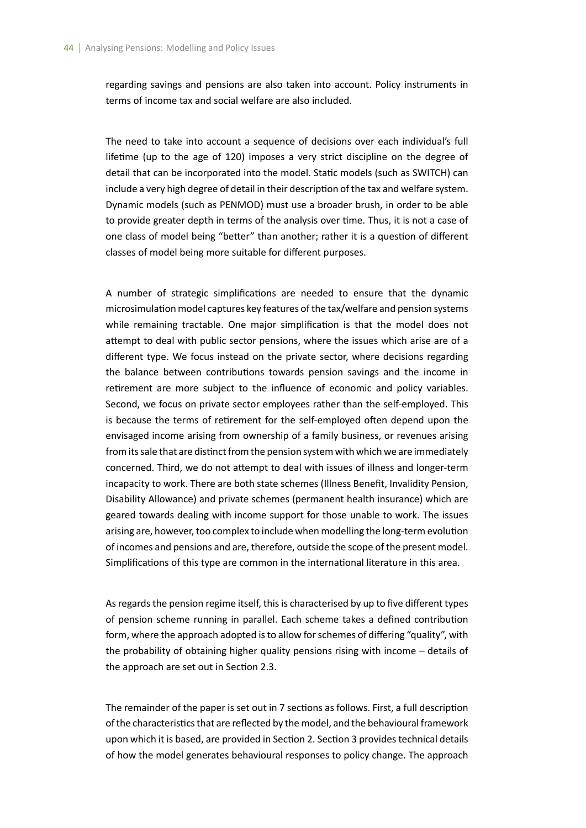regarding savings and pensions are also taken into account. Policy instruments in terms of income tax and social welfare are also included.

The need to take into account a sequence of decisions over each individual's full lifetime (up to the age of 120) imposes a very strict discipline on the degree of detail that can be incorporated into the model. Static models (such as SWITCH) can include a very high degree of detail in their description of the tax and welfare system. Dynamic models (such as PENMOD) must use a broader brush, in order to be able to provide greater depth in terms of the analysis over time. Thus, it is not a case of one class of model being "better" than another; rather it is a question of different classes of model being more suitable for different purposes.

A number of strategic simplifications are needed to ensure that the dynamic microsimulation model captures key features of the tax/welfare and pension systems while remaining tractable. One major simplification is that the model does not attempt to deal with public sector pensions, where the issues which arise are of a different type. We focus instead on the private sector, where decisions regarding the balance between contributions towards pension savings and the income in retirement are more subject to the influence of economic and policy variables. Second, we focus on private sector employees rather than the self-employed. This is because the terms of retirement for the self-employed often depend upon the envisaged income arising from ownership of a family business, or revenues arising from its sale that are distinct from the pension system with which we are immediately concerned. Third, we do not attempt to deal with issues of illness and longer-term incapacity to work. There are both state schemes (Illness Benefit, Invalidity Pension, Disability Allowance) and private schemes (permanent health insurance) which are geared towards dealing with income support for those unable to work. The issues arising are, however, too complex to include when modelling the long-term evolution of incomes and pensions and are, therefore, outside the scope of the present model. Simplifications of this type are common in the international literature in this area.

As regards the pension regime itself, this is characterised by up to five different types of pension scheme running in parallel. Each scheme takes a defined contribution form, where the approach adopted is to allow for schemes of differing "quality", with the probability of obtaining higher quality pensions rising with income – details of the approach are set out in Section 2.3.

The remainder of the paper is set out in 7 sections as follows. First, a full description of the characteristics that are reflected by the model, and the behavioural framework upon which it is based, are provided in Section 2. Section 3 provides technical details of how the model generates behavioural responses to policy change. The approach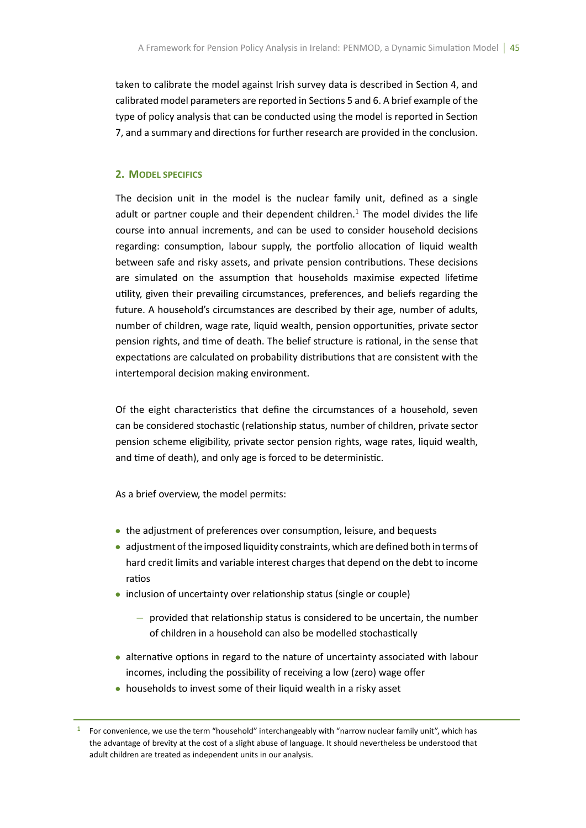taken to calibrate the model against Irish survey data is described in Section 4, and calibrated model parameters are reported in Sections 5 and 6. A brief example of the type of policy analysis that can be conducted using the model is reported in Section 7, and a summary and directions for further research are provided in the conclusion.

## **2. MODEL SPECIFICS**

The decision unit in the model is the nuclear family unit, defined as a single adult or partner couple and their dependent children.<sup>1</sup> The model divides the life course into annual increments, and can be used to consider household decisions regarding: consumption, labour supply, the portfolio allocation of liquid wealth between safe and risky assets, and private pension contributions. These decisions are simulated on the assumption that households maximise expected lifetime utility, given their prevailing circumstances, preferences, and beliefs regarding the future. A household's circumstances are described by their age, number of adults, number of children, wage rate, liquid wealth, pension opportunities, private sector pension rights, and time of death. The belief structure is rational, in the sense that expectations are calculated on probability distributions that are consistent with the intertemporal decision making environment.

Of the eight characteristics that define the circumstances of a household, seven can be considered stochastic (relationship status, number of children, private sector pension scheme eligibility, private sector pension rights, wage rates, liquid wealth, and time of death), and only age is forced to be deterministic.

As a brief overview, the model permits:

- the adjustment of preferences over consumption, leisure, and bequests
- *•* adjustment of the imposed liquidity constraints, which are defined both in terms of hard credit limits and variable interest charges that depend on the debt to income ratios
- inclusion of uncertainty over relationship status (single or couple)
	- *−* provided that relaƟonship status is considered to be uncertain, the number of children in a household can also be modelled stochastically
- alternative options in regard to the nature of uncertainty associated with labour incomes, including the possibility of receiving a low (zero) wage offer
- *•* households to invest some of their liquid wealth in a risky asset

<sup>&</sup>lt;sup>1</sup> For convenience, we use the term "household" interchangeably with "narrow nuclear family unit", which has the advantage of brevity at the cost of a slight abuse of language. It should nevertheless be understood that adult children are treated as independent units in our analysis.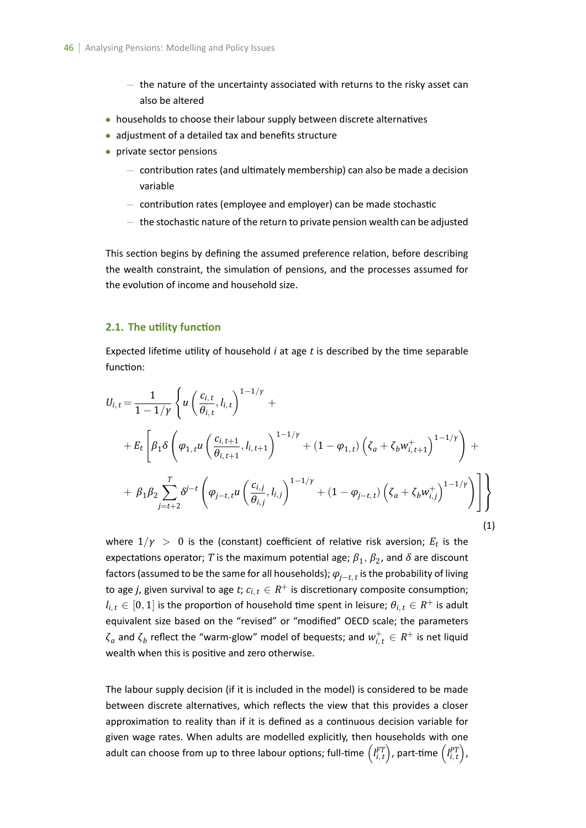- *−* the nature of the uncertainty associated with returns to the risky asset can also be altered
- households to choose their labour supply between discrete alternatives
- *•* adjustment of a detailed tax and benefits structure
- *•* private sector pensions
	- $−$  contribution rates (and ultimately membership) can also be made a decision variable
	- *−* contribuƟon rates (employee and employer) can be made stochasƟc
	- *−* the stochasƟc nature of the return to private pension wealth can be adjusted

This section begins by defining the assumed preference relation, before describing the wealth constraint, the simulation of pensions, and the processes assumed for the evolution of income and household size.

## **2.1. The utility function**

Expected lifetime utility of household  $i$  at age  $t$  is described by the time separable function:

$$
U_{i,t} = \frac{1}{1 - 1/\gamma} \left\{ u \left( \frac{c_{i,t}}{\theta_{i,t}}, l_{i,t} \right)^{1 - 1/\gamma} + \\ + E_t \left[ \beta_1 \delta \left( \varphi_{1,t} u \left( \frac{c_{i,t+1}}{\theta_{i,t+1}}, l_{i,t+1} \right)^{1 - 1/\gamma} + (1 - \varphi_{1,t}) \left( \zeta_a + \zeta_b w_{i,t+1}^+ \right)^{1 - 1/\gamma} \right) + \\ + \beta_1 \beta_2 \sum_{j=t+2}^T \delta^{j-t} \left( \varphi_{j-t,t} u \left( \frac{c_{i,j}}{\theta_{i,j}}, l_{i,j} \right)^{1 - 1/\gamma} + (1 - \varphi_{j-t,t}) \left( \zeta_a + \zeta_b w_{i,j}^+ \right)^{1 - 1/\gamma} \right) \right] \right\}
$$
\n(1)

where  $1/\gamma$   $>$   $\,0$  is the (constant) coefficient of relative risk aversion;  $E_t$  is the expectations operator;  $T$  is the maximum potential age;  $\beta_1, \beta_2$ , and  $\delta$  are discount factors (assumed to be the same for all households); *<sup>φ</sup>j−t, <sup>t</sup>* is the probability of living to age *j*, given survival to age *t*;  $c_{i, t} \in R^+$  is discretionary composite consumption;  $l_{i,t} \in [0,1]$  is the proportion of household time spent in leisure;  $\theta_{i,t} \in R^+$  is adult equivalent size based on the "revised" or "modified" OECD scale; the parameters *ζa* and *ζ<sup>b</sup>* reflect the "warm-glow" model of bequests; and *w* + *<sup>i</sup>, <sup>t</sup> ∈ R* <sup>+</sup> is net liquid wealth when this is positive and zero otherwise.

The labour supply decision (if it is included in the model) is considered to be made between discrete alternatives, which reflects the view that this provides a closer approximation to reality than if it is defined as a continuous decision variable for given wage rates. When adults are modelled explicitly, then households with one adult can choose from up to three labour options; full-time  $\left(l_{i,t}^{FT}\right)$  $\hat{P}$ ), part-time  $\left( \hat{I}_{i,\,t}^{PT} \right)$ ) ,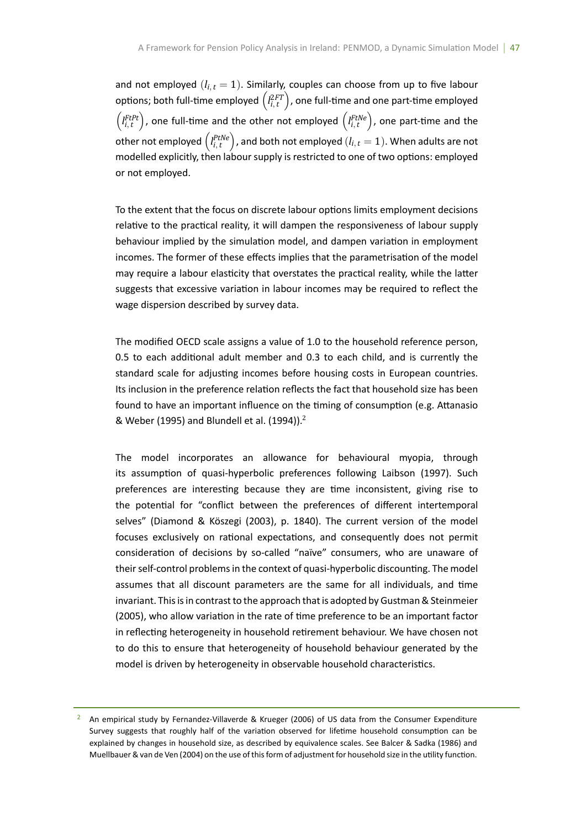and not employed  $(l_{i,t} = 1)$ . Similarly, couples can choose from up to five labour options; both full-time employed  $\left(l_{i,t}^{2FT}\right)$ ), one full-time and one part-time employed  $\left( \underset{i,t}{\text{I}}^{FtPt} \right)$ ), one full-time and the other not employed  $\left(l_{i,t}^{FtNe}\right)$ ), one part-time and the other not employed  $\left(I_{i,t}^{PtNe}\right)$ ), and both not employed  $(l_{i,t} = 1)$ . When adults are not modelled explicitly, then labour supply is restricted to one of two options: employed or not employed.

To the extent that the focus on discrete labour options limits employment decisions relative to the practical reality, it will dampen the responsiveness of labour supply behaviour implied by the simulation model, and dampen variation in employment incomes. The former of these effects implies that the parametrisation of the model may require a labour elasticity that overstates the practical reality, while the latter suggests that excessive variation in labour incomes may be required to reflect the wage dispersion described by survey data.

The modified OECD scale assigns a value of 1.0 to the household reference person, 0.5 to each additional adult member and 0.3 to each child, and is currently the standard scale for adjusting incomes before housing costs in European countries. Its inclusion in the preference relation reflects the fact that household size has been found to have an important influence on the timing of consumption (e.g. Attanasio & Weber (1995) and Blundell et al. (1994)).<sup>2</sup>

The model incorporates an allowance for behavioural myopia, through its assumption of quasi-hyperbolic preferences following Laibson (1997). Such preferences are interesting because they are time inconsistent, giving rise to the potential for "conflict between the preferences of different intertemporal selves" (Diamond & Köszegi (2003), p. 1840). The current version of the model focuses exclusively on rational expectations, and consequently does not permit consideration of decisions by so-called "naïve" consumers, who are unaware of their self-control problems in the context of quasi-hyperbolic discounting. The model assumes that all discount parameters are the same for all individuals, and time invariant. This is in contrast to the approach that is adopted by Gustman & Steinmeier (2005), who allow variation in the rate of time preference to be an important factor in reflecting heterogeneity in household retirement behaviour. We have chosen not to do this to ensure that heterogeneity of household behaviour generated by the model is driven by heterogeneity in observable household characteristics.

An empirical study by Fernandez-Villaverde & Krueger (2006) of US data from the Consumer Expenditure Survey suggests that roughly half of the variation observed for lifetime household consumption can be explained by changes in household size, as described by equivalence scales. See Balcer & Sadka (1986) and Muellbauer & van de Ven (2004) on the use of this form of adjustment for household size in the utility function.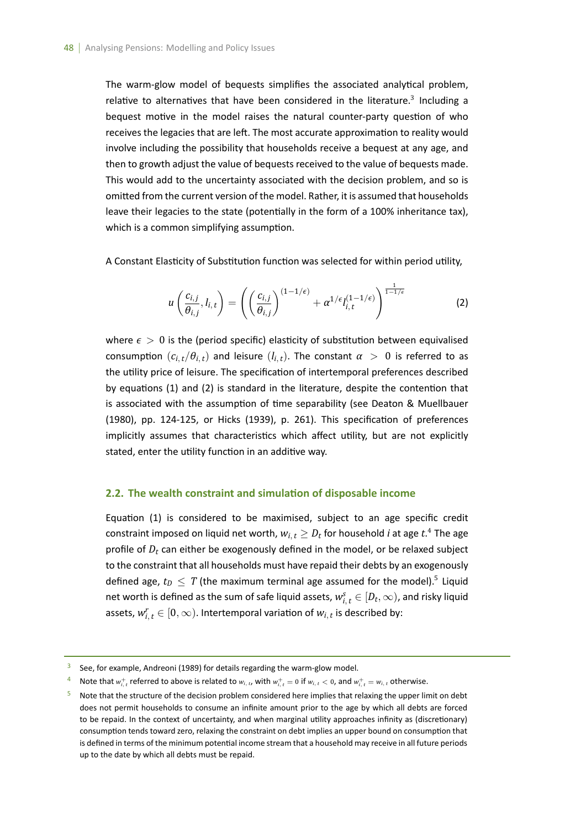The warm-glow model of bequests simplifies the associated analytical problem, relative to alternatives that have been considered in the literature.<sup>3</sup> Including a bequest motive in the model raises the natural counter-party question of who receives the legacies that are left. The most accurate approximation to reality would involve including the possibility that households receive a bequest at any age, and then to growth adjust the value of bequests received to the value of bequests made. This would add to the uncertainty associated with the decision problem, and so is omitted from the current version of the model. Rather, it is assumed that households leave their legacies to the state (potentially in the form of a 100% inheritance tax), which is a common simplifying assumption.

A Constant Elasticity of Substitution function was selected for within period utility,

$$
u\left(\frac{c_{i,j}}{\theta_{i,j}}, l_{i,t}\right) = \left(\left(\frac{c_{i,j}}{\theta_{i,j}}\right)^{(1-1/\epsilon)} + \alpha^{1/\epsilon} l_{i,t}^{(1-1/\epsilon)}\right)^{\frac{1}{1-1/\epsilon}}
$$
(2)

where  $\epsilon > 0$  is the (period specific) elasticity of substitution between equivalised consumption  $(c_{i,t}/\theta_{i,t})$  and leisure  $(l_{i,t})$ . The constant  $\alpha > 0$  is referred to as the utility price of leisure. The specification of intertemporal preferences described by equations  $(1)$  and  $(2)$  is standard in the literature, despite the contention that is associated with the assumption of time separability (see Deaton & Muellbauer (1980), pp. 124-125, or Hicks (1939), p. 261). This specification of preferences implicitly assumes that characteristics which affect utility, but are not explicitly stated, enter the utility function in an additive way.

#### **2.2. The wealth constraint and simulaƟon of disposable income**

Equation (1) is considered to be maximised, subject to an age specific credit constraint imposed on liquid net worth,  $w_{i, t} \geq D_t$  for household *i* at age  $t$ .<sup>4</sup> The age profile of *D<sup>t</sup>* can either be exogenously defined in the model, or be relaxed subject to the constraint that all households must have repaid their debts by an exogenously defined age,  $t_D\,\leq\,T$  (the maximum terminal age assumed for the model).<sup>5</sup> Liquid net worth is defined as the sum of safe liquid assets,  $w_{i,\,t}^s \in [D_t,\infty)$ , and risky liquid assets,  $w_{i,\,t}^r \in [0,\infty)$ . Intertemporal variation of  $w_{i,\,t}$  is described by:

See, for example, Andreoni (1989) for details regarding the warm-glow model.

<sup>4</sup> Note that  $w_{i,t}^+$  referred to above is related to  $w_{i,t}$ , with  $w_{i,t}^+ = 0$  if  $w_{i,t} < 0$ , and  $w_{i,t}^+ = w_{i,t}$  otherwise.

Note that the structure of the decision problem considered here implies that relaxing the upper limit on debt does not permit households to consume an infinite amount prior to the age by which all debts are forced to be repaid. In the context of uncertainty, and when marginal utility approaches infinity as (discretionary) consumption tends toward zero, relaxing the constraint on debt implies an upper bound on consumption that is defined in terms of the minimum potential income stream that a household may receive in all future periods up to the date by which all debts must be repaid.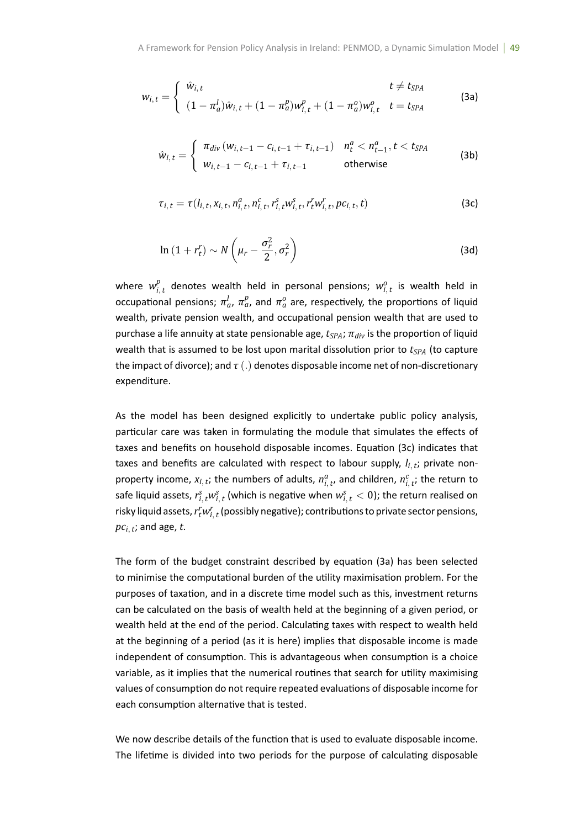$$
w_{i,t} = \begin{cases} \hat{w}_{i,t} & t \neq t_{SPA} \\ (1 - \pi_a^l)\hat{w}_{i,t} + (1 - \pi_a^p)w_{i,t}^p + (1 - \pi_a^o)w_{i,t}^o & t = t_{SPA} \end{cases}
$$
(3a)

$$
\hat{w}_{i,t} = \begin{cases}\n\pi_{div} (w_{i,t-1} - c_{i,t-1} + \tau_{i,t-1}) & n_t^a < n_{t-1}^a, t < t_{SPA} \\
w_{i,t-1} - c_{i,t-1} + \tau_{i,t-1} & \text{otherwise}\n\end{cases} \tag{3b}
$$

$$
\tau_{i,t} = \tau(l_{i,t}, x_{i,t}, n_{i,t}^a, n_{i,t}^c, r_{i,t}^s w_{i,t}^s, r_t^r w_{i,t}^r, pc_{i,t}, t)
$$
\n(3c)

$$
\ln\left(1+r_t^r\right) \sim N\left(\mu_r - \frac{\sigma_r^2}{2}, \sigma_r^2\right)
$$
\n(3d)

where  $w_i^p$  $P_{i,t}$  denotes wealth held in personal pensions;  $w_{i,t}^o$  is wealth held in occupational pensions;  $\pi_a^l$ ,  $\pi_a^p$ , and  $\pi_a^o$  are, respectively, the proportions of liquid wealth, private pension wealth, and occupational pension wealth that are used to purchase a life annuity at state pensionable age,  $t_{SPA}$ ;  $\pi_{div}$  is the proportion of liquid wealth that is assumed to be lost upon marital dissolution prior to  $t_{SPA}$  (to capture the impact of divorce); and  $\tau(.)$  denotes disposable income net of non-discretionary expenditure.

As the model has been designed explicitly to undertake public policy analysis, particular care was taken in formulating the module that simulates the effects of taxes and benefits on household disposable incomes. Equation (3c) indicates that taxes and benefits are calculated with respect to labour supply,  $l_{i, t}$ ; private nonproperty income,  $x_{i, t}$ ; the numbers of adults,  $n_{i, t}^a$ , and children,  $n_{i, t}^c$ ; the return to safe liquid assets,  $r^{s}_{i, t}w^{s}_{i, t}$  (which is negative when  $w^{s}_{i, t} < 0$ ); the return realised on risky liquid assets,  $r_{t}^{r}w_{i,\,t}^{r}$  (possibly negative); contributions to private sector pensions,  $pc_{i, t}$ ; and age,  $t$ .

The form of the budget constraint described by equation (3a) has been selected to minimise the computational burden of the utility maximisation problem. For the purposes of taxation, and in a discrete time model such as this, investment returns can be calculated on the basis of wealth held at the beginning of a given period, or wealth held at the end of the period. Calculating taxes with respect to wealth held at the beginning of a period (as it is here) implies that disposable income is made independent of consumption. This is advantageous when consumption is a choice variable, as it implies that the numerical routines that search for utility maximising values of consumption do not require repeated evaluations of disposable income for each consumption alternative that is tested.

We now describe details of the function that is used to evaluate disposable income. The lifetime is divided into two periods for the purpose of calculating disposable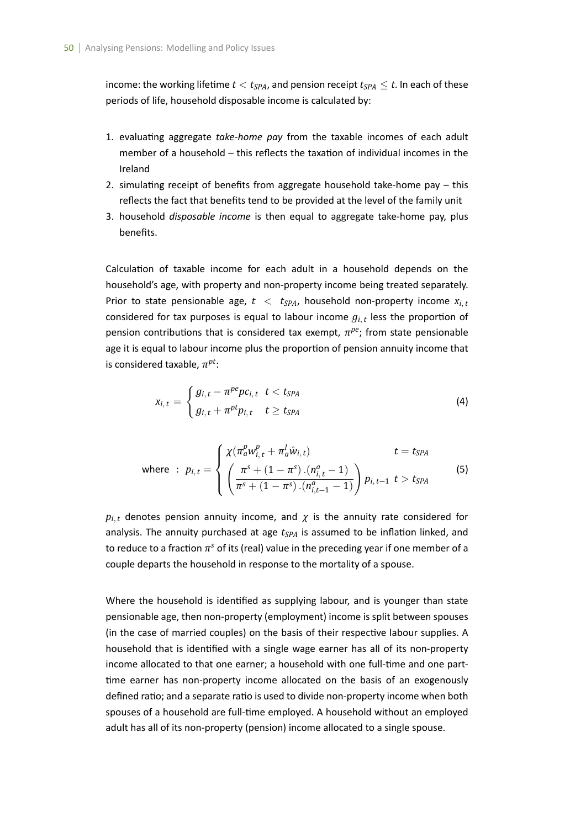income: the working lifetime  $t < t_{SPA}$ , and pension receipt  $t_{SPA} \leq t$ . In each of these periods of life, household disposable income is calculated by:

- 1. evaluaƟng aggregate *take-home pay* from the taxable incomes of each adult member of a household – this reflects the taxation of individual incomes in the Ireland
- 2. simulating receipt of benefits from aggregate household take-home pay  $-$  this reflects the fact that benefits tend to be provided at the level of the family unit
- 3. household *disposable income* is then equal to aggregate take-home pay, plus benefits.

Calculation of taxable income for each adult in a household depends on the household's age, with property and non-property income being treated separately. Prior to state pensionable age,  $t < t_{SPA}$ , household non-property income  $x_{i,t}$ considered for tax purposes is equal to labour income  $g_{i,t}$  less the proportion of pension contributions that is considered tax exempt,  $\pi^{pe}$ ; from state pensionable age it is equal to labour income plus the proportion of pension annuity income that is considered taxable, *π pt*:

$$
x_{i, t} = \begin{cases} g_{i, t} - \pi^{pe} p c_{i, t} & t < t_{SPA} \\ g_{i, t} + \pi^{pt} p_{i, t} & t \ge t_{SPA} \end{cases}
$$
(4)

where : 
$$
p_{i,t} = \begin{cases} \chi(\pi_a^p w_{i,t}^p + \pi_a^l \hat{w}_{i,t}) & t = t_{SPA} \\ \left(\frac{\pi^s + (1 - \pi^s) \cdot (n_{i,t}^a - 1)}{\pi^s + (1 - \pi^s) \cdot (n_{i,t-1}^a - 1)}\right) p_{i,t-1} & t > t_{SPA} \end{cases}
$$
 (5)

 $p_{i,t}$  denotes pension annuity income, and  $\chi$  is the annuity rate considered for analysis. The annuity purchased at age  $t<sub>SPA</sub>$  is assumed to be inflation linked, and to reduce to a fraction  $\pi^s$  of its (real) value in the preceding year if one member of a couple departs the household in response to the mortality of a spouse.

Where the household is identified as supplying labour, and is younger than state pensionable age, then non-property (employment) income is split between spouses (in the case of married couples) on the basis of their respective labour supplies. A household that is identified with a single wage earner has all of its non-property income allocated to that one earner; a household with one full-time and one parttime earner has non-property income allocated on the basis of an exogenously defined ratio; and a separate ratio is used to divide non-property income when both spouses of a household are full-time employed. A household without an employed adult has all of its non-property (pension) income allocated to a single spouse.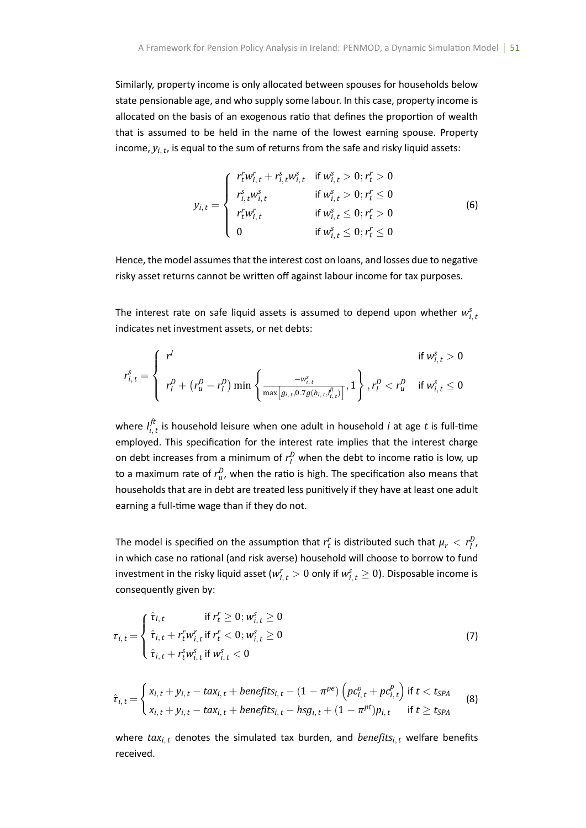Similarly, property income is only allocated between spouses for households below state pensionable age, and who supply some labour. In this case, property income is allocated on the basis of an exogenous ratio that defines the proportion of wealth that is assumed to be held in the name of the lowest earning spouse. Property income, *yi, <sup>t</sup>* , is equal to the sum of returns from the safe and risky liquid assets:

$$
y_{i,t} = \begin{cases} r_t^r w_{i,t}^r + r_{i,t}^s w_{i,t}^s & \text{if } w_{i,t}^s > 0; r_t^r > 0\\ r_{i,t}^s w_{i,t}^s & \text{if } w_{i,t}^s > 0; r_t^r \le 0\\ r_t^r w_{i,t}^r & \text{if } w_{i,t}^s \le 0; r_t^r > 0\\ 0 & \text{if } w_{i,t}^s \le 0; r_t^r \le 0 \end{cases}
$$
(6)

Hence, the model assumes that the interest cost on loans, and losses due to negative risky asset returns cannot be written off against labour income for tax purposes.

The interest rate on safe liquid assets is assumed to depend upon whether  $w_{i,t}^s$ indicates net investment assets, or net debts:

$$
r_{i,t}^s = \begin{cases} r^I & \text{if } w_{i,t}^s > 0\\ r_I^D + (r_u^D - r_I^D) \min\left\{\frac{-w_{i,t}^s}{\max[g_{i,t}, 0.7g(h_{i,t}, t_{i,t}^{\hat{r}})]}, 1\right\}, r_I^D < r_u^D \quad \text{if } w_{i,t}^s \le 0 \end{cases}
$$

where  $l_i^{ft}$  $\frac{u}{i,t}$  is household leisure when one adult in household  $i$  at age  $t$  is full-time employed. This specification for the interest rate implies that the interest charge on debt increases from a minimum of  $r_l^D$  when the debt to income ratio is low, up to a maximum rate of  $r_u^D$ , when the ratio is high. The specification also means that households that are in debt are treated less punitively if they have at least one adult earning a full-time wage than if they do not.

The model is specified on the assumption that  $r_t^r$  is distributed such that  $\mu_r < r_l^D$ , in which case no rational (and risk averse) household will choose to borrow to fund investment in the risky liquid asset ( $w^{r}_{i,t} > 0$  only if  $w^{s}_{i,t} \geq 0$ ). Disposable income is consequently given by:

$$
\tau_{i, t} = \begin{cases}\n\hat{\tau}_{i, t} & \text{if } r_t^r \geq 0; w_{i, t}^s \geq 0 \\
\hat{\tau}_{i, t} + r_t^r w_{i, t}^r & \text{if } r_t^r < 0; w_{i, t}^s \geq 0 \\
\hat{\tau}_{i, t} + r_t^s w_{i, t}^s & \text{if } w_{i, t}^s < 0\n\end{cases}
$$
\n(7)

$$
\hat{\tau}_{i,t} = \begin{cases} x_{i,t} + y_{i,t} - t \alpha x_{i,t} + \text{benefits}_{i,t} - (1 - \pi^{pe}) \left( p c_{i,t}^o + p c_{i,t}^p \right) \text{ if } t < t_{SPA} \\ x_{i,t} + y_{i,t} - t \alpha x_{i,t} + \text{benefits}_{i,t} - h s g_{i,t} + (1 - \pi^{pt}) p_{i,t} \quad \text{ if } t \geq t_{SPA} \end{cases}
$$
\n(8)

where  $tax_{i,t}$  denotes the simulated tax burden, and *benefits*<sub>*i*, *t*</sub> welfare benefits received.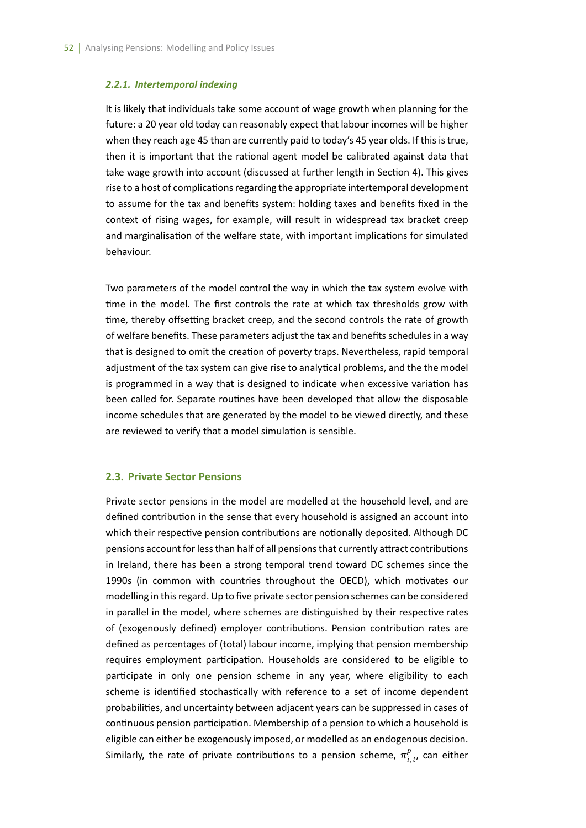#### *2.2.1. Intertemporal indexing*

It is likely that individuals take some account of wage growth when planning for the future: a 20 year old today can reasonably expect that labour incomes will be higher when they reach age 45 than are currently paid to today's 45 year olds. If this is true, then it is important that the rational agent model be calibrated against data that take wage growth into account (discussed at further length in Section 4). This gives rise to a host of complications regarding the appropriate intertemporal development to assume for the tax and benefits system: holding taxes and benefits fixed in the context of rising wages, for example, will result in widespread tax bracket creep and marginalisation of the welfare state, with important implications for simulated behaviour.

Two parameters of the model control the way in which the tax system evolve with time in the model. The first controls the rate at which tax thresholds grow with time, thereby offsetting bracket creep, and the second controls the rate of growth of welfare benefits. These parameters adjust the tax and benefits schedules in a way that is designed to omit the creation of poverty traps. Nevertheless, rapid temporal adjustment of the tax system can give rise to analytical problems, and the the model is programmed in a way that is designed to indicate when excessive variation has been called for. Separate routines have been developed that allow the disposable income schedules that are generated by the model to be viewed directly, and these are reviewed to verify that a model simulation is sensible.

#### **2.3. Private Sector Pensions**

Private sector pensions in the model are modelled at the household level, and are defined contribution in the sense that every household is assigned an account into which their respective pension contributions are notionally deposited. Although DC pensions account for less than half of all pensions that currently attract contributions in Ireland, there has been a strong temporal trend toward DC schemes since the 1990s (in common with countries throughout the OECD), which motivates our modelling in this regard. Up to five private sector pension schemes can be considered in parallel in the model, where schemes are distinguished by their respective rates of (exogenously defined) employer contributions. Pension contribution rates are defined as percentages of (total) labour income, implying that pension membership requires employment participation. Households are considered to be eligible to participate in only one pension scheme in any year, where eligibility to each scheme is identified stochastically with reference to a set of income dependent probabilities, and uncertainty between adjacent years can be suppressed in cases of continuous pension participation. Membership of a pension to which a household is eligible can either be exogenously imposed, or modelled as an endogenous decision. Similarly, the rate of private contributions to a pension scheme,  $\pi^p_i$  $_{i,\,t^{\prime}}^{\rho}$  can either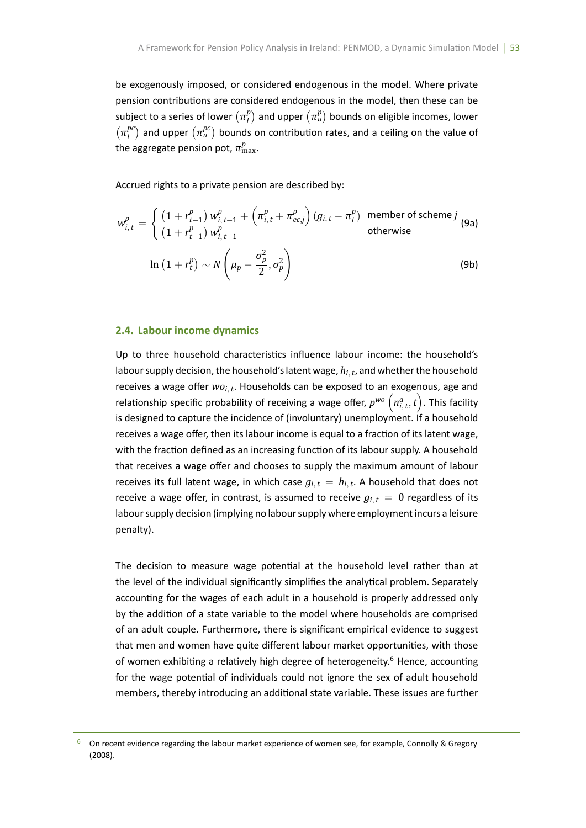be exogenously imposed, or considered endogenous in the model. Where private pension contributions are considered endogenous in the model, then these can be subject to a series of lower  $(\pi_l^p)$  $\binom{p}{l}$  and upper  $\left(\pi_{u}^{p}\right)$  bounds on eligible incomes, lower  $(\pi_i^{pc})$  $\binom{pc}{l}$  and upper  $\left(\pi_{u}^{pc}\right)$  bounds on contribution rates, and a ceiling on the value of the aggregate pension pot,  $\pi^p_{\max}$ .

Accrued rights to a private pension are described by:

$$
w_{i,t}^p = \begin{cases} \left(1 + r_{t-1}^p\right) w_{i,t-1}^p + \left(\pi_{i,t}^p + \pi_{ec,j}^p\right) \left(g_{i,t} - \pi_l^p\right) & \text{member of scheme } j\\ \left(1 + r_{t-1}^p\right) w_{i,t-1}^p & \text{otherwise} \end{cases}
$$
\n
$$
\ln\left(1 + r_t^p\right) \sim N\left(\mu_p - \frac{\sigma_p^2}{2}, \sigma_p^2\right)
$$
\n(9b)

## **2.4. Labour income dynamics**

Up to three household characteristics influence labour income: the household's labour supply decision, the household's latent wage, *hi, <sup>t</sup>* , and whether the household receives a wage offer  $wo_{i,t}$ . Households can be exposed to an exogenous, age and relationship specific probability of receiving a wage offer,  $p^{wo}$   $\left(n^a_{i,t},t\right)$ . This facility is designed to capture the incidence of (involuntary) unemployment. If a household receives a wage offer, then its labour income is equal to a fraction of its latent wage, with the fraction defined as an increasing function of its labour supply. A household that receives a wage offer and chooses to supply the maximum amount of labour receives its full latent wage, in which case  $g_{i,t} = h_{i,t}$ . A household that does not receive a wage offer, in contrast, is assumed to receive  $g_{i,t} = 0$  regardless of its labour supply decision (implying no labour supply where employment incurs a leisure penalty).

The decision to measure wage potential at the household level rather than at the level of the individual significantly simplifies the analytical problem. Separately accounting for the wages of each adult in a household is properly addressed only by the addition of a state variable to the model where households are comprised of an adult couple. Furthermore, there is significant empirical evidence to suggest that men and women have quite different labour market opportunities, with those of women exhibiting a relatively high degree of heterogeneity.<sup>6</sup> Hence, accounting for the wage potential of individuals could not ignore the sex of adult household members, thereby introducing an additional state variable. These issues are further

 $6$  On recent evidence regarding the labour market experience of women see, for example, Connolly & Gregory (2008).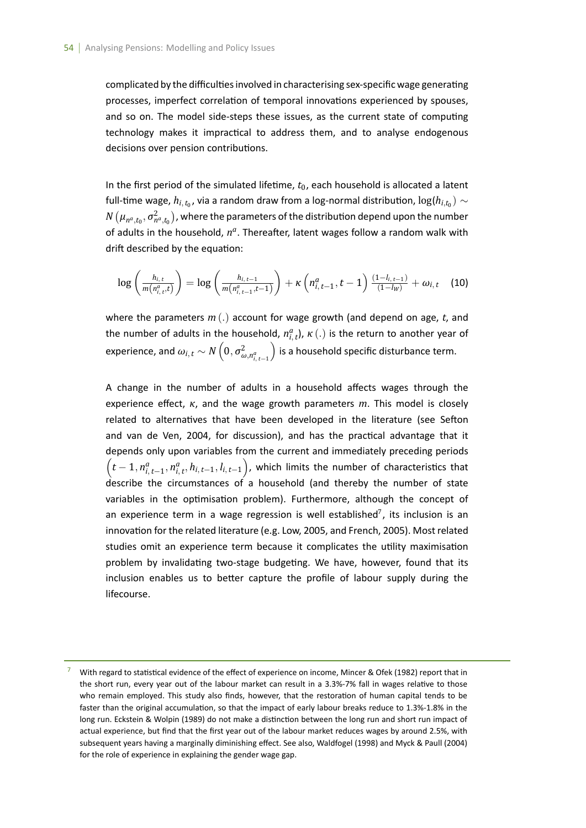complicated by the difficulties involved in characterising sex-specific wage generating processes, imperfect correlation of temporal innovations experienced by spouses, and so on. The model side-steps these issues, as the current state of computing technology makes it impractical to address them, and to analyse endogenous decisions over pension contributions.

In the first period of the simulated lifetime,  $t_0$ , each household is allocated a latent full-time wage,  $h_{i,\,t_0}$ , via a random draw from a log-normal distribution,  $\log(h_{i,t_0}) \sim$  $N\left(\mu_{n^a, t_0}, \sigma^2_{n^a, t_0}\right)$  , where the parameters of the distribution depend upon the number of adults in the household,  $n^a$ . Thereafter, latent wages follow a random walk with drift described by the equation:

$$
\log\left(\frac{h_{i,t}}{m(n_{i,t}^a,t)}\right) = \log\left(\frac{h_{i,t-1}}{m(n_{i,t-1}^a,t-1)}\right) + \kappa\left(n_{i,t-1}^a,t-1\right)\frac{(1-l_{i,t-1})}{(1-l_W)} + \omega_{i,t} \quad (10)
$$

where the parameters *m* (*.*) account for wage growth (and depend on age, *t*, and the number of adults in the household,  $n_{i, t}^a$ ),  $\kappa$  (.) is the return to another year of  $\exp$ experience, and  $\omega_{i,t} \sim N\left(0, \sigma^2_{\omega,n^a_{i,t-1}}\right)$ ) is a household specific disturbance term.

A change in the number of adults in a household affects wages through the experience effect, *κ*, and the wage growth parameters *m*. This model is closely related to alternatives that have been developed in the literature (see Sefton and van de Ven, 2004, for discussion), and has the practical advantage that it depends only upon variables from the current and immediately preceding periods  $\left(t-1, n_{i, t-1}^a, n_{i, t}^a, h_{i, t-1}, l_{i, t-1}\right)$ , which limits the number of characteristics that describe the circumstances of a household (and thereby the number of state variables in the optimisation problem). Furthermore, although the concept of an experience term in a wage regression is well established<sup>7</sup>, its inclusion is an innovation for the related literature (e.g. Low, 2005, and French, 2005). Most related studies omit an experience term because it complicates the utility maximisation problem by invalidating two-stage budgeting. We have, however, found that its inclusion enables us to better capture the profile of labour supply during the lifecourse.

With regard to statistical evidence of the effect of experience on income, Mincer & Ofek (1982) report that in the short run, every year out of the labour market can result in a 3.3%-7% fall in wages relative to those who remain employed. This study also finds, however, that the restoration of human capital tends to be faster than the original accumulation, so that the impact of early labour breaks reduce to 1.3%-1.8% in the long run. Eckstein & Wolpin (1989) do not make a distinction between the long run and short run impact of actual experience, but find that the first year out of the labour market reduces wages by around 2.5%, with subsequent years having a marginally diminishing effect. See also, Waldfogel (1998) and Myck & Paull (2004) for the role of experience in explaining the gender wage gap.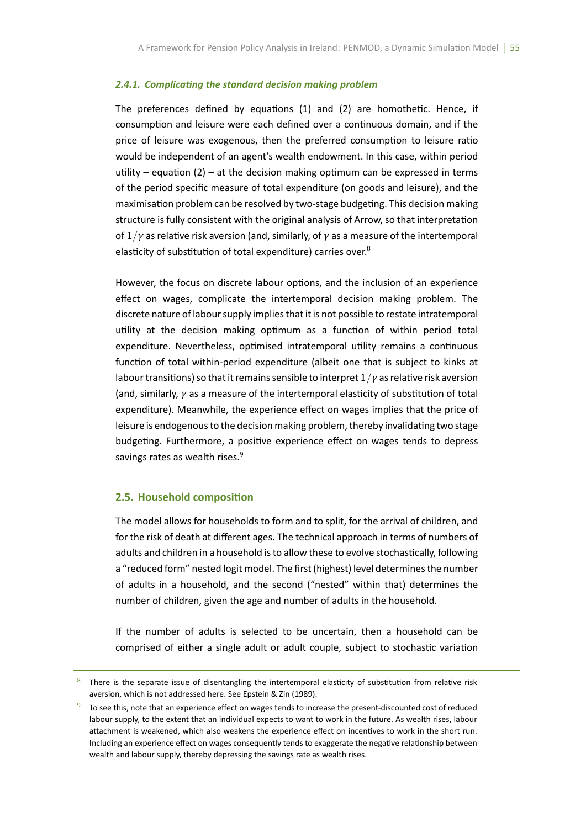#### 2.4.1. Complicating the standard decision making problem

The preferences defined by equations (1) and (2) are homothetic. Hence, if consumption and leisure were each defined over a continuous domain, and if the price of leisure was exogenous, then the preferred consumption to leisure ratio would be independent of an agent's wealth endowment. In this case, within period utility – equation (2) – at the decision making optimum can be expressed in terms of the period specific measure of total expenditure (on goods and leisure), and the maximisation problem can be resolved by two-stage budgeting. This decision making structure is fully consistent with the original analysis of Arrow, so that interpretation of 1*/γ* as relaƟve risk aversion (and, similarly, of *γ* as a measure of the intertemporal elasticity of substitution of total expenditure) carries over. $8$ 

However, the focus on discrete labour options, and the inclusion of an experience effect on wages, complicate the intertemporal decision making problem. The discrete nature of labour supply implies that it is not possible to restate intratemporal utility at the decision making optimum as a function of within period total expenditure. Nevertheless, optimised intratemporal utility remains a continuous function of total within-period expenditure (albeit one that is subject to kinks at labour transitions) so that it remains sensible to interpret  $1/\gamma$  as relative risk aversion (and, similarly, *γ* as a measure of the intertemporal elasticity of substitution of total expenditure). Meanwhile, the experience effect on wages implies that the price of leisure is endogenous to the decision making problem, thereby invalidating two stage budgeting. Furthermore, a positive experience effect on wages tends to depress savings rates as wealth rises.<sup>9</sup>

## **2.5. Household composition**

The model allows for households to form and to split, for the arrival of children, and for the risk of death at different ages. The technical approach in terms of numbers of adults and children in a household is to allow these to evolve stochastically, following a "reduced form" nested logit model. The first (highest) level determines the number of adults in a household, and the second ("nested" within that) determines the number of children, given the age and number of adults in the household.

If the number of adults is selected to be uncertain, then a household can be comprised of either a single adult or adult couple, subject to stochastic variation

<sup>&</sup>lt;sup>8</sup> There is the separate issue of disentangling the intertemporal elasticity of substitution from relative risk aversion, which is not addressed here. See Epstein & Zin (1989).

<sup>19</sup> To see this, note that an experience effect on wages tends to increase the present-discounted cost of reduced labour supply, to the extent that an individual expects to want to work in the future. As wealth rises, labour attachment is weakened, which also weakens the experience effect on incentives to work in the short run. Including an experience effect on wages consequently tends to exaggerate the negative relationship between wealth and labour supply, thereby depressing the savings rate as wealth rises.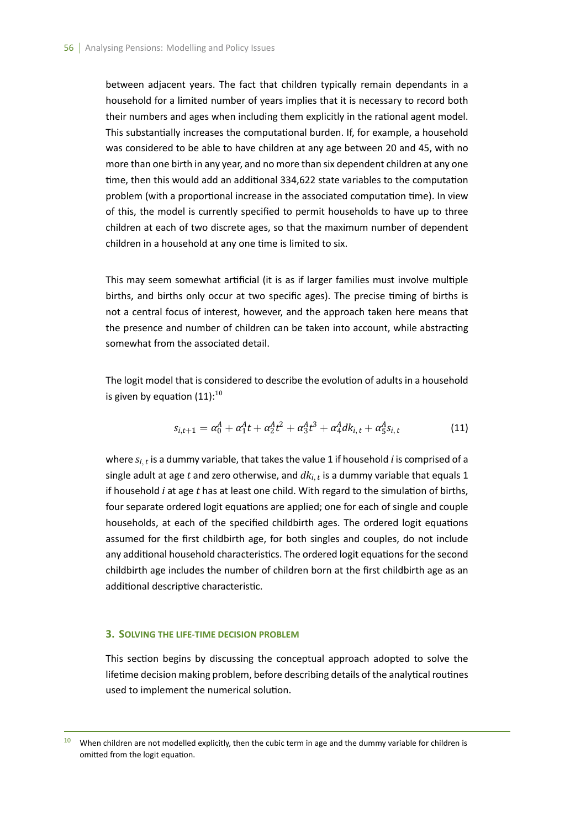between adjacent years. The fact that children typically remain dependants in a household for a limited number of years implies that it is necessary to record both their numbers and ages when including them explicitly in the rational agent model. This substantially increases the computational burden. If, for example, a household was considered to be able to have children at any age between 20 and 45, with no more than one birth in any year, and no more than six dependent children at any one time, then this would add an additional 334,622 state variables to the computation problem (with a proportional increase in the associated computation time). In view of this, the model is currently specified to permit households to have up to three children at each of two discrete ages, so that the maximum number of dependent children in a household at any one time is limited to six.

This may seem somewhat artificial (it is as if larger families must involve multiple births, and births only occur at two specific ages). The precise timing of births is not a central focus of interest, however, and the approach taken here means that the presence and number of children can be taken into account, while abstracting somewhat from the associated detail.

The logit model that is considered to describe the evolution of adults in a household is given by equation  $(11):^{10}$ 

$$
s_{i,t+1} = \alpha_0^A + \alpha_1^A t + \alpha_2^A t^2 + \alpha_3^A t^3 + \alpha_4^A d k_{i,t} + \alpha_5^A s_{i,t}
$$
 (11)

where  $s_{i,\,t}$  is a dummy variable, that takes the value 1 if household  $i$  is comprised of a single adult at age *t* and zero otherwise, and *dki, <sup>t</sup>* is a dummy variable that equals 1 if household *i* at age *t* has at least one child. With regard to the simulation of births, four separate ordered logit equations are applied; one for each of single and couple households, at each of the specified childbirth ages. The ordered logit equations assumed for the first childbirth age, for both singles and couples, do not include any additional household characteristics. The ordered logit equations for the second childbirth age includes the number of children born at the first childbirth age as an additional descriptive characteristic.

#### **3. SOLVING THE LIFE-TIME DECISION PROBLEM**

This section begins by discussing the conceptual approach adopted to solve the lifetime decision making problem, before describing details of the analytical routines used to implement the numerical solution.

<sup>&</sup>lt;sup>10</sup> When children are not modelled explicitly, then the cubic term in age and the dummy variable for children is omitted from the logit equation.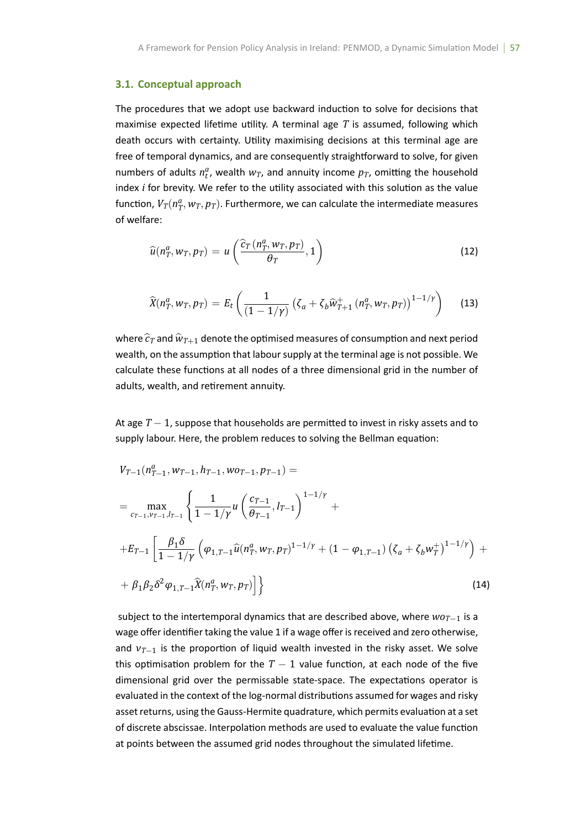## **3.1. Conceptual approach**

The procedures that we adopt use backward induction to solve for decisions that maximise expected lifetime utility. A terminal age  $T$  is assumed, following which death occurs with certainty. Utility maximising decisions at this terminal age are free of temporal dynamics, and are consequently straightforward to solve, for given numbers of adults  $n_t^a$ , wealth  $w_T$ , and annuity income  $p_T$ , omitting the household index *i* for brevity. We refer to the utility associated with this solution as the value function,  $V_T(n_T^a, w_T, p_T)$ . Furthermore, we can calculate the intermediate measures of welfare:

$$
\widehat{u}(n_T^a, w_T, p_T) = u\left(\frac{\widehat{c}_T(n_T^a, w_T, p_T)}{\theta_T}, 1\right)
$$
\n(12)

$$
\widehat{X}(n_T^a, w_T, p_T) = E_t\left(\frac{1}{(1 - 1/\gamma)}\left(\zeta_a + \zeta_b \widehat{w}_{T+1}^+(n_T^a, w_T, p_T)\right)^{1 - 1/\gamma}\right) \tag{13}
$$

where  $\hat{c}_T$  and  $\hat{w}_{T+1}$  denote the optimised measures of consumption and next period wealth, on the assumption that labour supply at the terminal age is not possible. We calculate these functions at all nodes of a three dimensional grid in the number of adults, wealth, and retirement annuity.

At age *T* − 1, suppose that households are permitted to invest in risky assets and to supply labour. Here, the problem reduces to solving the Bellman equation:

$$
V_{T-1}(n_{T-1}^a, w_{T-1}, h_{T-1}, w_{0T-1}, p_{T-1}) =
$$
\n
$$
= \max_{c_{T-1}, v_{T-1}, l_{T-1}} \left\{ \frac{1}{1 - 1/\gamma} u \left( \frac{c_{T-1}}{\theta_{T-1}}, l_{T-1} \right)^{1 - 1/\gamma} + \right.
$$
\n
$$
+ E_{T-1} \left[ \frac{\beta_1 \delta}{1 - 1/\gamma} \left( \varphi_{1, T-1} \widehat{u}(n_T^a, w_T, p_T)^{1 - 1/\gamma} + (1 - \varphi_{1, T-1}) \left( \zeta_a + \zeta_b w_T^+ \right)^{1 - 1/\gamma} \right) + \right.
$$
\n
$$
+ \beta_1 \beta_2 \delta^2 \varphi_{1, T-1} \widehat{X}(n_T^a, w_T, p_T) \right] \}
$$
\n(14)

subject to the intertemporal dynamics that are described above, where *woT−*<sup>1</sup> is a wage offer identifier taking the value 1 if a wage offer is received and zero otherwise, and  $v_{T-1}$  is the proportion of liquid wealth invested in the risky asset. We solve this optimisation problem for the  $T-1$  value function, at each node of the five dimensional grid over the permissable state-space. The expectations operator is evaluated in the context of the log-normal distributions assumed for wages and risky asset returns, using the Gauss-Hermite quadrature, which permits evaluation at a set of discrete abscissae. Interpolation methods are used to evaluate the value function at points between the assumed grid nodes throughout the simulated lifetime.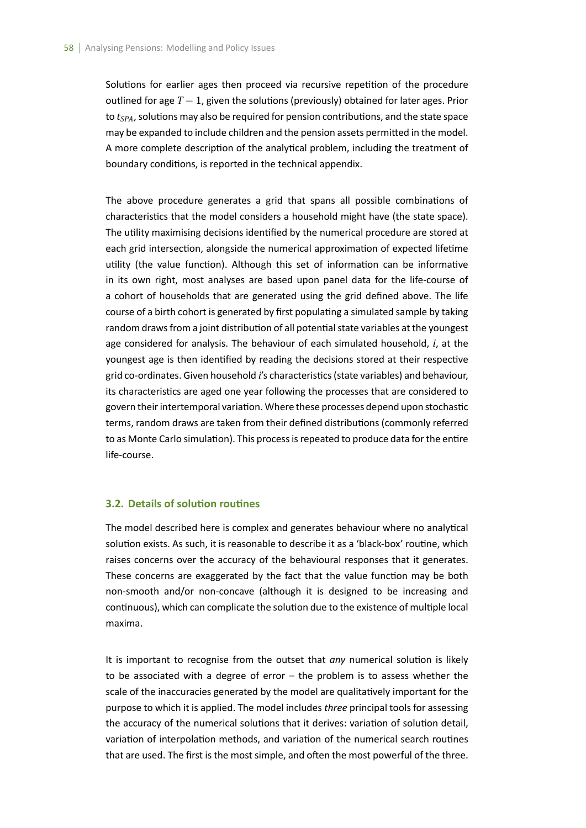Solutions for earlier ages then proceed via recursive repetition of the procedure outlined for age *T* − 1, given the solutions (previously) obtained for later ages. Prior to *t<sub>SPA</sub>*, solutions may also be required for pension contributions, and the state space may be expanded to include children and the pension assets permitted in the model. A more complete description of the analytical problem, including the treatment of boundary conditions, is reported in the technical appendix.

The above procedure generates a grid that spans all possible combinations of characteristics that the model considers a household might have (the state space). The utility maximising decisions identified by the numerical procedure are stored at each grid intersection, alongside the numerical approximation of expected lifetime utility (the value function). Although this set of information can be informative in its own right, most analyses are based upon panel data for the life-course of a cohort of households that are generated using the grid defined above. The life course of a birth cohort is generated by first populating a simulated sample by taking random draws from a joint distribution of all potential state variables at the youngest age considered for analysis. The behaviour of each simulated household, *i*, at the youngest age is then identified by reading the decisions stored at their respective grid co-ordinates. Given household *i's* characteristics (state variables) and behaviour, its characteristics are aged one year following the processes that are considered to govern their intertemporal variation. Where these processes depend upon stochastic terms, random draws are taken from their defined distributions (commonly referred to as Monte Carlo simulation). This process is repeated to produce data for the entire life-course.

## **3.2. Details of soluƟon rouƟnes**

The model described here is complex and generates behaviour where no analytical solution exists. As such, it is reasonable to describe it as a 'black-box' routine, which raises concerns over the accuracy of the behavioural responses that it generates. These concerns are exaggerated by the fact that the value function may be both non-smooth and/or non-concave (although it is designed to be increasing and continuous), which can complicate the solution due to the existence of multiple local maxima.

It is important to recognise from the outset that *any* numerical solution is likely to be associated with a degree of error – the problem is to assess whether the scale of the inaccuracies generated by the model are qualitatively important for the purpose to which it is applied. The model includes *three* principal tools for assessing the accuracy of the numerical solutions that it derives: variation of solution detail, variation of interpolation methods, and variation of the numerical search routines that are used. The first is the most simple, and often the most powerful of the three.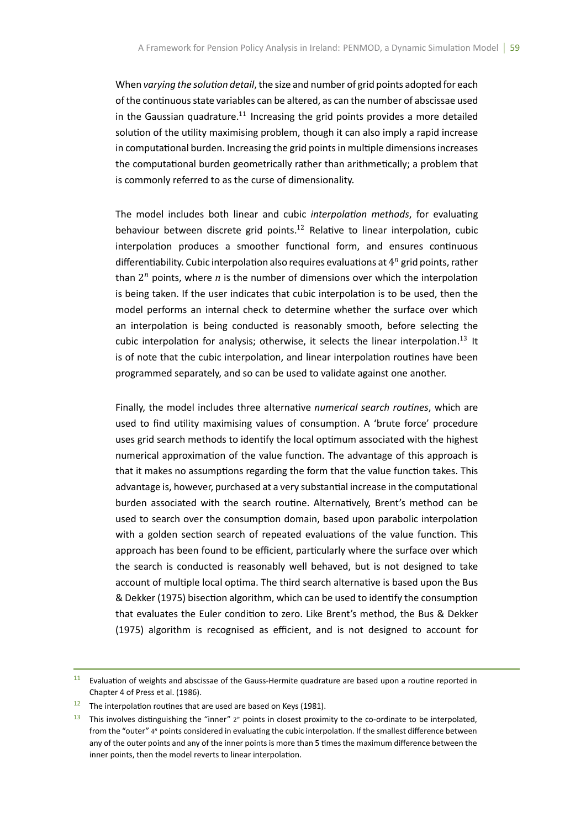When *varying the solution detail*, the size and number of grid points adopted for each of the continuous state variables can be altered, as can the number of abscissae used in the Gaussian quadrature.<sup>11</sup> Increasing the grid points provides a more detailed solution of the utility maximising problem, though it can also imply a rapid increase in computational burden. Increasing the grid points in multiple dimensions increases the computational burden geometrically rather than arithmetically; a problem that is commonly referred to as the curse of dimensionality.

The model includes both linear and cubic *interpolation methods*, for evaluating behaviour between discrete grid points.<sup>12</sup> Relative to linear interpolation, cubic interpolation produces a smoother functional form, and ensures continuous differentiability. Cubic interpolation also requires evaluations at 4<sup>n</sup> grid points, rather than  $2^n$  points, where  $n$  is the number of dimensions over which the interpolation is being taken. If the user indicates that cubic interpolation is to be used, then the model performs an internal check to determine whether the surface over which an interpolation is being conducted is reasonably smooth, before selecting the cubic interpolation for analysis; otherwise, it selects the linear interpolation.<sup>13</sup> It is of note that the cubic interpolation, and linear interpolation routines have been programmed separately, and so can be used to validate against one another.

Finally, the model includes three alternative *numerical search routines*, which are used to find utility maximising values of consumption. A 'brute force' procedure uses grid search methods to identify the local optimum associated with the highest numerical approximation of the value function. The advantage of this approach is that it makes no assumptions regarding the form that the value function takes. This advantage is, however, purchased at a very substantial increase in the computational burden associated with the search routine. Alternatively, Brent's method can be used to search over the consumption domain, based upon parabolic interpolation with a golden section search of repeated evaluations of the value function. This approach has been found to be efficient, particularly where the surface over which the search is conducted is reasonably well behaved, but is not designed to take account of multiple local optima. The third search alternative is based upon the Bus & Dekker (1975) bisection algorithm, which can be used to identify the consumption that evaluates the Euler condition to zero. Like Brent's method, the Bus & Dekker (1975) algorithm is recognised as efficient, and is not designed to account for

 $11$  Evaluation of weights and abscissae of the Gauss-Hermite quadrature are based upon a routine reported in Chapter 4 of Press et al. (1986).

 $12$  The interpolation routines that are used are based on Keys (1981).

<sup>&</sup>lt;sup>13</sup> This involves distinguishing the "inner" 2<sup>n</sup> points in closest proximity to the co-ordinate to be interpolated, from the "outer" 4<sup>n</sup> points considered in evaluating the cubic interpolation. If the smallest difference between any of the outer points and any of the inner points is more than 5 times the maximum difference between the inner points, then the model reverts to linear interpolation.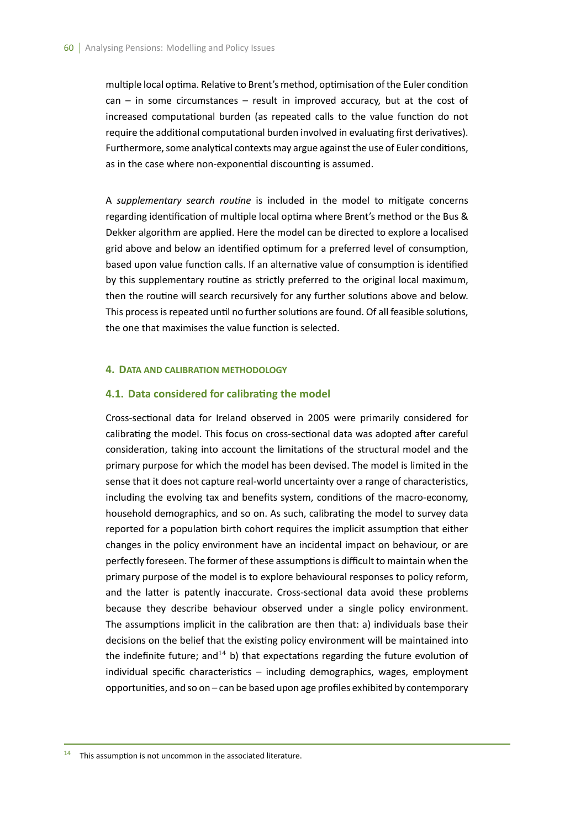multiple local optima. Relative to Brent's method, optimisation of the Euler condition  $can - in some circumstances - result in improved accuracy, but at the cost of$ increased computational burden (as repeated calls to the value function do not require the additional computational burden involved in evaluating first derivatives). Furthermore, some analytical contexts may argue against the use of Euler conditions, as in the case where non-exponential discounting is assumed.

A *supplementary search routine* is included in the model to mitigate concerns regarding identification of multiple local optima where Brent's method or the Bus & Dekker algorithm are applied. Here the model can be directed to explore a localised grid above and below an identified optimum for a preferred level of consumption, based upon value function calls. If an alternative value of consumption is identified by this supplementary routine as strictly preferred to the original local maximum, then the routine will search recursively for any further solutions above and below. This process is repeated until no further solutions are found. Of all feasible solutions, the one that maximises the value function is selected.

## **4. DATA AND CALIBRATION METHODOLOGY**

#### **4.1. Data considered for calibrating the model**

Cross-sectional data for Ireland observed in 2005 were primarily considered for calibrating the model. This focus on cross-sectional data was adopted after careful consideration, taking into account the limitations of the structural model and the primary purpose for which the model has been devised. The model is limited in the sense that it does not capture real-world uncertainty over a range of characteristics, including the evolving tax and benefits system, conditions of the macro-economy, household demographics, and so on. As such, calibrating the model to survey data reported for a population birth cohort requires the implicit assumption that either changes in the policy environment have an incidental impact on behaviour, or are perfectly foreseen. The former of these assumptions is difficult to maintain when the primary purpose of the model is to explore behavioural responses to policy reform, and the latter is patently inaccurate. Cross-sectional data avoid these problems because they describe behaviour observed under a single policy environment. The assumptions implicit in the calibration are then that: a) individuals base their decisions on the belief that the existing policy environment will be maintained into the indefinite future; and<sup>14</sup> b) that expectations regarding the future evolution of individual specific characteristics  $-$  including demographics, wages, employment opportuniƟes, and so on – can be based upon age profiles exhibited by contemporary

 $14$  This assumption is not uncommon in the associated literature.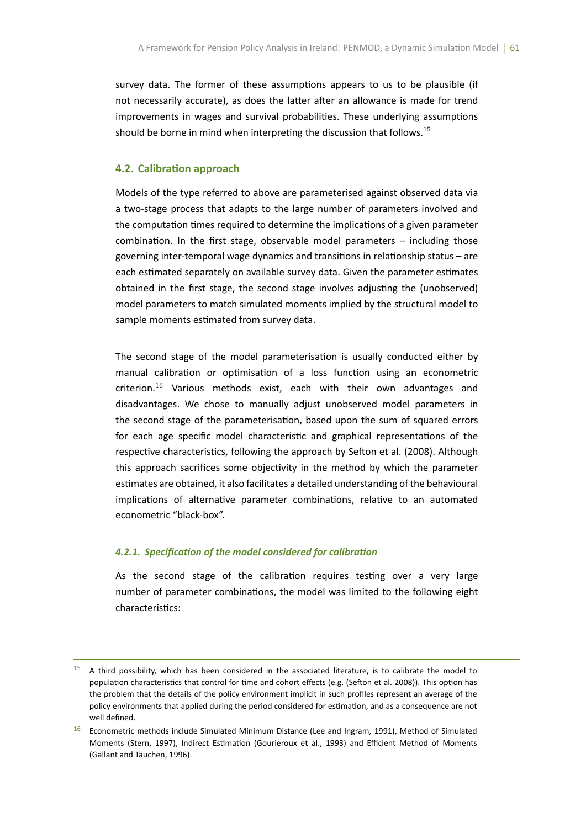survey data. The former of these assumptions appears to us to be plausible (if not necessarily accurate), as does the latter after an allowance is made for trend improvements in wages and survival probabilities. These underlying assumptions should be borne in mind when interpreting the discussion that follows.<sup>15</sup>

## **4.2. CalibraƟon approach**

Models of the type referred to above are parameterised against observed data via a two-stage process that adapts to the large number of parameters involved and the computation times required to determine the implications of a given parameter combination. In the first stage, observable model parameters  $-$  including those governing inter-temporal wage dynamics and transitions in relationship status – are each estimated separately on available survey data. Given the parameter estimates obtained in the first stage, the second stage involves adjusting the (unobserved) model parameters to match simulated moments implied by the structural model to sample moments estimated from survey data.

The second stage of the model parameterisation is usually conducted either by manual calibration or optimisation of a loss function using an econometric criterion.<sup>16</sup> Various methods exist, each with their own advantages and disadvantages. We chose to manually adjust unobserved model parameters in the second stage of the parameterisation, based upon the sum of squared errors for each age specific model characteristic and graphical representations of the respective characteristics, following the approach by Sefton et al. (2008). Although this approach sacrifices some objectivity in the method by which the parameter estimates are obtained, it also facilitates a detailed understanding of the behavioural implications of alternative parameter combinations, relative to an automated econometric "black-box".

## *4.2.1. SpecificaƟon of the model considered for calibraƟon*

As the second stage of the calibration requires testing over a very large number of parameter combinations, the model was limited to the following eight characteristics:

 $15$  A third possibility, which has been considered in the associated literature, is to calibrate the model to population characteristics that control for time and cohort effects (e.g. (Sefton et al. 2008)). This option has the problem that the details of the policy environment implicit in such profiles represent an average of the policy environments that applied during the period considered for estimation, and as a consequence are not well defined.

<sup>&</sup>lt;sup>16</sup> Econometric methods include Simulated Minimum Distance (Lee and Ingram, 1991), Method of Simulated Moments (Stern, 1997), Indirect Estimation (Gourieroux et al., 1993) and Efficient Method of Moments (Gallant and Tauchen, 1996).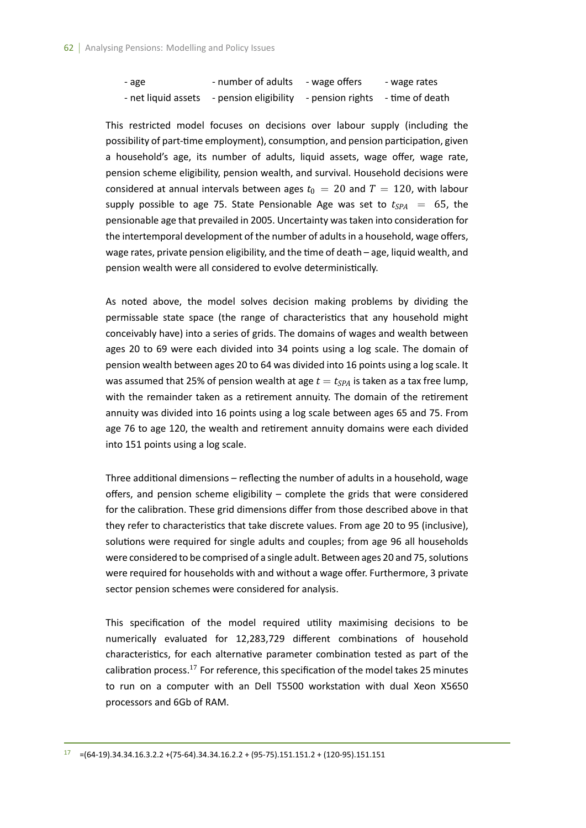| - age               | - number of adults    | - wage offers                    | - wage rates |
|---------------------|-----------------------|----------------------------------|--------------|
| - net liquid assets | - pension eligibility | - pension rights - time of death |              |

This restricted model focuses on decisions over labour supply (including the possibility of part-time employment), consumption, and pension participation, given a household's age, its number of adults, liquid assets, wage offer, wage rate, pension scheme eligibility, pension wealth, and survival. Household decisions were considered at annual intervals between ages  $t_0 = 20$  and  $T = 120$ , with labour supply possible to age 75. State Pensionable Age was set to  $t_{SPA} = 65$ , the pensionable age that prevailed in 2005. Uncertainty was taken into consideration for the intertemporal development of the number of adults in a household, wage offers, wage rates, private pension eligibility, and the time of death – age, liquid wealth, and pension wealth were all considered to evolve deterministically.

As noted above, the model solves decision making problems by dividing the permissable state space (the range of characteristics that any household might conceivably have) into a series of grids. The domains of wages and wealth between ages 20 to 69 were each divided into 34 points using a log scale. The domain of pension wealth between ages 20 to 64 was divided into 16 points using a log scale. It was assumed that 25% of pension wealth at age  $t = t_{SPA}$  is taken as a tax free lump, with the remainder taken as a retirement annuity. The domain of the retirement annuity was divided into 16 points using a log scale between ages 65 and 75. From age 76 to age 120, the wealth and retirement annuity domains were each divided into 151 points using a log scale.

Three additional dimensions - reflecting the number of adults in a household, wage offers, and pension scheme eligibility – complete the grids that were considered for the calibration. These grid dimensions differ from those described above in that they refer to characteristics that take discrete values. From age 20 to 95 (inclusive), solutions were required for single adults and couples; from age 96 all households were considered to be comprised of a single adult. Between ages 20 and 75, solutions were required for households with and without a wage offer. Furthermore, 3 private sector pension schemes were considered for analysis.

This specification of the model required utility maximising decisions to be numerically evaluated for 12,283,729 different combinations of household characteristics, for each alternative parameter combination tested as part of the calibration process.<sup>17</sup> For reference, this specification of the model takes 25 minutes to run on a computer with an Dell T5500 workstation with dual Xeon X5650 processors and 6Gb of RAM.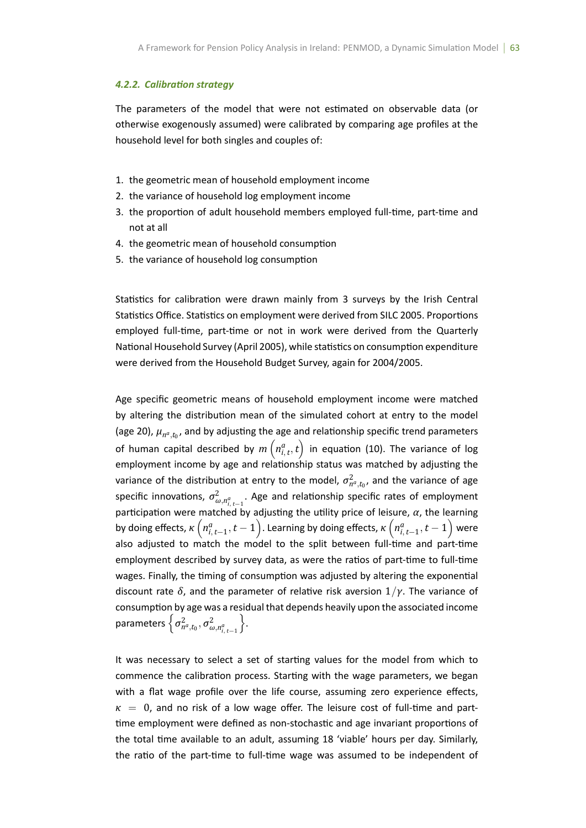#### *4.2.2. CalibraƟon strategy*

The parameters of the model that were not estimated on observable data (or otherwise exogenously assumed) were calibrated by comparing age profiles at the household level for both singles and couples of:

- 1. the geometric mean of household employment income
- 2. the variance of household log employment income
- 3. the proportion of adult household members employed full-time, part-time and not at all
- 4. the geometric mean of household consumption
- 5. the variance of household log consumption

Statistics for calibration were drawn mainly from 3 surveys by the Irish Central Statistics Office. Statistics on employment were derived from SILC 2005. Proportions employed full-time, part-time or not in work were derived from the Quarterly National Household Survey (April 2005), while statistics on consumption expenditure were derived from the Household Budget Survey, again for 2004/2005.

Age specific geometric means of household employment income were matched by altering the distribution mean of the simulated cohort at entry to the model (age 20),  $\mu_{n^a, t_0}$ , and by adjusting the age and relationship specific trend parameters of human capital described by  $m\left(n_{i,\,t}^{a},t\right)$  in equation (10). The variance of log employment income by age and relationship status was matched by adjusting the variance of the distribution at entry to the model,  $\sigma_{n^a, t_0}^2$ , and the variance of age specific innovations,  $\sigma_{\omega,n_{i_{t-1}}^{2}}^{2}$ . Age and relationship specific rates of employment  $\overline{\mathbf{a}}^{u, u_{i, t-1}}$   $\overline{\mathbf{b}}$  adjusting the utility price of leisure,  $\alpha$ , the learning by doing effects,  $\kappa\left(n_{i,t-1}^a,t-1\right)$ . Learning by doing effects,  $\kappa\left(n_{i,t-1}^a,t-1\right)$  were also adjusted to match the model to the split between full-time and part-time employment described by survey data, as were the ratios of part-time to full-time wages. Finally, the timing of consumption was adjusted by altering the exponential discount rate  $\delta$ , and the parameter of relative risk aversion  $1/y$ . The variance of consumption by age was a residual that depends heavily upon the associated income  $\left\{\sigma_{n^a,t_0}^2, \sigma_{\omega,n_{i,t-1}^a}^2\right\}$ } .

It was necessary to select a set of starting values for the model from which to commence the calibration process. Starting with the wage parameters, we began with a flat wage profile over the life course, assuming zero experience effects,  $\kappa = 0$ , and no risk of a low wage offer. The leisure cost of full-time and parttime employment were defined as non-stochastic and age invariant proportions of the total time available to an adult, assuming 18 'viable' hours per day. Similarly, the ratio of the part-time to full-time wage was assumed to be independent of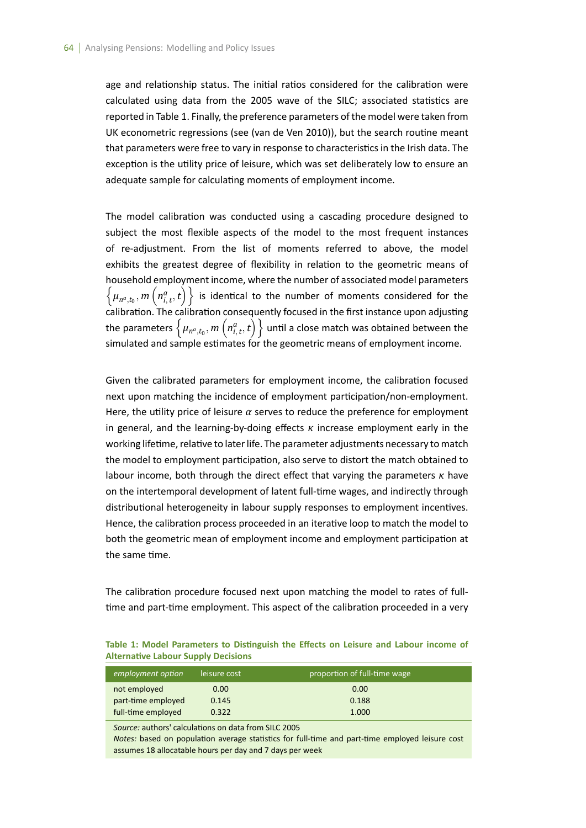age and relationship status. The initial ratios considered for the calibration were calculated using data from the 2005 wave of the SILC; associated statistics are reported in Table 1. Finally, the preference parameters of the model were taken from UK econometric regressions (see (van de Ven 2010)), but the search routine meant that parameters were free to vary in response to characteristics in the Irish data. The exception is the utility price of leisure, which was set deliberately low to ensure an adequate sample for calculating moments of employment income.

The model calibration was conducted using a cascading procedure designed to subject the most flexible aspects of the model to the most frequent instances of re-adjustment. From the list of moments referred to above, the model exhibits the greatest degree of flexibility in relation to the geometric means of household employment income, where the number of associated model parameters  $\left\{\mu_{n^a,t_0},m\left(n^a_{i,t},t\right)\right\}$  is identical to the number of moments considered for the calibration. The calibration consequently focused in the first instance upon adjusting the parameters  $\left\{\mu_{n^a_{t, t_0}}, m\left(n^a_{i, t}, t\right)\right\}$  until a close match was obtained between the simulated and sample estimates for the geometric means of employment income.

Given the calibrated parameters for employment income, the calibration focused next upon matching the incidence of employment participation/non-employment. Here, the utility price of leisure  $\alpha$  serves to reduce the preference for employment in general, and the learning-by-doing effects *κ* increase employment early in the working lifetime, relative to later life. The parameter adjustments necessary to match the model to employment participation, also serve to distort the match obtained to labour income, both through the direct effect that varying the parameters *κ* have on the intertemporal development of latent full-time wages, and indirectly through distributional heterogeneity in labour supply responses to employment incentives. Hence, the calibration process proceeded in an iterative loop to match the model to both the geometric mean of employment income and employment participation at the same time.

The calibration procedure focused next upon matching the model to rates of fulltime and part-time employment. This aspect of the calibration proceeded in a very

| Table 1: Model Parameters to Distinguish the Effects on Leisure and Labour income of                            |  |  |                                                                                                             |  |  |
|-----------------------------------------------------------------------------------------------------------------|--|--|-------------------------------------------------------------------------------------------------------------|--|--|
| <b>Alternative Labour Supply Decisions</b>                                                                      |  |  |                                                                                                             |  |  |
|                                                                                                                 |  |  |                                                                                                             |  |  |
| the contract of the contract of the contract of the contract of the contract of the contract of the contract of |  |  | $\alpha$ and $\alpha$ is a set of $\alpha$ in $\alpha$ in $\mathbf{f}$ . It is the set of a set of $\alpha$ |  |  |

| employment option  | leisure cost | proportion of full-time wage by |
|--------------------|--------------|---------------------------------|
| not employed       | 0.00         | 0.00                            |
| part-time employed | 0.145        | 0.188                           |
| full-time employed | 0.322        | 1.000                           |

Source: authors' calculations on data from SILC 2005

*Notes:* based on population average statistics for full-time and part-time employed leisure cost assumes 18 allocatable hours per day and 7 days per week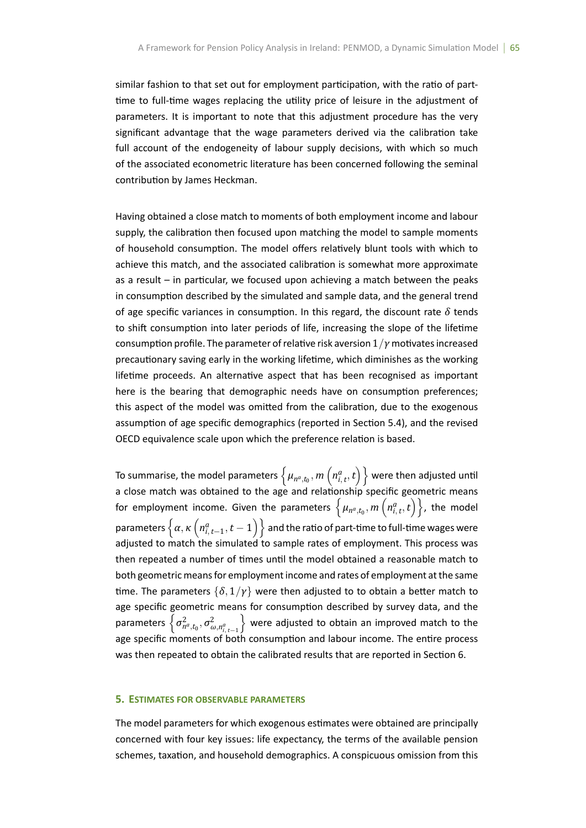similar fashion to that set out for employment participation, with the ratio of parttime to full-time wages replacing the utility price of leisure in the adjustment of parameters. It is important to note that this adjustment procedure has the very significant advantage that the wage parameters derived via the calibration take full account of the endogeneity of labour supply decisions, with which so much of the associated econometric literature has been concerned following the seminal contribution by James Heckman.

Having obtained a close match to moments of both employment income and labour supply, the calibration then focused upon matching the model to sample moments of household consumption. The model offers relatively blunt tools with which to achieve this match, and the associated calibration is somewhat more approximate as a result  $-$  in particular, we focused upon achieving a match between the peaks in consumption described by the simulated and sample data, and the general trend of age specific variances in consumption. In this regard, the discount rate  $\delta$  tends to shift consumption into later periods of life, increasing the slope of the lifetime consumption profile. The parameter of relative risk aversion  $1/\gamma$  motivates increased precautionary saving early in the working lifetime, which diminishes as the working lifetime proceeds. An alternative aspect that has been recognised as important here is the bearing that demographic needs have on consumption preferences; this aspect of the model was omitted from the calibration, due to the exogenous assumption of age specific demographics (reported in Section 5.4), and the revised OECD equivalence scale upon which the preference relation is based.

To summarise, the model parameters  $\left\{ \mu_{n^a, t_0}, m\left(n^a_{i,\,t},t\right) \right\}$  were then adjusted until a close match was obtained to the age and relationship specific geometric means for employment income. Given the parameters  $\left\{ \mu_{n^a, t_0}, m\left(n^a_{i,\,t},t\right) \right\}$ , the model parameters  $\left\{\alpha,\kappa\left(n^a_{i,\,t-1},t-1\right)\right\}$  and the ratio of part-time to full-time wages were adjusted to match the simulated to sample rates of employment. This process was then repeated a number of times until the model obtained a reasonable match to both geometric means for employment income and rates of employment at the same time. The parameters  $\{\delta, 1/\gamma\}$  were then adjusted to to obtain a better match to age specific geometric means for consumption described by survey data, and the  $\oint \sigma_{n^a, t_0}^2$ ,  $\sigma_{\omega, n^a_{i, t-1}}^2$ } were adjusted to obtain an improved match to the age specific moments of both consumption and labour income. The entire process was then repeated to obtain the calibrated results that are reported in Section 6.

## **5. ESTIMATES FOR OBSERVABLE PARAMETERS**

The model parameters for which exogenous estimates were obtained are principally concerned with four key issues: life expectancy, the terms of the available pension schemes, taxation, and household demographics. A conspicuous omission from this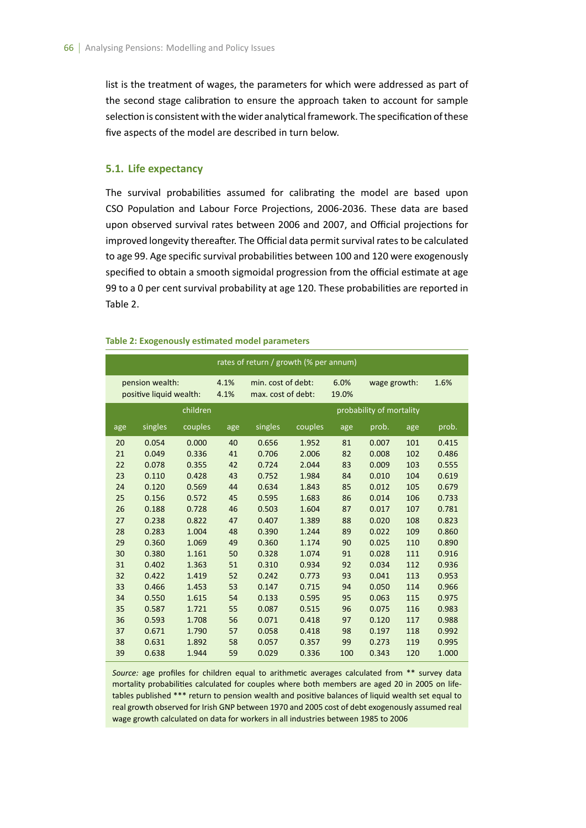list is the treatment of wages, the parameters for which were addressed as part of the second stage calibration to ensure the approach taken to account for sample selection is consistent with the wider analytical framework. The specification of these five aspects of the model are described in turn below.

## **5.1. Life expectancy**

The survival probabilities assumed for calibrating the model are based upon CSO Population and Labour Force Projections, 2006-2036. These data are based upon observed survival rates between 2006 and 2007, and Official projections for improved longevity thereafter. The Official data permit survival rates to be calculated to age 99. Age specific survival probabilities between 100 and 120 were exogenously specified to obtain a smooth sigmoidal progression from the official estimate at age 99 to a 0 per cent survival probability at age 120. These probabilities are reported in Table 2.

|     |                                            |          |              | rates of return / growth (% per annum)   |         |               |                          |     |       |
|-----|--------------------------------------------|----------|--------------|------------------------------------------|---------|---------------|--------------------------|-----|-------|
|     | pension wealth:<br>positive liquid wealth: |          | 4.1%<br>4.1% | min. cost of debt:<br>max. cost of debt: |         | 6.0%<br>19.0% | wage growth:             |     | 1.6%  |
|     |                                            | children |              |                                          |         |               | probability of mortality |     |       |
| age | singles                                    | couples  | age          | singles                                  | couples | age           | prob.                    | age | prob. |
| 20  | 0.054                                      | 0.000    | 40           | 0.656                                    | 1.952   | 81            | 0.007                    | 101 | 0.415 |
| 21  | 0.049                                      | 0.336    | 41           | 0.706                                    | 2.006   | 82            | 0.008                    | 102 | 0.486 |
| 22  | 0.078                                      | 0.355    | 42           | 0.724                                    | 2.044   | 83            | 0.009                    | 103 | 0.555 |
| 23  | 0.110                                      | 0.428    | 43           | 0.752                                    | 1.984   | 84            | 0.010                    | 104 | 0.619 |
| 24  | 0.120                                      | 0.569    | 44           | 0.634                                    | 1.843   | 85            | 0.012                    | 105 | 0.679 |
| 25  | 0.156                                      | 0.572    | 45           | 0.595                                    | 1.683   | 86            | 0.014                    | 106 | 0.733 |
| 26  | 0.188                                      | 0.728    | 46           | 0.503                                    | 1.604   | 87            | 0.017                    | 107 | 0.781 |
| 27  | 0.238                                      | 0.822    | 47           | 0.407                                    | 1.389   | 88            | 0.020                    | 108 | 0.823 |
| 28  | 0.283                                      | 1.004    | 48           | 0.390                                    | 1.244   | 89            | 0.022                    | 109 | 0.860 |
| 29  | 0.360                                      | 1.069    | 49           | 0.360                                    | 1.174   | 90            | 0.025                    | 110 | 0.890 |
| 30  | 0.380                                      | 1.161    | 50           | 0.328                                    | 1.074   | 91            | 0.028                    | 111 | 0.916 |
| 31  | 0.402                                      | 1.363    | 51           | 0.310                                    | 0.934   | 92            | 0.034                    | 112 | 0.936 |
| 32  | 0.422                                      | 1.419    | 52           | 0.242                                    | 0.773   | 93            | 0.041                    | 113 | 0.953 |
| 33  | 0.466                                      | 1.453    | 53           | 0.147                                    | 0.715   | 94            | 0.050                    | 114 | 0.966 |
| 34  | 0.550                                      | 1.615    | 54           | 0.133                                    | 0.595   | 95            | 0.063                    | 115 | 0.975 |
| 35  | 0.587                                      | 1.721    | 55           | 0.087                                    | 0.515   | 96            | 0.075                    | 116 | 0.983 |
| 36  | 0.593                                      | 1.708    | 56           | 0.071                                    | 0.418   | 97            | 0.120                    | 117 | 0.988 |
| 37  | 0.671                                      | 1.790    | 57           | 0.058                                    | 0.418   | 98            | 0.197                    | 118 | 0.992 |
| 38  | 0.631                                      | 1.892    | 58           | 0.057                                    | 0.357   | 99            | 0.273                    | 119 | 0.995 |
| 39  | 0.638                                      | 1.944    | 59           | 0.029                                    | 0.336   | 100           | 0.343                    | 120 | 1.000 |

#### **Table 2: Exogenously estimated model parameters**

Source: age profiles for children equal to arithmetic averages calculated from \*\* survey data mortality probabilities calculated for couples where both members are aged 20 in 2005 on lifetables published \*\*\* return to pension wealth and positive balances of liquid wealth set equal to real growth observed for Irish GNP between 1970 and 2005 cost of debt exogenously assumed real wage growth calculated on data for workers in all industries between 1985 to 2006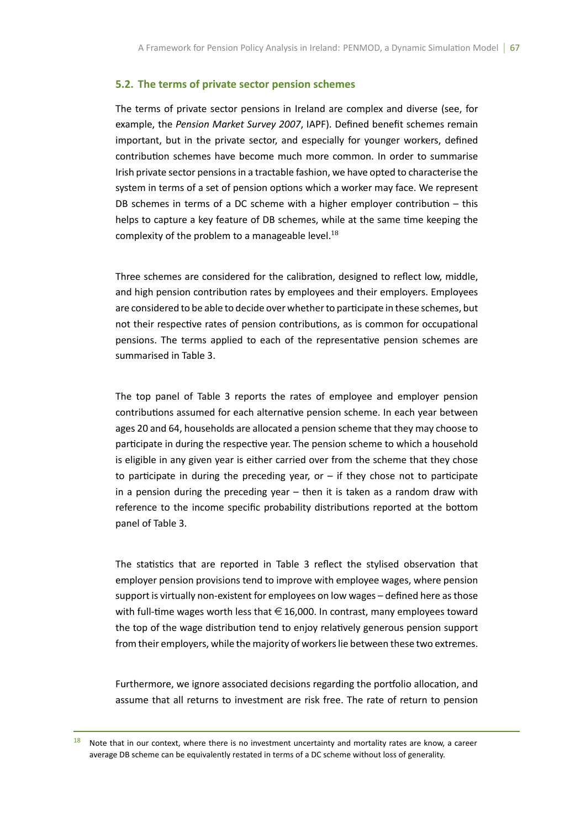## **5.2. The terms of private sector pension schemes**

The terms of private sector pensions in Ireland are complex and diverse (see, for example, the *Pension Market Survey 2007*, IAPF). Defined benefit schemes remain important, but in the private sector, and especially for younger workers, defined contribution schemes have become much more common. In order to summarise Irish private sector pensions in a tractable fashion, we have opted to characterise the system in terms of a set of pension options which a worker may face. We represent DB schemes in terms of a DC scheme with a higher employer contribution  $-$  this helps to capture a key feature of DB schemes, while at the same time keeping the complexity of the problem to a manageable level. $^{18}$ 

Three schemes are considered for the calibration, designed to reflect low, middle, and high pension contribution rates by employees and their employers. Employees are considered to be able to decide over whether to participate in these schemes, but not their respective rates of pension contributions, as is common for occupational pensions. The terms applied to each of the representative pension schemes are summarised in Table 3.

The top panel of Table 3 reports the rates of employee and employer pension contributions assumed for each alternative pension scheme. In each year between ages 20 and 64, households are allocated a pension scheme that they may choose to participate in during the respective year. The pension scheme to which a household is eligible in any given year is either carried over from the scheme that they chose to participate in during the preceding year, or  $-$  if they chose not to participate in a pension during the preceding year – then it is taken as a random draw with reference to the income specific probability distributions reported at the bottom panel of Table 3.

The statistics that are reported in Table 3 reflect the stylised observation that employer pension provisions tend to improve with employee wages, where pension support is virtually non-existent for employees on low wages – defined here as those with full-time wages worth less that  $\in$  16,000. In contrast, many employees toward the top of the wage distribution tend to enjoy relatively generous pension support from their employers, while the majority of workers lie between these two extremes.

Furthermore, we ignore associated decisions regarding the portfolio allocation, and assume that all returns to investment are risk free. The rate of return to pension

 $18$  Note that in our context, where there is no investment uncertainty and mortality rates are know, a career average DB scheme can be equivalently restated in terms of a DC scheme without loss of generality.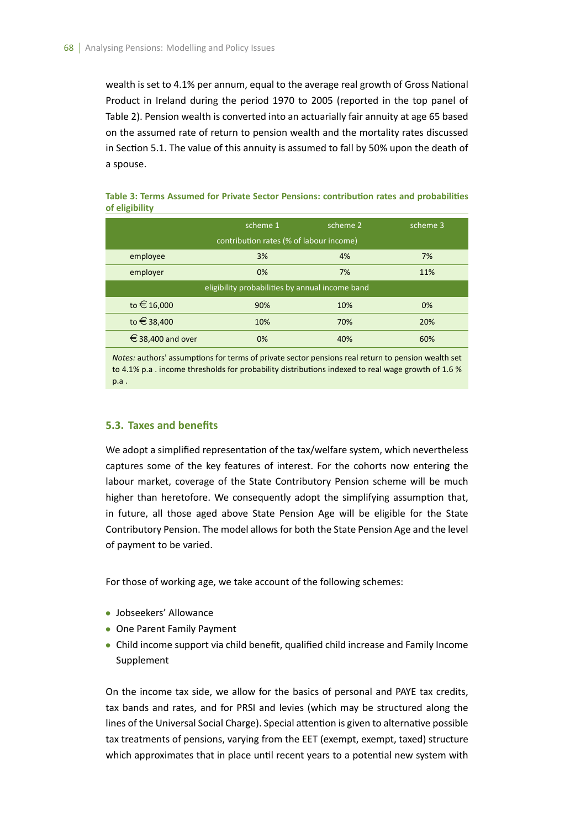wealth is set to 4.1% per annum, equal to the average real growth of Gross National Product in Ireland during the period 1970 to 2005 (reported in the top panel of Table 2). Pension wealth is converted into an actuarially fair annuity at age 65 based on the assumed rate of return to pension wealth and the mortality rates discussed in Section 5.1. The value of this annuity is assumed to fall by 50% upon the death of a spouse.

|                   | scheme 1                                        | scheme 2 | scheme 3 |
|-------------------|-------------------------------------------------|----------|----------|
|                   | contribution rates (% of labour income)         |          |          |
| employee          | 3%                                              | 4%       | 7%       |
| employer          | 0%                                              | 7%       | 11%      |
|                   | eligibility probabilities by annual income band |          |          |
| to €16,000        | 90%                                             | 10%      | 0%       |
| to €38,400        | 10%                                             | 70%      | 20%      |
| € 38,400 and over | 0%                                              | 40%      | 60%      |

**Table 3: Terms Assumed for Private Sector Pensions: contribution rates and probabilities of eligibility**

*Notes:* authors' assumptions for terms of private sector pensions real return to pension wealth set to 4.1% p.a . income thresholds for probability distributions indexed to real wage growth of 1.6 % p.a .

## **5.3. Taxes and benefits**

We adopt a simplified representation of the tax/welfare system, which nevertheless captures some of the key features of interest. For the cohorts now entering the labour market, coverage of the State Contributory Pension scheme will be much higher than heretofore. We consequently adopt the simplifying assumption that, in future, all those aged above State Pension Age will be eligible for the State Contributory Pension. The model allows for both the State Pension Age and the level of payment to be varied.

For those of working age, we take account of the following schemes:

- *•* Jobseekers' Allowance
- *•* One Parent Family Payment
- *•* Child income support via child benefit, qualified child increase and Family Income Supplement

On the income tax side, we allow for the basics of personal and PAYE tax credits, tax bands and rates, and for PRSI and levies (which may be structured along the lines of the Universal Social Charge). Special attention is given to alternative possible tax treatments of pensions, varying from the EET (exempt, exempt, taxed) structure which approximates that in place until recent years to a potential new system with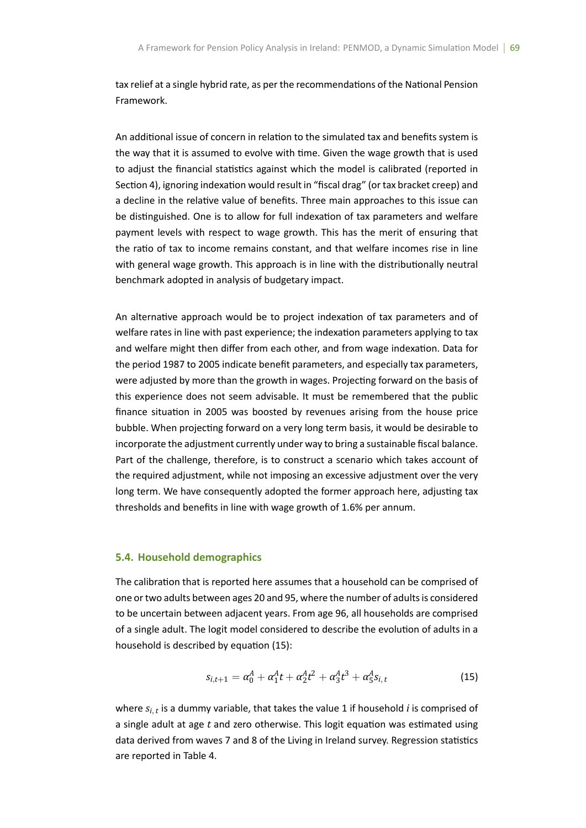tax relief at a single hybrid rate, as per the recommendations of the National Pension Framework.

An additional issue of concern in relation to the simulated tax and benefits system is the way that it is assumed to evolve with time. Given the wage growth that is used to adjust the financial statistics against which the model is calibrated (reported in Section 4), ignoring indexation would result in "fiscal drag" (or tax bracket creep) and a decline in the relative value of benefits. Three main approaches to this issue can be distinguished. One is to allow for full indexation of tax parameters and welfare payment levels with respect to wage growth. This has the merit of ensuring that the ratio of tax to income remains constant, and that welfare incomes rise in line with general wage growth. This approach is in line with the distributionally neutral benchmark adopted in analysis of budgetary impact.

An alternative approach would be to project indexation of tax parameters and of welfare rates in line with past experience; the indexation parameters applying to tax and welfare might then differ from each other, and from wage indexation. Data for the period 1987 to 2005 indicate benefit parameters, and especially tax parameters, were adjusted by more than the growth in wages. Projecting forward on the basis of this experience does not seem advisable. It must be remembered that the public finance situation in 2005 was boosted by revenues arising from the house price bubble. When projecting forward on a very long term basis, it would be desirable to incorporate the adjustment currently under way to bring a sustainable fiscal balance. Part of the challenge, therefore, is to construct a scenario which takes account of the required adjustment, while not imposing an excessive adjustment over the very long term. We have consequently adopted the former approach here, adjusting tax thresholds and benefits in line with wage growth of 1.6% per annum.

#### **5.4. Household demographics**

The calibration that is reported here assumes that a household can be comprised of one or two adults between ages 20 and 95, where the number of adults is considered to be uncertain between adjacent years. From age 96, all households are comprised of a single adult. The logit model considered to describe the evolution of adults in a household is described by equation (15):

$$
s_{i,t+1} = \alpha_0^A + \alpha_1^A t + \alpha_2^A t^2 + \alpha_3^A t^3 + \alpha_5^A s_{i,t}
$$
 (15)

where *si, <sup>t</sup>* is a dummy variable, that takes the value 1 if household *i* is comprised of a single adult at age t and zero otherwise. This logit equation was estimated using data derived from waves 7 and 8 of the Living in Ireland survey. Regression statistics are reported in Table 4.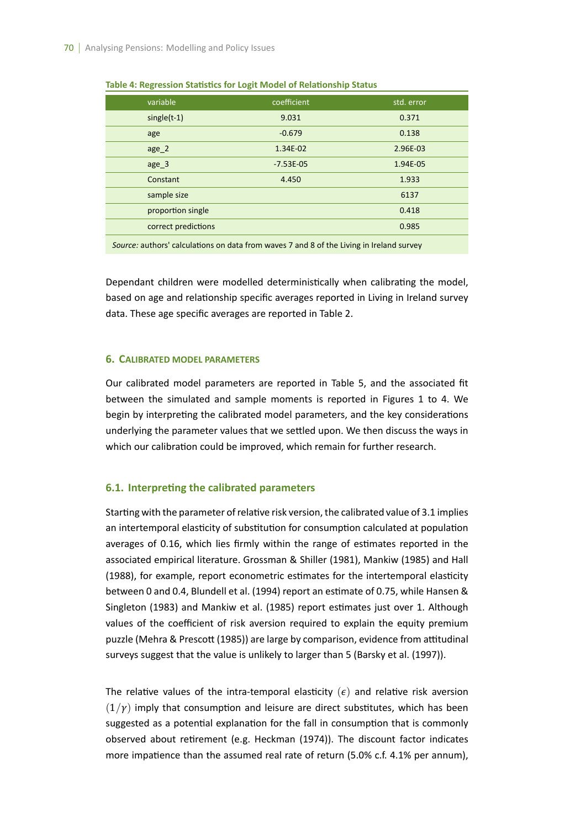| variable            | coefficient | std. error |
|---------------------|-------------|------------|
| $single(t-1)$       | 9.031       | 0.371      |
| age                 | $-0.679$    | 0.138      |
| age 2               | 1.34E-02    | 2.96E-03   |
| age 3               | $-7.53E-05$ | 1.94E-05   |
| Constant            | 4.450       | 1.933      |
| sample size         |             | 6137       |
| proportion single   |             | 0.418      |
| correct predictions |             | 0.985      |
|                     |             |            |

**Table 4: Regression Statistics for Logit Model of Relationship Status** 

*Source:* authors' calculations on data from waves 7 and 8 of the Living in Ireland survey

Dependant children were modelled deterministically when calibrating the model, based on age and relationship specific averages reported in Living in Ireland survey data. These age specific averages are reported in Table 2.

#### **6. CALIBRATED MODEL PARAMETERS**

Our calibrated model parameters are reported in Table 5, and the associated fit between the simulated and sample moments is reported in Figures 1 to 4. We begin by interpreting the calibrated model parameters, and the key considerations underlying the parameter values that we settled upon. We then discuss the ways in which our calibration could be improved, which remain for further research.

## **6.1. InterpreƟng the calibrated parameters**

Starting with the parameter of relative risk version, the calibrated value of 3.1 implies an intertemporal elasticity of substitution for consumption calculated at population averages of 0.16, which lies firmly within the range of estimates reported in the associated empirical literature. Grossman & Shiller (1981), Mankiw (1985) and Hall (1988), for example, report econometric estimates for the intertemporal elasticity between 0 and 0.4, Blundell et al. (1994) report an estimate of 0.75, while Hansen & Singleton (1983) and Mankiw et al. (1985) report estimates just over 1. Although values of the coefficient of risk aversion required to explain the equity premium puzzle (Mehra & Prescott (1985)) are large by comparison, evidence from attitudinal surveys suggest that the value is unlikely to larger than 5 (Barsky et al. (1997)).

The relative values of the intra-temporal elasticity  $(\epsilon)$  and relative risk aversion  $(1/\gamma)$  imply that consumption and leisure are direct substitutes, which has been suggested as a potential explanation for the fall in consumption that is commonly observed about retirement (e.g. Heckman (1974)). The discount factor indicates more impatience than the assumed real rate of return (5.0% c.f. 4.1% per annum),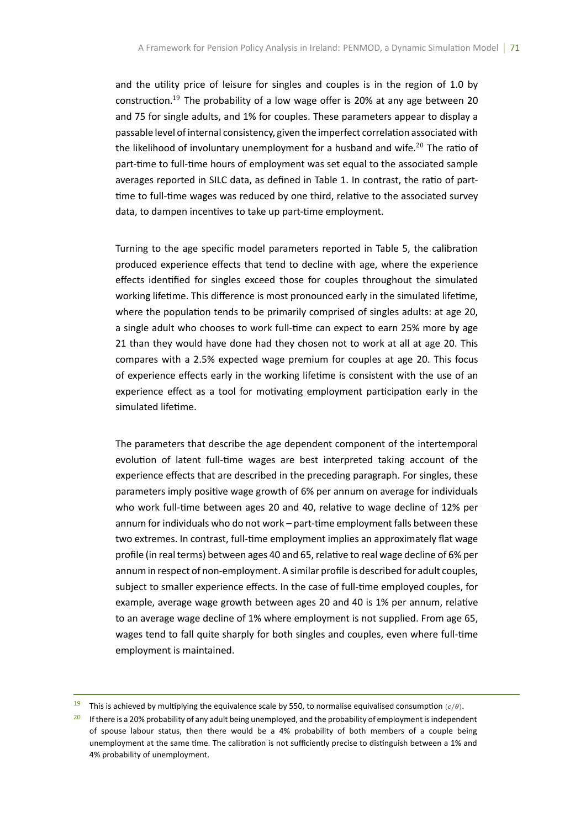and the utility price of leisure for singles and couples is in the region of 1.0 by construction.<sup>19</sup> The probability of a low wage offer is 20% at any age between 20 and 75 for single adults, and 1% for couples. These parameters appear to display a passable level of internal consistency, given the imperfect correlation associated with the likelihood of involuntary unemployment for a husband and wife.<sup>20</sup> The ratio of part-time to full-time hours of employment was set equal to the associated sample averages reported in SILC data, as defined in Table 1. In contrast, the ratio of parttime to full-time wages was reduced by one third, relative to the associated survey data, to dampen incentives to take up part-time employment.

Turning to the age specific model parameters reported in Table 5, the calibration produced experience effects that tend to decline with age, where the experience effects identified for singles exceed those for couples throughout the simulated working lifetime. This difference is most pronounced early in the simulated lifetime, where the population tends to be primarily comprised of singles adults: at age 20, a single adult who chooses to work full-time can expect to earn 25% more by age 21 than they would have done had they chosen not to work at all at age 20. This compares with a 2.5% expected wage premium for couples at age 20. This focus of experience effects early in the working lifetime is consistent with the use of an experience effect as a tool for motivating employment participation early in the simulated lifetime.

The parameters that describe the age dependent component of the intertemporal evolution of latent full-time wages are best interpreted taking account of the experience effects that are described in the preceding paragraph. For singles, these parameters imply positive wage growth of 6% per annum on average for individuals who work full-time between ages 20 and 40, relative to wage decline of 12% per annum for individuals who do not work – part-time employment falls between these two extremes. In contrast, full-time employment implies an approximately flat wage profile (in real terms) between ages 40 and 65, relative to real wage decline of 6% per annum in respect of non-employment. A similar profile is described for adult couples, subject to smaller experience effects. In the case of full-time employed couples, for example, average wage growth between ages 20 and 40 is 1% per annum, relative to an average wage decline of 1% where employment is not supplied. From age 65, wages tend to fall quite sharply for both singles and couples, even where full-time employment is maintained.

<sup>&</sup>lt;sup>19</sup> This is achieved by multiplying the equivalence scale by 550, to normalise equivalised consumption  $(c/\theta)$ .

<sup>&</sup>lt;sup>20</sup> If there is a 20% probability of any adult being unemployed, and the probability of employment is independent of spouse labour status, then there would be a 4% probability of both members of a couple being unemployment at the same time. The calibration is not sufficiently precise to distinguish between a 1% and 4% probability of unemployment.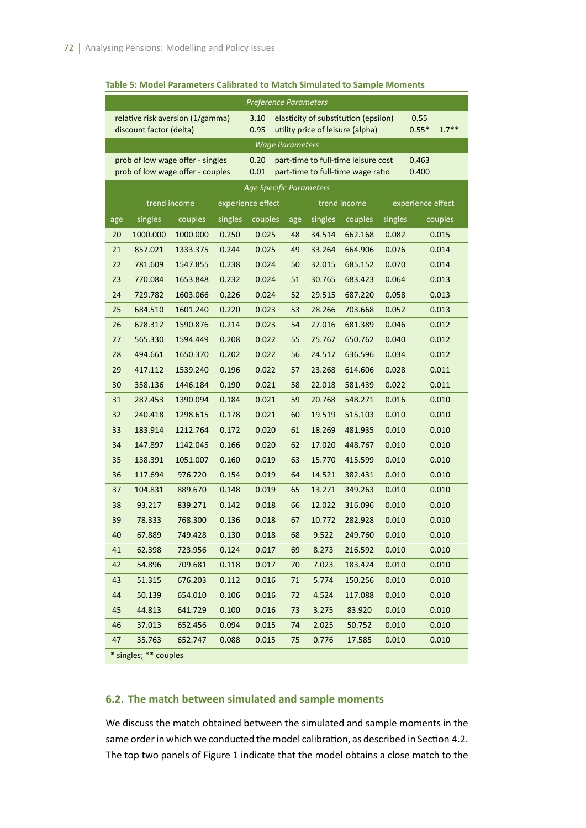|     |                         |                                  |         | <b>Preference Parameters</b> |     |         |                                      |         |                    |
|-----|-------------------------|----------------------------------|---------|------------------------------|-----|---------|--------------------------------------|---------|--------------------|
|     |                         | relative risk aversion (1/gamma) |         | 3.10                         |     |         | elasticity of substitution (epsilon) |         | 0.55               |
|     | discount factor (delta) |                                  |         | 0.95                         |     |         | utility price of leisure (alpha)     |         | $0.55*$<br>$1.7**$ |
|     |                         |                                  |         | <b>Wage Parameters</b>       |     |         |                                      |         |                    |
|     |                         | prob of low wage offer - singles |         | 0.20                         |     |         | part-time to full-time leisure cost  |         | 0.463              |
|     |                         | prob of low wage offer - couples |         | 0.01                         |     |         | part-time to full-time wage ratio    |         | 0.400              |
|     |                         |                                  |         | Age Specific Parameters      |     |         |                                      |         |                    |
|     |                         | trend income                     |         | experience effect            |     |         | trend income                         |         | experience effect  |
| age | singles                 | couples                          | singles | couples                      | age | singles | couples                              | singles | couples            |
| 20  | 1000.000                | 1000.000                         | 0.250   | 0.025                        | 48  | 34.514  | 662.168                              | 0.082   | 0.015              |
| 21  | 857.021                 | 1333.375                         | 0.244   | 0.025                        | 49  | 33.264  | 664.906                              | 0.076   | 0.014              |
| 22  | 781.609                 | 1547.855                         | 0.238   | 0.024                        | 50  | 32.015  | 685.152                              | 0.070   | 0.014              |
| 23  | 770.084                 | 1653.848                         | 0.232   | 0.024                        | 51  | 30.765  | 683.423                              | 0.064   | 0.013              |
| 24  | 729.782                 | 1603.066                         | 0.226   | 0.024                        | 52  | 29.515  | 687.220                              | 0.058   | 0.013              |
| 25  | 684.510                 | 1601.240                         | 0.220   | 0.023                        | 53  | 28.266  | 703.668                              | 0.052   | 0.013              |
| 26  | 628.312                 | 1590.876                         | 0.214   | 0.023                        | 54  | 27.016  | 681.389                              | 0.046   | 0.012              |
| 27  | 565.330                 | 1594.449                         | 0.208   | 0.022                        | 55  | 25.767  | 650.762                              | 0.040   | 0.012              |
| 28  | 494.661                 | 1650.370                         | 0.202   | 0.022                        | 56  | 24.517  | 636.596                              | 0.034   | 0.012              |
| 29  | 417.112                 | 1539.240                         | 0.196   | 0.022                        | 57  | 23.268  | 614.606                              | 0.028   | 0.011              |
| 30  | 358.136                 | 1446.184                         | 0.190   | 0.021                        | 58  | 22.018  | 581.439                              | 0.022   | 0.011              |
| 31  | 287.453                 | 1390.094                         | 0.184   | 0.021                        | 59  | 20.768  | 548.271                              | 0.016   | 0.010              |
| 32  | 240.418                 | 1298.615                         | 0.178   | 0.021                        | 60  | 19.519  | 515.103                              | 0.010   | 0.010              |
| 33  | 183.914                 | 1212.764                         | 0.172   | 0.020                        | 61  | 18.269  | 481.935                              | 0.010   | 0.010              |
| 34  | 147.897                 | 1142.045                         | 0.166   | 0.020                        | 62  | 17.020  | 448.767                              | 0.010   | 0.010              |
| 35  | 138.391                 | 1051.007                         | 0.160   | 0.019                        | 63  | 15.770  | 415.599                              | 0.010   | 0.010              |
| 36  | 117.694                 | 976.720                          | 0.154   | 0.019                        | 64  | 14.521  | 382.431                              | 0.010   | 0.010              |
| 37  | 104.831                 | 889.670                          | 0.148   | 0.019                        | 65  | 13.271  | 349.263                              | 0.010   | 0.010              |
| 38  | 93.217                  | 839.271                          | 0.142   | 0.018                        | 66  | 12.022  | 316.096                              | 0.010   | 0.010              |
| 39  | 78.333                  | 768.300                          | 0.136   | 0.018                        | 67  | 10.772  | 282.928                              | 0.010   | 0.010              |
| 40  | 67.889                  | 749.428                          | 0.130   | 0.018                        | 68  | 9.522   | 249.760                              | 0.010   | 0.010              |
| 41  | 62.398                  | 723.956                          | 0.124   | 0.017                        | 69  | 8.273   | 216.592                              | 0.010   | 0.010              |
| 42  | 54.896                  | 709.681                          | 0.118   | 0.017                        | 70  | 7.023   | 183.424                              | 0.010   | 0.010              |
| 43  | 51.315                  | 676.203                          | 0.112   | 0.016                        | 71  | 5.774   | 150.256                              | 0.010   | 0.010              |
| 44  | 50.139                  | 654.010                          | 0.106   | 0.016                        | 72  | 4.524   | 117.088                              | 0.010   | 0.010              |
| 45  | 44.813                  | 641.729                          | 0.100   | 0.016                        | 73  | 3.275   | 83.920                               | 0.010   | 0.010              |
| 46  | 37.013                  | 652.456                          | 0.094   | 0.015                        | 74  | 2.025   | 50.752                               | 0.010   | 0.010              |
| 47  | 35.763                  | 652.747                          | 0.088   | 0.015                        | 75  | 0.776   | 17.585                               | 0.010   | 0.010              |
|     | * singles; ** couples   |                                  |         |                              |     |         |                                      |         |                    |

#### **Table 5: Model Parameters Calibrated to Match Simulated to Sample Moments**

## **6.2. The match between simulated and sample moments**

We discuss the match obtained between the simulated and sample moments in the same order in which we conducted the model calibration, as described in Section 4.2. The top two panels of Figure 1 indicate that the model obtains a close match to the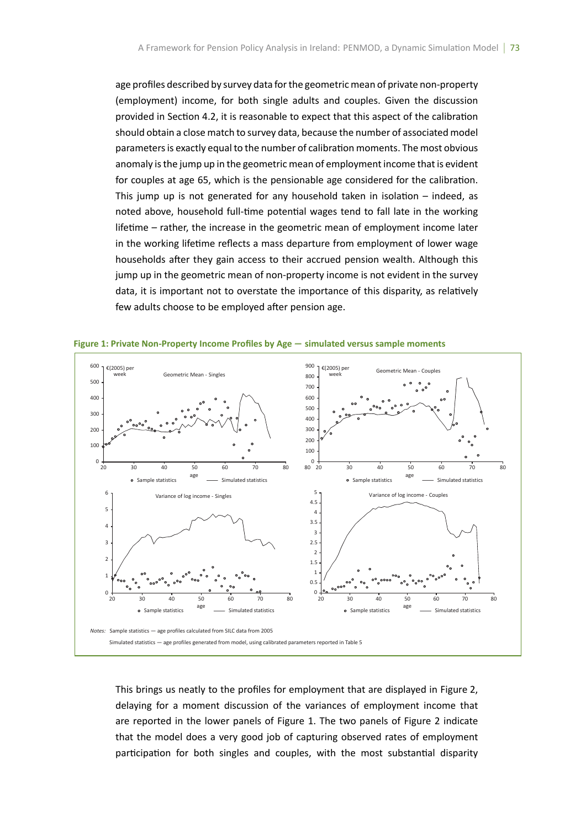age profiles described by survey data for the geometric mean of private non-property (employment) income, for both single adults and couples. Given the discussion provided in Section 4.2, it is reasonable to expect that this aspect of the calibration should obtain a close match to survey data, because the number of associated model parameters is exactly equal to the number of calibration moments. The most obvious anomaly is the jump up in the geometric mean of employment income that is evident for couples at age 65, which is the pensionable age considered for the calibration. This jump up is not generated for any household taken in isolation  $-$  indeed, as noted above, household full-time potential wages tend to fall late in the working lifetime – rather, the increase in the geometric mean of employment income later in the working lifetime reflects a mass departure from employment of lower wage households after they gain access to their accrued pension wealth. Although this jump up in the geometric mean of non-property income is not evident in the survey data, it is important not to overstate the importance of this disparity, as relatively few adults choose to be employed after pension age.



**Figure 1: Private Non-Property Income Profiles by Age** *−* **simulated versus sample moments**

This brings us neatly to the profiles for employment that are displayed in Figure 2, delaying for a moment discussion of the variances of employment income that are reported in the lower panels of Figure 1. The two panels of Figure 2 indicate that the model does a very good job of capturing observed rates of employment participation for both singles and couples, with the most substantial disparity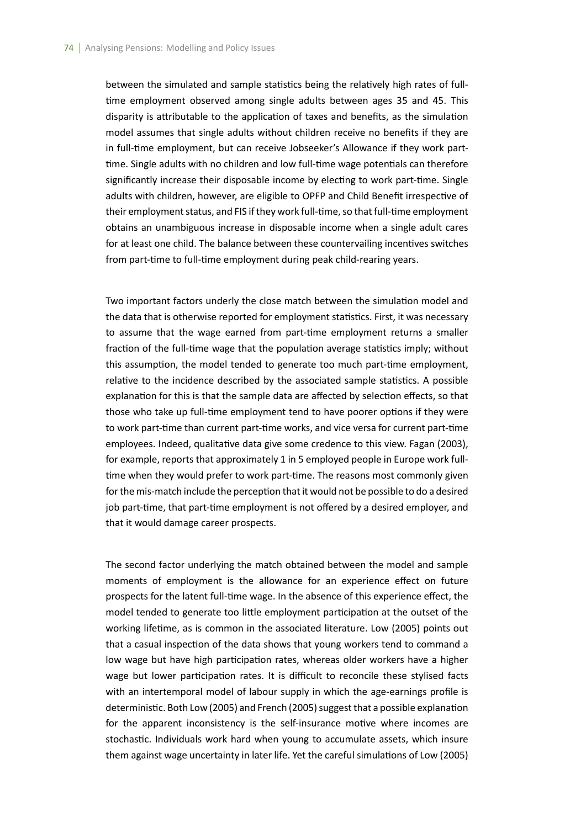between the simulated and sample statistics being the relatively high rates of fulltime employment observed among single adults between ages 35 and 45. This disparity is attributable to the application of taxes and benefits, as the simulation model assumes that single adults without children receive no benefits if they are in full-time employment, but can receive Jobseeker's Allowance if they work parttime. Single adults with no children and low full-time wage potentials can therefore significantly increase their disposable income by electing to work part-time. Single adults with children, however, are eligible to OPFP and Child Benefit irrespective of their employment status, and FIS if they work full-time, so that full-time employment obtains an unambiguous increase in disposable income when a single adult cares for at least one child. The balance between these countervailing incentives switches from part-time to full-time employment during peak child-rearing years.

Two important factors underly the close match between the simulation model and the data that is otherwise reported for employment statistics. First, it was necessary to assume that the wage earned from part-time employment returns a smaller fraction of the full-time wage that the population average statistics imply; without this assumption, the model tended to generate too much part-time employment, relative to the incidence described by the associated sample statistics. A possible explanation for this is that the sample data are affected by selection effects, so that those who take up full-time employment tend to have poorer options if they were to work part-time than current part-time works, and vice versa for current part-time employees. Indeed, qualitative data give some credence to this view. Fagan (2003), for example, reports that approximately 1 in 5 employed people in Europe work fulltime when they would prefer to work part-time. The reasons most commonly given for the mis-match include the perception that it would not be possible to do a desired job part-time, that part-time employment is not offered by a desired employer, and that it would damage career prospects.

The second factor underlying the match obtained between the model and sample moments of employment is the allowance for an experience effect on future prospects for the latent full-time wage. In the absence of this experience effect, the model tended to generate too little employment participation at the outset of the working lifetime, as is common in the associated literature. Low (2005) points out that a casual inspection of the data shows that young workers tend to command a low wage but have high participation rates, whereas older workers have a higher wage but lower participation rates. It is difficult to reconcile these stylised facts with an intertemporal model of labour supply in which the age-earnings profile is deterministic. Both Low (2005) and French (2005) suggest that a possible explanation for the apparent inconsistency is the self-insurance motive where incomes are stochastic. Individuals work hard when young to accumulate assets, which insure them against wage uncertainty in later life. Yet the careful simulations of Low (2005)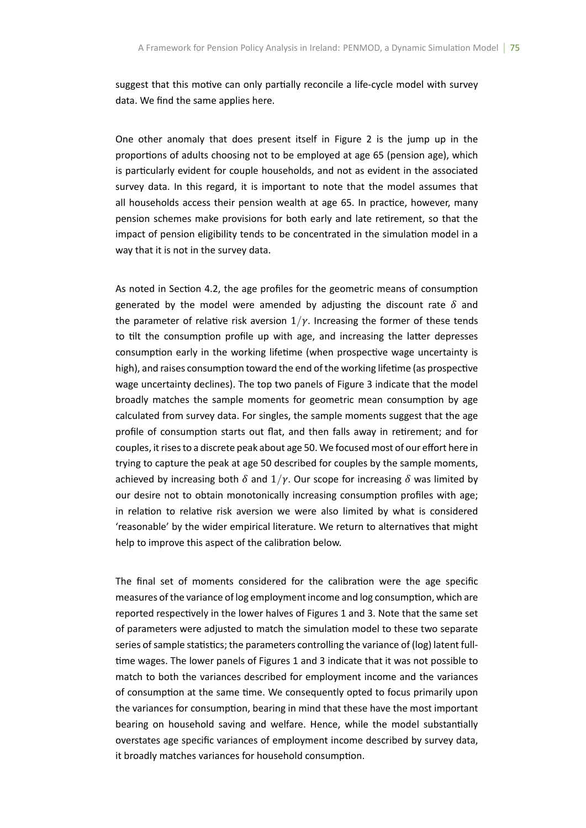suggest that this motive can only partially reconcile a life-cycle model with survey data. We find the same applies here.

One other anomaly that does present itself in Figure 2 is the jump up in the proportions of adults choosing not to be employed at age 65 (pension age), which is particularly evident for couple households, and not as evident in the associated survey data. In this regard, it is important to note that the model assumes that all households access their pension wealth at age 65. In practice, however, many pension schemes make provisions for both early and late retirement, so that the impact of pension eligibility tends to be concentrated in the simulation model in a way that it is not in the survey data.

As noted in Section 4.2, the age profiles for the geometric means of consumption generated by the model were amended by adjusting the discount rate  $\delta$  and the parameter of relative risk aversion  $1/y$ . Increasing the former of these tends to tilt the consumption profile up with age, and increasing the latter depresses consumption early in the working lifetime (when prospective wage uncertainty is high), and raises consumption toward the end of the working lifetime (as prospective wage uncertainty declines). The top two panels of Figure 3 indicate that the model broadly matches the sample moments for geometric mean consumption by age calculated from survey data. For singles, the sample moments suggest that the age profile of consumption starts out flat, and then falls away in retirement; and for couples, it rises to a discrete peak about age 50. We focused most of our effort here in trying to capture the peak at age 50 described for couples by the sample moments, achieved by increasing both  $\delta$  and  $1/\gamma$ . Our scope for increasing  $\delta$  was limited by our desire not to obtain monotonically increasing consumption profiles with age; in relation to relative risk aversion we were also limited by what is considered 'reasonable' by the wider empirical literature. We return to alternatives that might help to improve this aspect of the calibration below.

The final set of moments considered for the calibration were the age specific measures of the variance of log employment income and log consumption, which are reported respectively in the lower halves of Figures 1 and 3. Note that the same set of parameters were adjusted to match the simulation model to these two separate series of sample statistics; the parameters controlling the variance of (log) latent fulltime wages. The lower panels of Figures 1 and 3 indicate that it was not possible to match to both the variances described for employment income and the variances of consumption at the same time. We consequently opted to focus primarily upon the variances for consumption, bearing in mind that these have the most important bearing on household saving and welfare. Hence, while the model substantially overstates age specific variances of employment income described by survey data, it broadly matches variances for household consumption.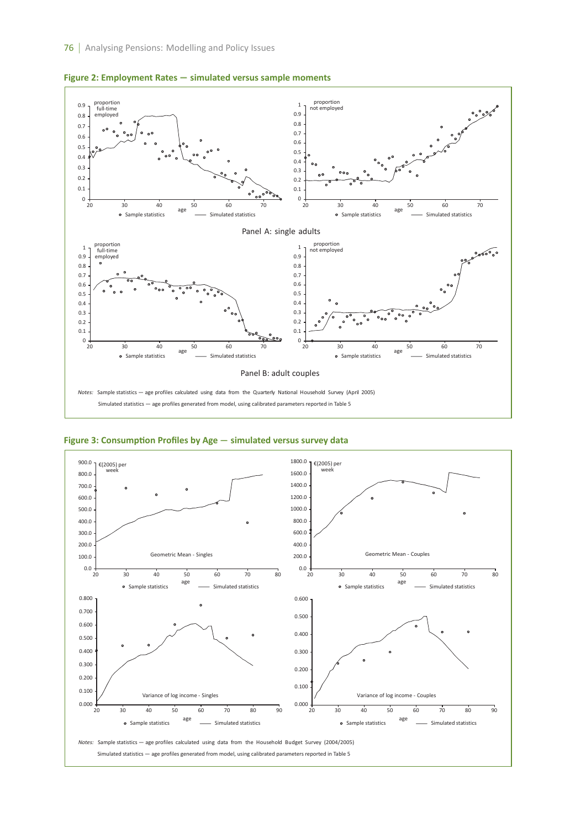





**Figure 3: ConsumpƟon Profiles by Age** *−* **simulated versus survey data**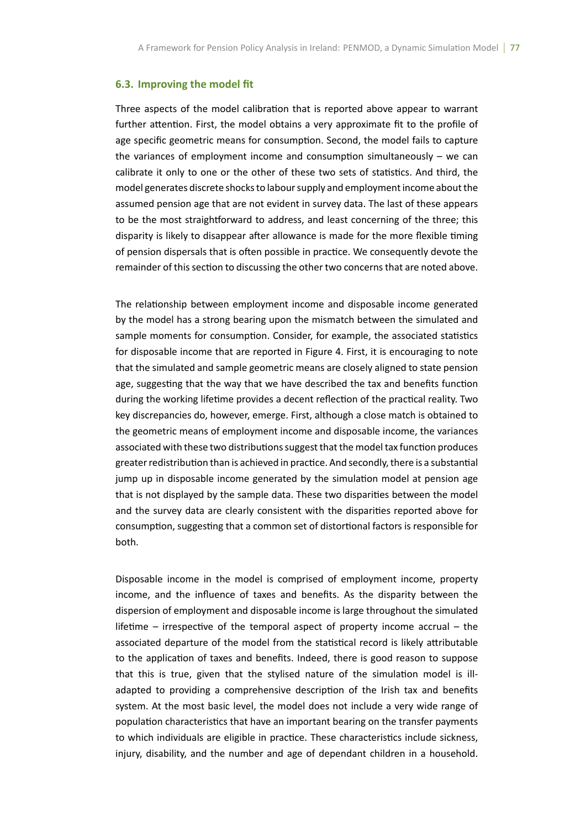#### **6.3. Improving the model fit**

Three aspects of the model calibration that is reported above appear to warrant further attention. First, the model obtains a very approximate fit to the profile of age specific geometric means for consumption. Second, the model fails to capture the variances of employment income and consumption simultaneously  $-$  we can calibrate it only to one or the other of these two sets of statistics. And third, the model generates discrete shocks to labour supply and employment income about the assumed pension age that are not evident in survey data. The last of these appears to be the most straightforward to address, and least concerning of the three; this disparity is likely to disappear after allowance is made for the more flexible timing of pension dispersals that is often possible in practice. We consequently devote the remainder of this section to discussing the other two concerns that are noted above.

The relationship between employment income and disposable income generated by the model has a strong bearing upon the mismatch between the simulated and sample moments for consumption. Consider, for example, the associated statistics for disposable income that are reported in Figure 4. First, it is encouraging to note that the simulated and sample geometric means are closely aligned to state pension age, suggesting that the way that we have described the tax and benefits function during the working lifetime provides a decent reflection of the practical reality. Two key discrepancies do, however, emerge. First, although a close match is obtained to the geometric means of employment income and disposable income, the variances associated with these two distributions suggest that the model tax function produces greater redistribution than is achieved in practice. And secondly, there is a substantial jump up in disposable income generated by the simulation model at pension age that is not displayed by the sample data. These two disparities between the model and the survey data are clearly consistent with the disparities reported above for consumption, suggesting that a common set of distortional factors is responsible for both.

Disposable income in the model is comprised of employment income, property income, and the influence of taxes and benefits. As the disparity between the dispersion of employment and disposable income is large throughout the simulated lifetime – irrespective of the temporal aspect of property income accrual – the associated departure of the model from the statistical record is likely attributable to the application of taxes and benefits. Indeed, there is good reason to suppose that this is true, given that the stylised nature of the simulation model is illadapted to providing a comprehensive description of the Irish tax and benefits system. At the most basic level, the model does not include a very wide range of population characteristics that have an important bearing on the transfer payments to which individuals are eligible in practice. These characteristics include sickness, injury, disability, and the number and age of dependant children in a household.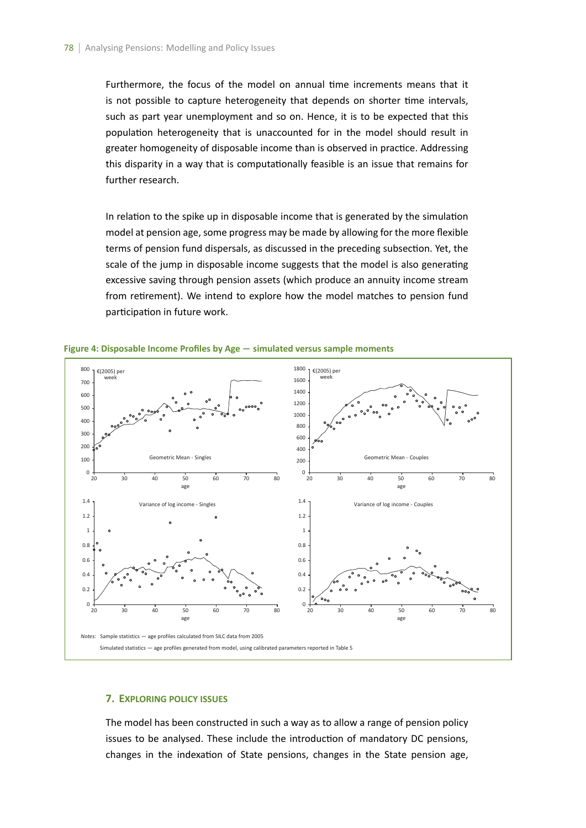Furthermore, the focus of the model on annual time increments means that it is not possible to capture heterogeneity that depends on shorter time intervals, such as part year unemployment and so on. Hence, it is to be expected that this population heterogeneity that is unaccounted for in the model should result in greater homogeneity of disposable income than is observed in practice. Addressing this disparity in a way that is computationally feasible is an issue that remains for further research.

In relation to the spike up in disposable income that is generated by the simulation model at pension age, some progress may be made by allowing for the more flexible terms of pension fund dispersals, as discussed in the preceding subsection. Yet, the scale of the jump in disposable income suggests that the model is also generating excessive saving through pension assets (which produce an annuity income stream from retirement). We intend to explore how the model matches to pension fund participation in future work.



**Figure 4: Disposable Income Profiles by Age** *−* **simulated versus sample moments**

## **7. EXPLORING POLICY ISSUES**

The model has been constructed in such a way as to allow a range of pension policy issues to be analysed. These include the introduction of mandatory DC pensions, changes in the indexation of State pensions, changes in the State pension age,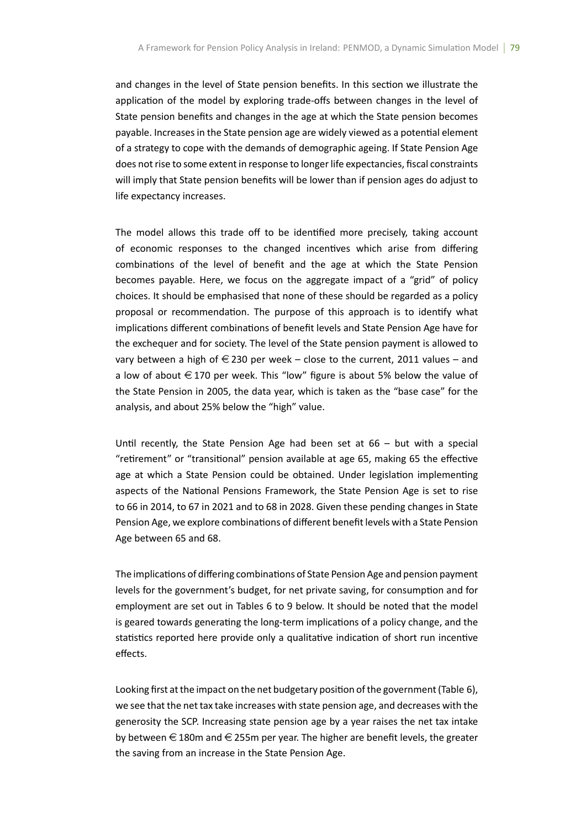and changes in the level of State pension benefits. In this section we illustrate the application of the model by exploring trade-offs between changes in the level of State pension benefits and changes in the age at which the State pension becomes payable. Increases in the State pension age are widely viewed as a potential element of a strategy to cope with the demands of demographic ageing. If State Pension Age does not rise to some extent in response to longer life expectancies, fiscal constraints will imply that State pension benefits will be lower than if pension ages do adjust to life expectancy increases.

The model allows this trade off to be identified more precisely, taking account of economic responses to the changed incentives which arise from differing combinations of the level of benefit and the age at which the State Pension becomes payable. Here, we focus on the aggregate impact of a "grid" of policy choices. It should be emphasised that none of these should be regarded as a policy proposal or recommendation. The purpose of this approach is to identify what implications different combinations of benefit levels and State Pension Age have for the exchequer and for society. The level of the State pension payment is allowed to vary between a high of  $\in$  230 per week – close to the current, 2011 values – and a low of about  $\epsilon$  170 per week. This "low" figure is about 5% below the value of the State Pension in 2005, the data year, which is taken as the "base case" for the analysis, and about 25% below the "high" value.

Until recently, the State Pension Age had been set at  $66 -$  but with a special "retirement" or "transitional" pension available at age 65, making 65 the effective age at which a State Pension could be obtained. Under legislation implementing aspects of the National Pensions Framework, the State Pension Age is set to rise to 66 in 2014, to 67 in 2021 and to 68 in 2028. Given these pending changes in State Pension Age, we explore combinations of different benefit levels with a State Pension Age between 65 and 68.

The implications of differing combinations of State Pension Age and pension payment levels for the government's budget, for net private saving, for consumption and for employment are set out in Tables 6 to 9 below. It should be noted that the model is geared towards generating the long-term implications of a policy change, and the statistics reported here provide only a qualitative indication of short run incentive effects.

Looking first at the impact on the net budgetary position of the government (Table 6), we see that the net tax take increases with state pension age, and decreases with the generosity the SCP. Increasing state pension age by a year raises the net tax intake by between  $\in$  180m and  $\in$  255m per year. The higher are benefit levels, the greater the saving from an increase in the State Pension Age.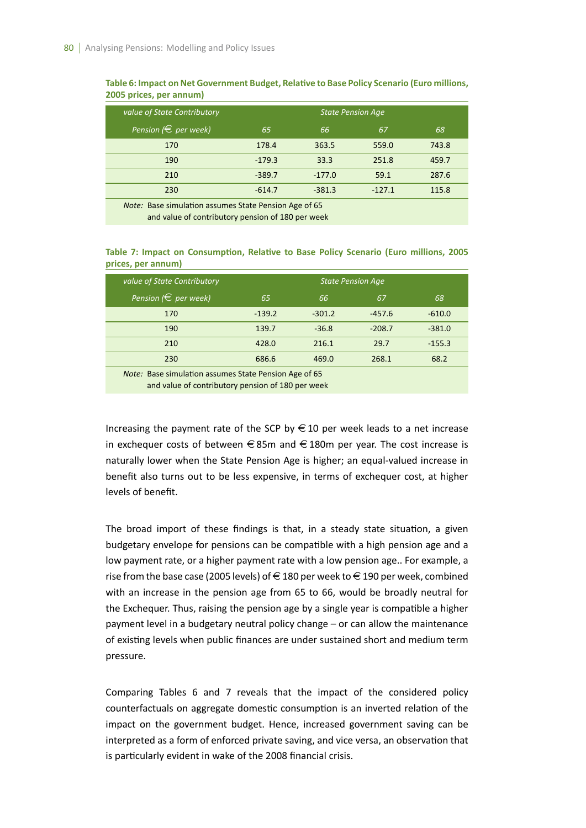| 66<br>363.5 | 67<br>559.0 | 68                                                    |
|-------------|-------------|-------------------------------------------------------|
|             |             |                                                       |
|             |             | 743.8                                                 |
| 33.3        | 251.8       | 459.7                                                 |
| $-177.0$    | 59.1        | 287.6                                                 |
| $-381.3$    | $-127.1$    | 115.8                                                 |
|             |             | Nata: Base simulation assumes State Dension Age of CE |

Table 6: Impact on Net Government Budget, Relative to Base Policy Scenario (Euro millions, **2005 prices, per annum)**

*Note:* Base simulation assumes State Pension Age of 65 *Note:* and value of contributory pension of 180 per week

Table 7: Impact on Consumption, Relative to Base Policy Scenario (Euro millions, 2005 **prices, per annum)**

| value of State Contributory                                                                                |          |          | <b>State Pension Age</b> |          |
|------------------------------------------------------------------------------------------------------------|----------|----------|--------------------------|----------|
| Pension ( $\in$ per week)                                                                                  | 65       | 66       | 67                       | 68       |
| 170                                                                                                        | $-139.2$ | $-301.2$ | $-457.6$                 | $-610.0$ |
| 190                                                                                                        | 139.7    | $-36.8$  | $-208.7$                 | $-381.0$ |
| 210                                                                                                        | 428.0    | 216.1    | 29.7                     | $-155.3$ |
| 230                                                                                                        | 686.6    | 469.0    | 268.1                    | 68.2     |
| Note: Base simulation assumes State Pension Age of 65<br>and value of contributory pension of 180 per week |          |          |                          |          |

Increasing the payment rate of the SCP by  $\in$  10 per week leads to a net increase in exchequer costs of between  $\in$  85m and  $\in$  180m per year. The cost increase is naturally lower when the State Pension Age is higher; an equal-valued increase in benefit also turns out to be less expensive, in terms of exchequer cost, at higher levels of benefit.

The broad import of these findings is that, in a steady state situation, a given budgetary envelope for pensions can be compatible with a high pension age and a low payment rate, or a higher payment rate with a low pension age.. For example, a rise from the base case (2005 levels) of  $\in$  180 per week to  $\in$  190 per week, combined with an increase in the pension age from 65 to 66, would be broadly neutral for the Exchequer. Thus, raising the pension age by a single year is compatible a higher payment level in a budgetary neutral policy change – or can allow the maintenance of existing levels when public finances are under sustained short and medium term pressure.

Comparing Tables 6 and 7 reveals that the impact of the considered policy counterfactuals on aggregate domestic consumption is an inverted relation of the impact on the government budget. Hence, increased government saving can be interpreted as a form of enforced private saving, and vice versa, an observation that is particularly evident in wake of the 2008 financial crisis.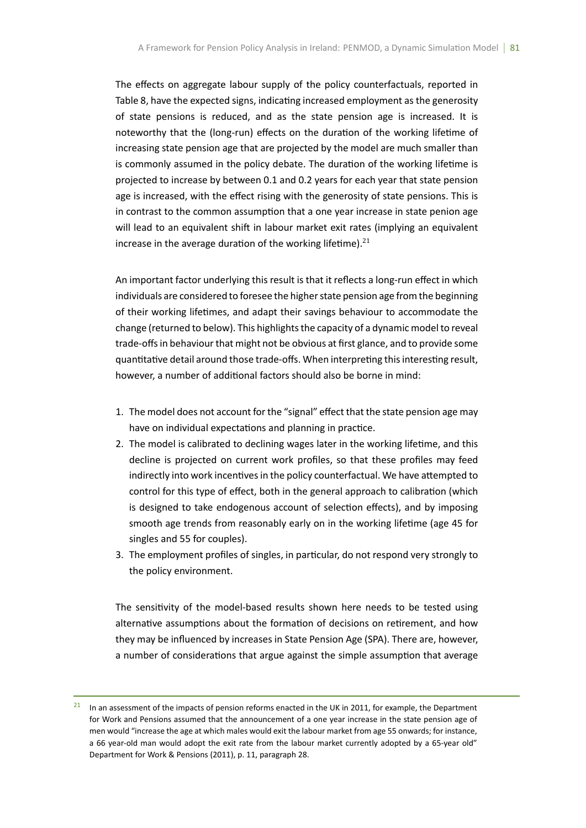The effects on aggregate labour supply of the policy counterfactuals, reported in Table 8, have the expected signs, indicating increased employment as the generosity of state pensions is reduced, and as the state pension age is increased. It is noteworthy that the (long-run) effects on the duration of the working lifetime of increasing state pension age that are projected by the model are much smaller than is commonly assumed in the policy debate. The duration of the working lifetime is projected to increase by between 0.1 and 0.2 years for each year that state pension age is increased, with the effect rising with the generosity of state pensions. This is in contrast to the common assumption that a one year increase in state penion age will lead to an equivalent shift in labour market exit rates (implying an equivalent increase in the average duration of the working lifetime). $^{21}$ 

An important factor underlying this result is that it reflects a long-run effect in which individuals are considered to foresee the higher state pension age from the beginning of their working lifetimes, and adapt their savings behaviour to accommodate the change (returned to below). This highlights the capacity of a dynamic model to reveal trade-offs in behaviour that might not be obvious at first glance, and to provide some quantitative detail around those trade-offs. When interpreting this interesting result, however, a number of additional factors should also be borne in mind:

- 1. The model does not account for the "signal" effect that the state pension age may have on individual expectations and planning in practice.
- 2. The model is calibrated to declining wages later in the working lifetime, and this decline is projected on current work profiles, so that these profiles may feed indirectly into work incentives in the policy counterfactual. We have attempted to control for this type of effect, both in the general approach to calibration (which is designed to take endogenous account of selection effects), and by imposing smooth age trends from reasonably early on in the working lifetime (age 45 for singles and 55 for couples).
- 3. The employment profiles of singles, in parƟcular, do not respond very strongly to the policy environment.

The sensitivity of the model-based results shown here needs to be tested using alternative assumptions about the formation of decisions on retirement, and how they may be influenced by increases in State Pension Age (SPA). There are, however, a number of considerations that argue against the simple assumption that average

In an assessment of the impacts of pension reforms enacted in the UK in 2011, for example, the Department for Work and Pensions assumed that the announcement of a one year increase in the state pension age of men would "increase the age at which males would exit the labour market from age 55 onwards; for instance, a 66 year-old man would adopt the exit rate from the labour market currently adopted by a 65-year old" Department for Work & Pensions (2011), p. 11, paragraph 28.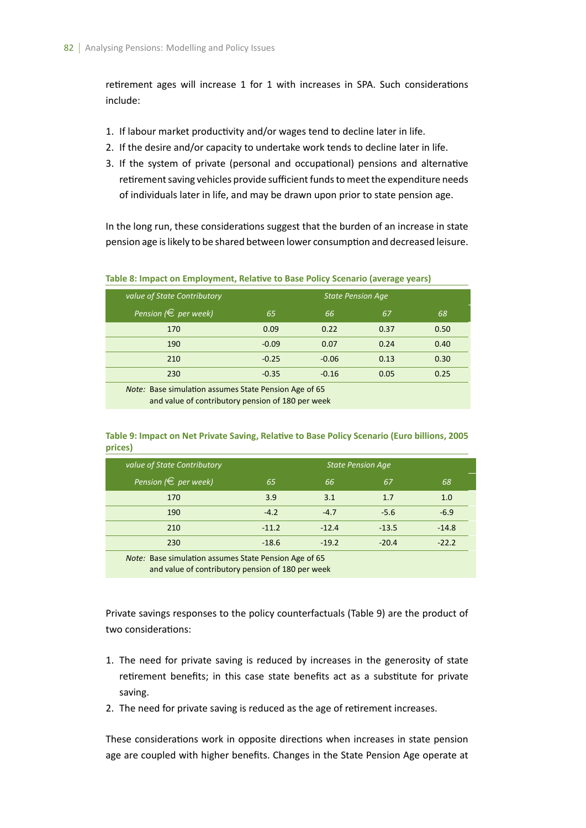retirement ages will increase 1 for 1 with increases in SPA. Such considerations include:

- 1. If labour market productivity and/or wages tend to decline later in life.
- 2. If the desire and/or capacity to undertake work tends to decline later in life.
- 3. If the system of private (personal and occupational) pensions and alternative retirement saving vehicles provide sufficient funds to meet the expenditure needs of individuals later in life, and may be drawn upon prior to state pension age.

In the long run, these considerations suggest that the burden of an increase in state pension age is likely to be shared between lower consumption and decreased leisure.

| value of State Contributory                                  |         | <b>State Pension Age</b> |      |      |
|--------------------------------------------------------------|---------|--------------------------|------|------|
| Pension ( $\in$ per week)                                    | 65      | 66                       | 67   | 68   |
| 170                                                          | 0.09    | 0.22                     | 0.37 | 0.50 |
| 190                                                          | $-0.09$ | 0.07                     | 0.24 | 0.40 |
| 210                                                          | $-0.25$ | $-0.06$                  | 0.13 | 0.30 |
| 230                                                          | $-0.35$ | $-0.16$                  | 0.05 | 0.25 |
| <i>Note:</i> Base simulation assumes State Pension Age of 65 |         |                          |      |      |
| and value of contributory pension of 180 per week            |         |                          |      |      |

**Table 8: Impact on Employment, Relative to Base Policy Scenario (average years)** 

## Table 9: Impact on Net Private Saving, Relative to Base Policy Scenario (Euro billions, 2005 **prices)**

| value of State Contributory |         | State Pension Age |         |         |
|-----------------------------|---------|-------------------|---------|---------|
| Pension ( $\in$ per week)   | 65      | 66                | 67      | 68      |
| 170                         | 3.9     | 3.1               | 1.7     | 1.0     |
| 190                         | $-4.2$  | $-4.7$            | $-5.6$  | $-6.9$  |
| 210                         | $-11.2$ | $-12.4$           | $-13.5$ | $-14.8$ |
| 230                         | $-18.6$ | $-19.2$           | $-20.4$ | $-22.2$ |

*Note:* Base simulation assumes State Pension Age of 65 and value of contributory pension of 180 per week

Private savings responses to the policy counterfactuals (Table 9) are the product of two considerations:

- 1. The need for private saving is reduced by increases in the generosity of state retirement benefits; in this case state benefits act as a substitute for private saving.
- 2. The need for private saving is reduced as the age of retirement increases.

These considerations work in opposite directions when increases in state pension age are coupled with higher benefits. Changes in the State Pension Age operate at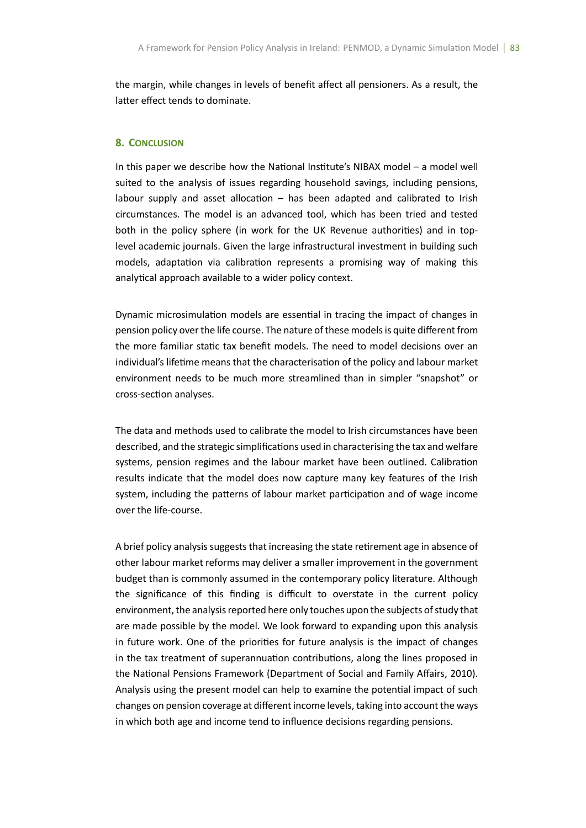the margin, while changes in levels of benefit affect all pensioners. As a result, the latter effect tends to dominate.

#### **8. CONCLUSION**

In this paper we describe how the National Institute's NIBAX model – a model well suited to the analysis of issues regarding household savings, including pensions, labour supply and asset allocation  $-$  has been adapted and calibrated to Irish circumstances. The model is an advanced tool, which has been tried and tested both in the policy sphere (in work for the UK Revenue authorities) and in toplevel academic journals. Given the large infrastructural investment in building such models, adaptation via calibration represents a promising way of making this analytical approach available to a wider policy context.

Dynamic microsimulation models are essential in tracing the impact of changes in pension policy over the life course. The nature of these models is quite different from the more familiar static tax benefit models. The need to model decisions over an individual's lifetime means that the characterisation of the policy and labour market environment needs to be much more streamlined than in simpler "snapshot" or cross-secƟon analyses.

The data and methods used to calibrate the model to Irish circumstances have been described, and the strategic simplifications used in characterising the tax and welfare systems, pension regimes and the labour market have been outlined. Calibration results indicate that the model does now capture many key features of the Irish system, including the patterns of labour market participation and of wage income over the life-course.

A brief policy analysis suggests that increasing the state retirement age in absence of other labour market reforms may deliver a smaller improvement in the government budget than is commonly assumed in the contemporary policy literature. Although the significance of this finding is difficult to overstate in the current policy environment, the analysis reported here only touches upon the subjects of study that are made possible by the model. We look forward to expanding upon this analysis in future work. One of the priorities for future analysis is the impact of changes in the tax treatment of superannuation contributions, along the lines proposed in the National Pensions Framework (Department of Social and Family Affairs, 2010). Analysis using the present model can help to examine the potential impact of such changes on pension coverage at different income levels, taking into account the ways in which both age and income tend to influence decisions regarding pensions.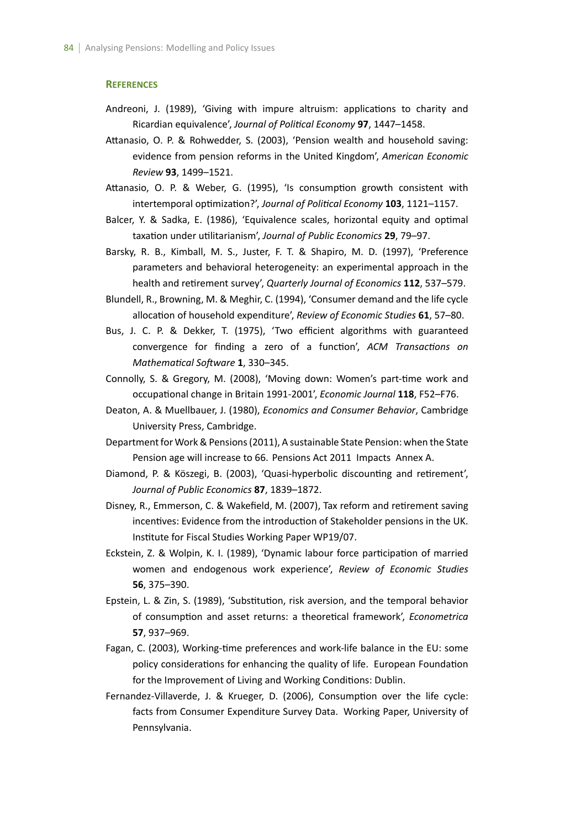#### **REFERENCES**

- Andreoni, J. (1989), 'Giving with impure altruism: applications to charity and Ricardian equivalence', *Journal of PoliƟcal Economy* **97**, 1447–1458.
- Attanasio, O. P. & Rohwedder, S. (2003), 'Pension wealth and household saving: evidence from pension reforms in the United Kingdom', *American Economic Review* **93**, 1499–1521.
- Attanasio, O. P. & Weber, G. (1995), 'Is consumption growth consistent with intertemporal optimization?', *Journal of Political Economy* 103, 1121-1157.
- Balcer, Y. & Sadka, E. (1986), 'Equivalence scales, horizontal equity and optimal taxaƟon under uƟlitarianism', *Journal of Public Economics* **29**, 79–97.
- Barsky, R. B., Kimball, M. S., Juster, F. T. & Shapiro, M. D. (1997), 'Preference parameters and behavioral heterogeneity: an experimental approach in the health and retirement survey', *Quarterly Journal of Economics* 112, 537–579.
- Blundell, R., Browning, M. & Meghir, C. (1994), 'Consumer demand and the life cycle allocaƟon of household expenditure', *Review of Economic Studies* **61**, 57–80.
- Bus, J. C. P. & Dekker, T. (1975), 'Two efficient algorithms with guaranteed convergence for finding a zero of a function', ACM Transactions on *Mathematical Software* 1, 330-345.
- Connolly, S. & Gregory, M. (2008), 'Moving down: Women's part-time work and occupaƟonal change in Britain 1991-2001', *Economic Journal* **118**, F52–F76.
- Deaton, A. & Muellbauer, J. (1980), *Economics and Consumer Behavior*, Cambridge University Press, Cambridge.
- Department for Work & Pensions (2011), A sustainable State Pension: when the State Pension age will increase to 66. Pensions Act 2011 Impacts Annex A.
- Diamond, P. & Köszegi, B. (2003), 'Quasi-hyperbolic discounting and retirement', *Journal of Public Economics* **87**, 1839–1872.
- Disney, R., Emmerson, C. & Wakefield, M. (2007), Tax reform and retirement saving incentives: Evidence from the introduction of Stakeholder pensions in the UK. Institute for Fiscal Studies Working Paper WP19/07.
- Eckstein, Z. & Wolpin, K. I. (1989), 'Dynamic labour force participation of married women and endogenous work experience', *Review of Economic Studies* **56**, 375–390.
- Epstein, L. & Zin, S. (1989), 'Substitution, risk aversion, and the temporal behavior of consumpƟon and asset returns: a theoreƟcal framework', *Econometrica* **57**, 937–969.
- Fagan, C. (2003), Working-time preferences and work-life balance in the EU: some policy considerations for enhancing the quality of life. European Foundation for the Improvement of Living and Working Conditions: Dublin.
- Fernandez-Villaverde, J. & Krueger, D. (2006), Consumption over the life cycle: facts from Consumer Expenditure Survey Data. Working Paper, University of Pennsylvania.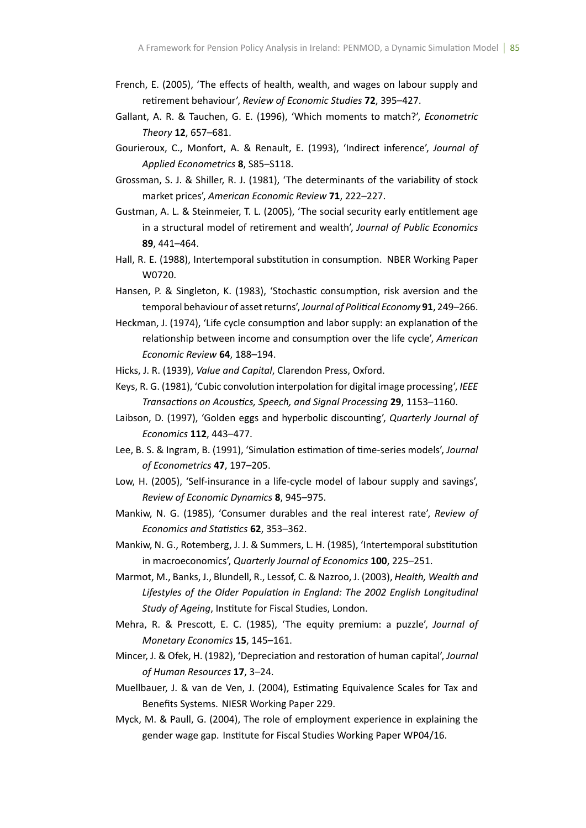- French, E. (2005), 'The effects of health, wealth, and wages on labour supply and retirement behaviour', *Review of Economic Studies* 72, 395-427.
- Gallant, A. R. & Tauchen, G. E. (1996), 'Which moments to match?', *Econometric Theory* **12**, 657–681.
- Gourieroux, C., Monfort, A. & Renault, E. (1993), 'Indirect inference', *Journal of Applied Econometrics* **8**, S85–S118.
- Grossman, S. J. & Shiller, R. J. (1981), 'The determinants of the variability of stock market prices', *American Economic Review* **71**, 222–227.
- Gustman, A. L. & Steinmeier, T. L. (2005), 'The social security early entitlement age in a structural model of retirement and wealth', *Journal of Public Economics* **89**, 441–464.
- Hall, R. E. (1988), Intertemporal substitution in consumption. NBER Working Paper W0720.
- Hansen, P. & Singleton, K. (1983), 'Stochastic consumption, risk aversion and the temporal behaviour of asset returns', Journal of Political Economy 91, 249–266.
- Heckman, J. (1974), 'Life cycle consumption and labor supply: an explanation of the relationship between income and consumption over the life cycle', *American Economic Review* **64**, 188–194.
- Hicks, J. R. (1939), *Value and Capital*, Clarendon Press, Oxford.
- Keys, R. G. (1981), 'Cubic convolution interpolation for digital image processing', *IEEE TransacƟons on AcousƟcs, Speech, and Signal Processing* **29**, 1153–1160.
- Laibson, D. (1997), 'Golden eggs and hyperbolic discounting', *Quarterly Journal of Economics* **112**, 443–477.
- Lee, B. S. & Ingram, B. (1991), 'Simulation estimation of time-series models', *Journal of Econometrics* **47**, 197–205.
- Low, H. (2005), 'Self-insurance in a life-cycle model of labour supply and savings', *Review of Economic Dynamics* **8**, 945–975.
- Mankiw, N. G. (1985), 'Consumer durables and the real interest rate', *Review of Economics and StaƟsƟcs* **62**, 353–362.
- Mankiw, N. G., Rotemberg, J. J. & Summers, L. H. (1985), 'Intertemporal substitution in macroeconomics', *Quarterly Journal of Economics* **100**, 225–251.
- Marmot, M., Banks, J., Blundell, R., Lessof, C. & Nazroo, J. (2003), *Health, Wealth and* Lifestyles of the Older Population in England: The 2002 English Longitudinal **Study of Ageing, Institute for Fiscal Studies, London.**
- Mehra, R. & PrescoƩ, E. C. (1985), 'The equity premium: a puzzle', *Journal of Monetary Economics* **15**, 145–161.
- Mincer, J. & Ofek, H. (1982), 'Depreciation and restoration of human capital', *Journal of Human Resources* **17**, 3–24.
- Muellbauer, J. & van de Ven, J. (2004), Estimating Equivalence Scales for Tax and Benefits Systems. NIESR Working Paper 229.
- Myck, M. & Paull, G. (2004), The role of employment experience in explaining the gender wage gap. Institute for Fiscal Studies Working Paper WP04/16.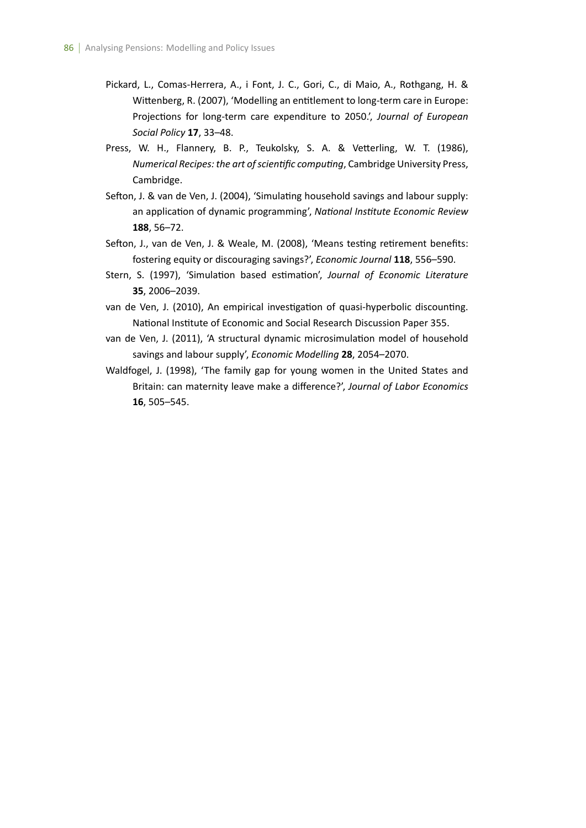- Pickard, L., Comas-Herrera, A., i Font, J. C., Gori, C., di Maio, A., Rothgang, H. & Wittenberg, R. (2007), 'Modelling an entitlement to long-term care in Europe: Projections for long-term care expenditure to 2050.', *Journal of European Social Policy* **17**, 33–48.
- Press, W. H., Flannery, B. P., Teukolsky, S. A. & Vetterling, W. T. (1986), *Numerical Recipes: the art of scientific computing*, Cambridge University Press, Cambridge.
- Sefton, J. & van de Ven, J. (2004), 'Simulating household savings and labour supply: an application of dynamic programming', *National Institute Economic Review* **188**, 56–72.
- Sefton, J., van de Ven, J. & Weale, M. (2008), 'Means testing retirement benefits: fostering equity or discouraging savings?', *Economic Journal* **118**, 556–590.
- Stern, S. (1997), 'Simulation based estimation', *Journal of Economic Literature* **35**, 2006–2039.
- van de Ven, J. (2010), An empirical investigation of quasi-hyperbolic discounting. National Institute of Economic and Social Research Discussion Paper 355.
- van de Ven, J. (2011), 'A structural dynamic microsimulation model of household savings and labour supply', *Economic Modelling* **28**, 2054–2070.
- Waldfogel, J. (1998), 'The family gap for young women in the United States and Britain: can maternity leave make a difference?', *Journal of Labor Economics* **16**, 505–545.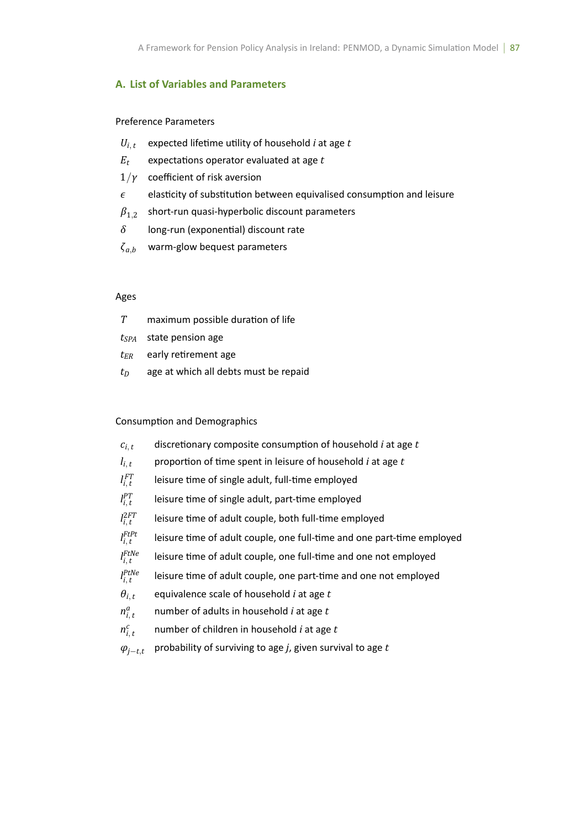## **A. List of Variables and Parameters**

Preference Parameters

- $U_{i,t}$  expected lifetime utility of household *i* at age *t*
- $E_t$  expectations operator evaluated at age  $t$
- 1*/γ* coefficient of risk aversion
- *ϵ* elasƟcity of subsƟtuƟon between equivalised consumpƟon and leisure
- $\beta_{1,2}^-$  short-run quasi-hyperbolic discount parameters
- *δ* long-run (exponenƟal) discount rate
- *ζa,<sup>b</sup>* warm-glow bequest parameters

## Ages

| T | maximum possible duration of life |
|---|-----------------------------------|
|   | $t_{SPA}$ state pension age       |
|   | $t_{ER}$ early retirement age     |
|   |                                   |

 $t_D$  age at which all debts must be repaid

## Consumption and Demographics

| $c_{i,t}$         | discretionary composite consumption of household <i>i</i> at age t     |
|-------------------|------------------------------------------------------------------------|
| $l_{i,t}$         | proportion of time spent in leisure of household <i>i</i> at age t     |
| $l_{i,t}^{FT}$    | leisure time of single adult, full-time employed                       |
| $l_{i. t}^{PT}$   | leisure time of single adult, part-time employed                       |
| $l_{i,t}^{2FT}$   | leisure time of adult couple, both full-time employed                  |
| $I_{i,t}^{FtPt}$  | leisure time of adult couple, one full-time and one part-time employed |
| $I_i^{FtNe}$      | leisure time of adult couple, one full-time and one not employed       |
| $l_i^{PtNe}$      | leisure time of adult couple, one part-time and one not employed       |
| $\theta_{i,t}$    | equivalence scale of household <i>i</i> at age t                       |
| $n_{i, t}^a$      | number of adults in household <i>i</i> at age t                        |
| $n_{i,t}^c$       | number of children in household <i>i</i> at age t                      |
| $\varphi_{j-t,t}$ | probability of surviving to age $j$ , given survival to age $t$        |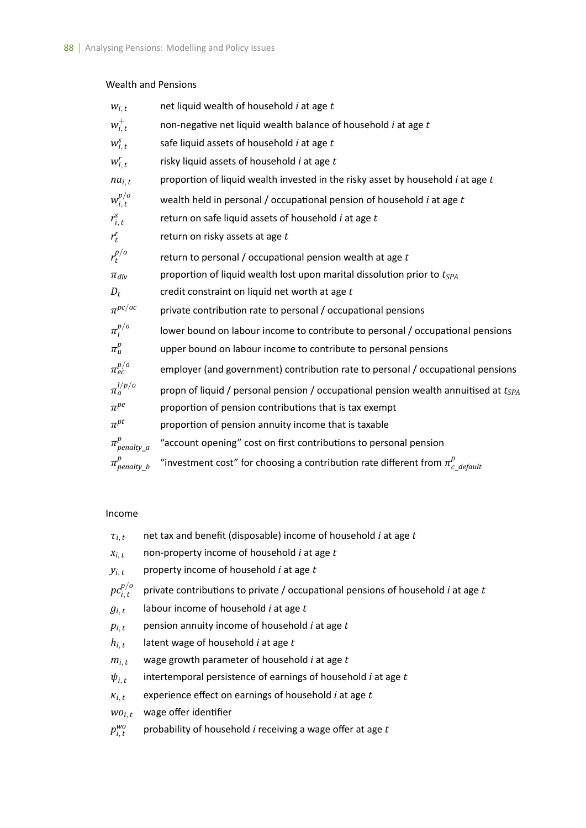## Wealth and Pensions

| $W_{i,t}$             | net liquid wealth of household $i$ at age $t$                                              |
|-----------------------|--------------------------------------------------------------------------------------------|
| $w_{i,t}^+$           | non-negative net liquid wealth balance of household <i>i</i> at age t                      |
| $W_{i,t}^S$           | safe liquid assets of household <i>i</i> at age t                                          |
| $W_{i,t}^r$           | risky liquid assets of household <i>i</i> at age t                                         |
| $nu_{i, t}$           | proportion of liquid wealth invested in the risky asset by household $i$ at age $t$        |
| $w_{i,t}^{p/o}$       | wealth held in personal / occupational pension of household $i$ at age $t$                 |
| $r_{i, t}^s$          | return on safe liquid assets of household <i>i</i> at age t                                |
| $r_t^r$               | return on risky assets at age t                                                            |
| $r_t^{p/o}$           | return to personal / occupational pension wealth at age $t$                                |
| $\pi_{div}$           | proportion of liquid wealth lost upon marital dissolution prior to t <sub>SPA</sub>        |
| $D_t$                 | credit constraint on liquid net worth at age t                                             |
| $\pi^{pc/oc}$         | private contribution rate to personal / occupational pensions                              |
| $\pi_l^{p/o}$         | lower bound on labour income to contribute to personal / occupational pensions             |
| $\pi_u^p$             | upper bound on labour income to contribute to personal pensions                            |
| $\pi_{ec}^{p/o}$      | employer (and government) contribution rate to personal / occupational pensions            |
| $\pi_a^{l/p/o}$       | propn of liquid / personal pension / occupational pension wealth annuitised at $t_{SPA}$   |
| $\pi^{pe}$            | proportion of pension contributions that is tax exempt                                     |
| $\pi^{pt}$            | proportion of pension annuity income that is taxable                                       |
| $\pi_{penalty_a}^{p}$ | "account opening" cost on first contributions to personal pension                          |
| $\pi_{penalty_b}^p$   | "investment cost" for choosing a contribution rate different from $\pi_{c\_default}^{\nu}$ |

## Income

| $\tau_{i,t}$     | net tax and benefit (disposable) income of household <i>i</i> at age t                         |
|------------------|------------------------------------------------------------------------------------------------|
| $X_{i, t}$       | non-property income of household <i>i</i> at age t                                             |
| $y_{i,t}$        | property income of household <i>i</i> at age t                                                 |
| $pc^{p/o}_{i,t}$ | private contributions to private / occupational pensions of household <i>i</i> at age <i>t</i> |
| $g_{i,t}$        | labour income of household $i$ at age $t$                                                      |
| $p_{i, t}$       | pension annuity income of household <i>i</i> at age t                                          |
| $h_{i, t}$       | latent wage of household <i>i</i> at age t                                                     |
| $m_{i, t}$       | wage growth parameter of household <i>i</i> at age t                                           |
| $\psi_{i,t}$     | intertemporal persistence of earnings of household <i>i</i> at age t                           |
| $\kappa_{i, t}$  | experience effect on earnings of household <i>i</i> at age t                                   |
| $WO_{i, t}$      | wage offer identifier                                                                          |
| $p_{i,t}^{wo}$   | probability of household <i>i</i> receiving a wage offer at age t                              |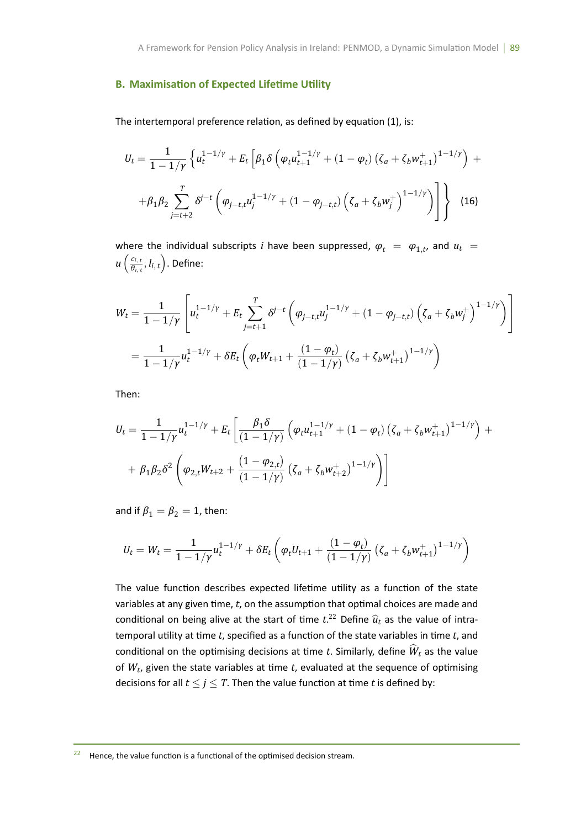## **B. Maximisation of Expected Lifetime Utility**

The intertemporal preference relation, as defined by equation (1), is:

$$
U_{t} = \frac{1}{1 - 1/\gamma} \left\{ u_{t}^{1 - 1/\gamma} + E_{t} \left[ \beta_{1} \delta \left( \varphi_{t} u_{t+1}^{1 - 1/\gamma} + (1 - \varphi_{t}) \left( \zeta_{a} + \zeta_{b} w_{t+1}^{+} \right)^{1 - 1/\gamma} \right) \right. + \left. \beta_{1} \beta_{2} \sum_{j=t+2}^{T} \delta^{j-t} \left( \varphi_{j-t,t} u_{j}^{1 - 1/\gamma} + (1 - \varphi_{j-t,t}) \left( \zeta_{a} + \zeta_{b} w_{j}^{+} \right)^{1 - 1/\gamma} \right) \right] \right\} \tag{16}
$$

where the individual subscripts *i* have been suppressed,  $\varphi_t = \varphi_{1,t}$ , and  $u_t =$  $u\left(\frac{c_{i,t}}{a_i}\right)$  $\left(\frac{\hat{e}_{i,t}}{\hat{\theta}_{i,t}}, l_{i,t}\right)$ . Define:

$$
W_t = \frac{1}{1 - 1/\gamma} \left[ u_t^{1 - 1/\gamma} + E_t \sum_{j=t+1}^T \delta^{j-t} \left( \varphi_{j-t,t} u_j^{1 - 1/\gamma} + (1 - \varphi_{j-t,t}) \left( \zeta_a + \zeta_b w_j^+ \right)^{1 - 1/\gamma} \right) \right]
$$
  
= 
$$
\frac{1}{1 - 1/\gamma} u_t^{1 - 1/\gamma} + \delta E_t \left( \varphi_t W_{t+1} + \frac{(1 - \varphi_t)}{(1 - 1/\gamma)} \left( \zeta_a + \zeta_b w_{t+1}^+ \right)^{1 - 1/\gamma} \right)
$$

Then:

$$
U_t = \frac{1}{1 - 1/\gamma} u_t^{1 - 1/\gamma} + E_t \left[ \frac{\beta_1 \delta}{(1 - 1/\gamma)} \left( \varphi_t u_{t+1}^{1 - 1/\gamma} + (1 - \varphi_t) \left( \zeta_a + \zeta_b w_{t+1}^+ \right)^{1 - 1/\gamma} \right) +
$$
  
+  $\beta_1 \beta_2 \delta^2 \left( \varphi_{2,t} W_{t+2} + \frac{(1 - \varphi_{2,t})}{(1 - 1/\gamma)} \left( \zeta_a + \zeta_b w_{t+2}^+ \right)^{1 - 1/\gamma} \right) \right]$ 

and if  $\beta_1 = \beta_2 = 1$ , then:

$$
U_t = W_t = \frac{1}{1 - 1/\gamma} u_t^{1 - 1/\gamma} + \delta E_t \left( \varphi_t U_{t+1} + \frac{(1 - \varphi_t)}{(1 - 1/\gamma)} \left( \zeta_a + \zeta_b w_{t+1}^+ \right)^{1 - 1/\gamma} \right)
$$

The value function describes expected lifetime utility as a function of the state variables at any given time, *t*, on the assumption that optimal choices are made and conditional on being alive at the start of time  $t^{22}$  Define  $\widehat{u}_t$  as the value of intratemporal utility at time *t*, specified as a function of the state variables in time *t*, and conditional on the optimising decisions at time *t*. Similarly, define  $\hat{W}_t$  as the value of  $W_t$ , given the state variables at time  $t$ , evaluated at the sequence of optimising decisions for all  $t \leq j \leq T$ . Then the value function at time *t* is defined by:

<sup>&</sup>lt;sup>22</sup> Hence, the value function is a functional of the optimised decision stream.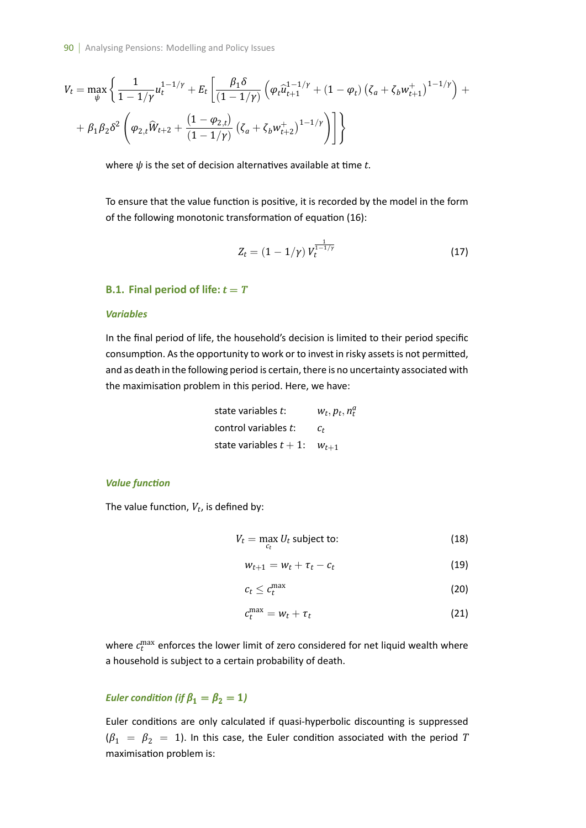$$
V_t = \max_{\psi} \left\{ \frac{1}{1 - 1/\gamma} u_t^{1 - 1/\gamma} + E_t \left[ \frac{\beta_1 \delta}{(1 - 1/\gamma)} \left( \varphi_t \hat{u}_{t+1}^{1 - 1/\gamma} + (1 - \varphi_t) \left( \zeta_a + \zeta_b w_{t+1}^+ \right)^{1 - 1/\gamma} \right) + \right. \\ \left. + \beta_1 \beta_2 \delta^2 \left( \varphi_{2,t} \hat{W}_{t+2} + \frac{(1 - \varphi_{2,t})}{(1 - 1/\gamma)} \left( \zeta_a + \zeta_b w_{t+2}^+ \right)^{1 - 1/\gamma} \right) \right] \right\}
$$

where  $\psi$  is the set of decision alternatives available at time  $t$ .

To ensure that the value function is positive, it is recorded by the model in the form of the following monotonic transformation of equation (16):

$$
Z_t = (1 - 1/\gamma) V_t^{\frac{1}{1 - 1/\gamma}}
$$
 (17)

#### **B.1. Final period of life:**  $t = T$

#### *Variables*

In the final period of life, the household's decision is limited to their period specific consumption. As the opportunity to work or to invest in risky assets is not permitted, and as death in the following period is certain, there is no uncertainty associated with the maximisation problem in this period. Here, we have:

| state variables t:                | $W_t, p_t, n_t^a$ |  |
|-----------------------------------|-------------------|--|
| control variables t:              | C+                |  |
| state variables $t+1$ : $w_{t+1}$ |                   |  |

#### *Value funcƟon*

The value function,  $V_t$ , is defined by:

$$
V_t = \max_{c_t} U_t \text{ subject to:}
$$
 (18)

$$
w_{t+1} = w_t + \tau_t - c_t \tag{19}
$$

$$
c_t \leq c_t^{\max} \tag{20}
$$

$$
c_t^{\max} = w_t + \tau_t \tag{21}
$$

where  $c_t^{\max}$  enforces the lower limit of zero considered for net liquid wealth where a household is subject to a certain probability of death.

## *Euler condition (if*  $\beta_1 = \beta_2 = 1$ )

Euler conditions are only calculated if quasi-hyperbolic discounting is suppressed  $(\beta_1 = \beta_2 = 1)$ . In this case, the Euler condition associated with the period *T* maximisation problem is: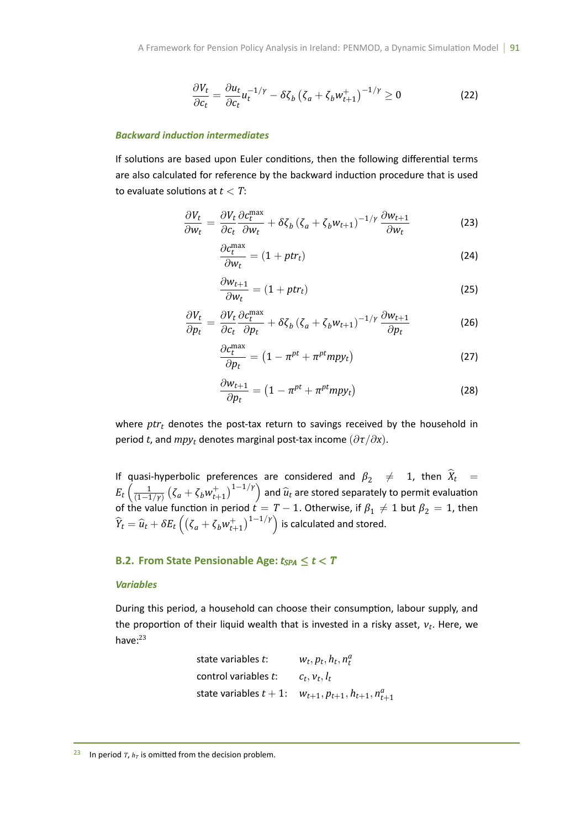$$
\frac{\partial V_t}{\partial c_t} = \frac{\partial u_t}{\partial c_t} u_t^{-1/\gamma} - \delta \zeta_b \left( \zeta_a + \zeta_b w_{t+1}^+ \right)^{-1/\gamma} \ge 0 \tag{22}
$$

#### *Backward inducƟon intermediates*

If solutions are based upon Euler conditions, then the following differential terms are also calculated for reference by the backward induction procedure that is used to evaluate solutions at  $t < T$ :

$$
\frac{\partial V_t}{\partial w_t} = \frac{\partial V_t}{\partial c_t} \frac{\partial c_t^{\max}}{\partial w_t} + \delta \zeta_b \left( \zeta_a + \zeta_b w_{t+1} \right)^{-1/\gamma} \frac{\partial w_{t+1}}{\partial w_t}
$$
(23)

$$
\frac{\partial c_t^{\text{max}}}{\partial w_t} = (1 + ptr_t) \tag{24}
$$

$$
\frac{\partial w_{t+1}}{\partial w_t} = (1 + ptr_t) \tag{25}
$$

$$
\frac{\partial V_t}{\partial p_t} = \frac{\partial V_t}{\partial c_t} \frac{\partial c_t^{\text{max}}}{\partial p_t} + \delta \zeta_b \left( \zeta_a + \zeta_b w_{t+1} \right)^{-1/\gamma} \frac{\partial w_{t+1}}{\partial p_t}
$$
(26)

$$
\frac{\partial c_t^{\text{max}}}{\partial p_t} = \left(1 - \pi^{pt} + \pi^{pt} m p y_t\right) \tag{27}
$$

$$
\frac{\partial w_{t+1}}{\partial p_t} = \left(1 - \pi^{pt} + \pi^{pt} m p y_t\right) \tag{28}
$$

where *ptr<sub>t</sub>* denotes the post-tax return to savings received by the household in period *t*, and  $mpy_t$  denotes marginal post-tax income  $(\partial \tau / \partial x)$ .

If quasi-hyperbolic preferences are considered and  $\beta_2 \neq 1$ , then  $X_t =$  $E_t\left(\frac{1}{11-t}\right)$ (1*−*1*/γ*)  $(\zeta_a + \zeta_b w_{t+1}^+)$ <sup>1-1/*Y*</sup>) and  $\hat{u}_t$  are stored separately to permit evaluation of the value function in period  $t = T - 1$ . Otherwise, if  $\beta_1 \neq 1$  but  $\beta_2 = 1$ , then  $\widehat{Y}_t = \widehat{u}_t + \delta E_t \left( \left( \zeta_a + \zeta_b w_{t+1}^+ \right)^{1-1/\gamma} \right)$  is calculated and stored.

## **B.2. From State Pensionable Age:**  $t_{SPA} \le t < T$

#### *Variables*

During this period, a household can choose their consumption, labour supply, and the proportion of their liquid wealth that is invested in a risky asset, *ν*<sub>t</sub>. Here, we have: $23$ 

state variables *t*: 
$$
w_t, p_t, h_t, n_t^a
$$
  
control variables *t*:  $c_t, v_t, l_t$   
state variables  $t + 1$ :  $w_{t+1}, p_{t+1}, h_{t+1}, n_{t+1}^a$ 

<sup>&</sup>lt;sup>23</sup> In period *T*,  $h_T$  is omitted from the decision problem.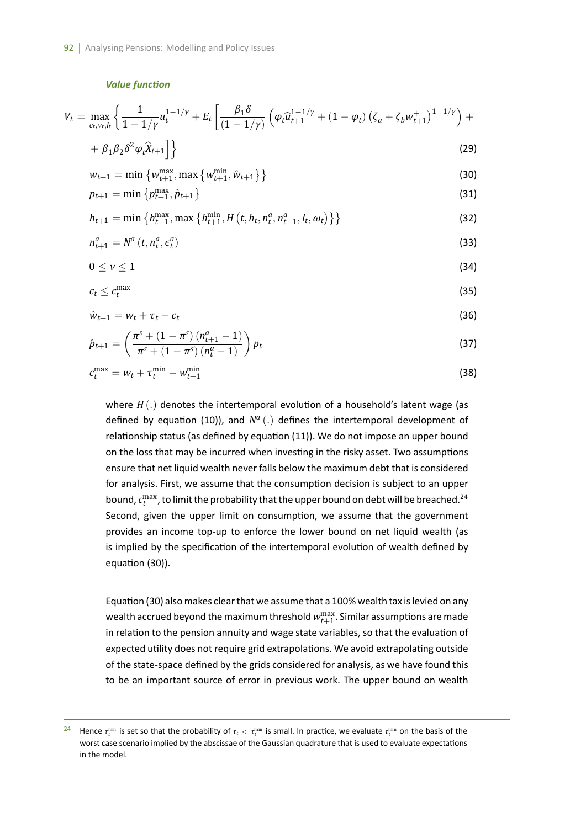#### *Value funcƟon*

$$
V_{t} = \max_{c_{t}, v_{t}, l_{t}} \left\{ \frac{1}{1 - 1/\gamma} u_{t}^{1 - 1/\gamma} + E_{t} \left[ \frac{\beta_{1} \delta}{(1 - 1/\gamma)} \left( \varphi_{t} \hat{u}_{t+1}^{1 - 1/\gamma} + (1 - \varphi_{t}) \left( \zeta_{a} + \zeta_{b} w_{t+1}^{+} \right)^{1 - 1/\gamma} \right) + \right. \\ \left. + \beta_{1} \beta_{2} \delta^{2} \varphi_{t} \hat{X}_{t+1} \right] \right\}
$$
(29)

$$
+\beta_1\beta_2\delta^2\varphi_t\hat{X}_{t+1}\bigg]\bigg\} \tag{29}
$$

$$
w_{t+1} = \min \left\{ w_{t+1}^{\max}, \max \left\{ w_{t+1}^{\min}, \hat{w}_{t+1} \right\} \right\}
$$
\n(30)

$$
p_{t+1} = \min \left\{ p_{t+1}^{\max}, \hat{p}_{t+1} \right\} \tag{31}
$$

$$
h_{t+1} = \min\left\{h_{t+1}^{\max}, \max\left\{h_{t+1}^{\min}, H\left(t, h_t, n_t^a, n_{t+1}^a, l_t, \omega_t\right)\right\}\right\} \tag{32}
$$

$$
n_{t+1}^a = N^a \left( t, n_t^a, \epsilon_t^a \right) \tag{33}
$$

$$
0\leq \nu\leq 1\tag{34}
$$

$$
c_t \leq c_t^{\max} \tag{35}
$$

$$
\hat{w}_{t+1} = w_t + \tau_t - c_t \tag{36}
$$

$$
\hat{p}_{t+1} = \left(\frac{\pi^s + (1 - \pi^s) (n_{t+1}^a - 1)}{\pi^s + (1 - \pi^s) (n_t^a - 1)}\right) p_t
$$
\n(37)

$$
c_t^{\max} = w_t + \tau_t^{\min} - w_{t+1}^{\min} \tag{38}
$$

where  $H(.)$  denotes the intertemporal evolution of a household's latent wage (as defined by equation (10)), and  $N^a$   $(.)$  defines the intertemporal development of relationship status (as defined by equation (11)). We do not impose an upper bound on the loss that may be incurred when investing in the risky asset. Two assumptions ensure that net liquid wealth never falls below the maximum debt that is considered for analysis. First, we assume that the consumption decision is subject to an upper bound,  $c_t^{\max}$ , to limit the probability that the upper bound on debt will be breached. $^{24}$ Second, given the upper limit on consumption, we assume that the government provides an income top-up to enforce the lower bound on net liquid wealth (as is implied by the specification of the intertemporal evolution of wealth defined by equation (30)).

Equation (30) also makes clear that we assume that a 100% wealth tax is levied on any wealth accrued beyond the maximum threshold  $w_{t+1}^{\mathrm{max}}.$  Similar assumptions are made in relation to the pension annuity and wage state variables, so that the evaluation of expected utility does not require grid extrapolations. We avoid extrapolating outside of the state-space defined by the grids considered for analysis, as we have found this to be an important source of error in previous work. The upper bound on wealth

<sup>&</sup>lt;sup>24</sup> Hence  $\tau_t^{\min}$  is set so that the probability of  $\tau_t < \tau_t^{\min}$  is small. In practice, we evaluate  $\tau_t^{\min}$  on the basis of the worst case scenario implied by the abscissae of the Gaussian quadrature that is used to evaluate expectations in the model.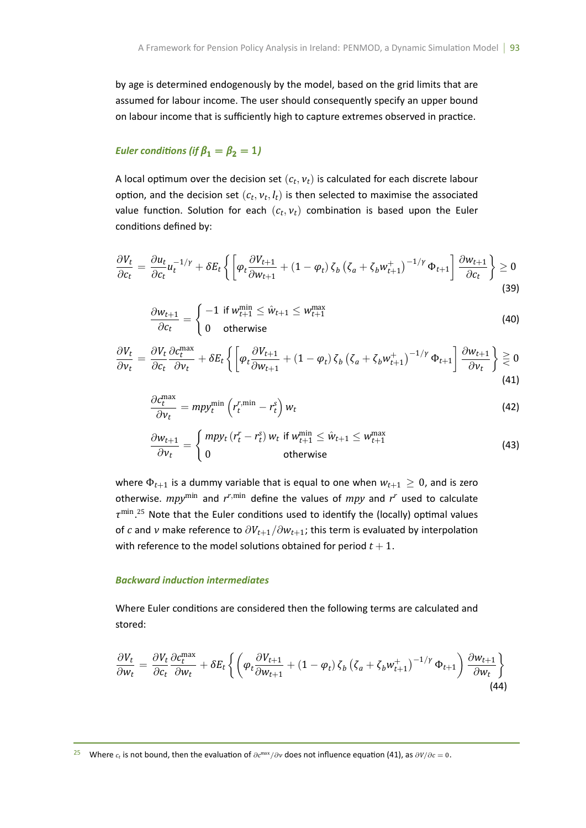by age is determined endogenously by the model, based on the grid limits that are assumed for labour income. The user should consequently specify an upper bound on labour income that is sufficiently high to capture extremes observed in practice.

## *Euler conditions (if*  $\beta_1 = \beta_2 = 1$ )

A local optimum over the decision set  $(c_t, v_t)$  is calculated for each discrete labour option, and the decision set  $(c_t, v_t, l_t)$  is then selected to maximise the associated value function. Solution for each  $(c_t, v_t)$  combination is based upon the Euler conditions defined by:

$$
\frac{\partial V_t}{\partial c_t} = \frac{\partial u_t}{\partial c_t} u_t^{-1/\gamma} + \delta E_t \left\{ \left[ \varphi_t \frac{\partial V_{t+1}}{\partial w_{t+1}} + (1 - \varphi_t) \zeta_b \left( \zeta_a + \zeta_b w_{t+1}^+ \right)^{-1/\gamma} \Phi_{t+1} \right] \frac{\partial w_{t+1}}{\partial c_t} \right\} \ge 0
$$
\n(39)

$$
\frac{\partial w_{t+1}}{\partial c_t} = \begin{cases} -1 & \text{if } w_{t+1}^{\min} \le \hat{w}_{t+1} \le w_{t+1}^{\max} \\ 0 & \text{otherwise} \end{cases} \tag{40}
$$

$$
\frac{\partial V_t}{\partial v_t} = \frac{\partial V_t}{\partial c_t} \frac{\partial c_t^{\text{max}}}{\partial v_t} + \delta E_t \left\{ \left[ \varphi_t \frac{\partial V_{t+1}}{\partial w_{t+1}} + (1 - \varphi_t) \zeta_b \left( \zeta_a + \zeta_b w_{t+1}^+ \right)^{-1/\gamma} \Phi_{t+1} \right] \frac{\partial w_{t+1}}{\partial v_t} \right\} \geq 0
$$
\n(41)

$$
\frac{\partial c_t^{\max}}{\partial v_t} = m p y_t^{\min} \left( r_t^{r,\min} - r_t^s \right) w_t \tag{42}
$$

$$
\frac{\partial w_{t+1}}{\partial v_t} = \begin{cases} mpy_t \left( r_t^r - r_t^s \right) w_t \text{ if } w_{t+1}^{\min} \le \hat{w}_{t+1} \le w_{t+1}^{\max} \\ 0 \qquad \qquad \text{otherwise} \end{cases}
$$
\n(43)

where  $\Phi_{t+1}$  is a dummy variable that is equal to one when  $w_{t+1} \geq 0$ , and is zero otherwise. *mpy*min and *r <sup>r</sup>,*min define the values of *mpy* and *r <sup>r</sup>* used to calculate *τ*<sup>min</sup>.<sup>25</sup> Note that the Euler conditions used to identify the (locally) optimal values of *c* and *v* make reference to  $\partial V_{t+1}/\partial w_{t+1}$ ; this term is evaluated by interpolation with reference to the model solutions obtained for period  $t + 1$ .

#### *Backward inducƟon intermediates*

Where Euler conditions are considered then the following terms are calculated and stored:

$$
\frac{\partial V_t}{\partial w_t} = \frac{\partial V_t}{\partial c_t} \frac{\partial c_t^{\max}}{\partial w_t} + \delta E_t \left\{ \left( \varphi_t \frac{\partial V_{t+1}}{\partial w_{t+1}} + (1 - \varphi_t) \zeta_b \left( \zeta_a + \zeta_b w_{t+1}^+ \right)^{-1/\gamma} \Phi_{t+1} \right) \frac{\partial w_{t+1}}{\partial w_t} \right\}
$$
(44)

<sup>25</sup> Where *<sup>c</sup><sup>t</sup>* is not bound, then the evaluaƟon of *<sup>∂</sup><sup>c</sup>* max*/∂ν* does not influence equaƟon (41), as *∂V/∂c* = 0.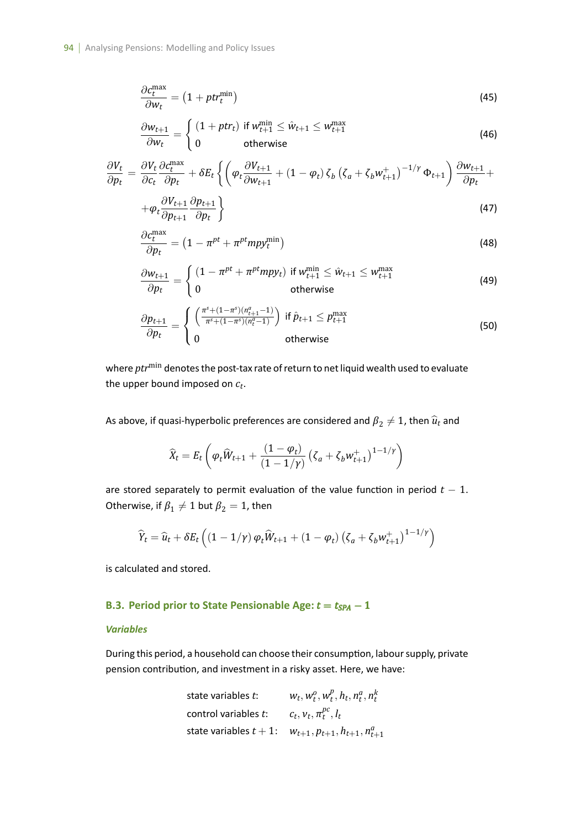$$
\frac{\partial c_t^{\text{max}}}{\partial w_t} = \left(1 + pt_t^{\text{min}}\right) \tag{45}
$$

$$
\frac{\partial w_{t+1}}{\partial w_t} = \begin{cases} (1 + ptr_t) & \text{if } w_{t+1}^{\min} \le \hat{w}_{t+1} \le w_{t+1}^{\max} \\ 0 & \text{otherwise} \end{cases}
$$
(46)

$$
\frac{\partial V_t}{\partial p_t} = \frac{\partial V_t}{\partial c_t} \frac{\partial c_t^{\text{max}}}{\partial p_t} + \delta E_t \left\{ \left( \varphi_t \frac{\partial V_{t+1}}{\partial w_{t+1}} + (1 - \varphi_t) \zeta_b \left( \zeta_a + \zeta_b w_{t+1}^+ \right)^{-1/\gamma} \Phi_{t+1} \right) \frac{\partial w_{t+1}}{\partial p_t} + \right. \\
\left. + \varphi_t \frac{\partial V_{t+1}}{\partial p_{t+1}} \frac{\partial p_{t+1}}{\partial p_t} \right\} \tag{47}
$$

$$
\frac{\partial c_t^{\text{max}}}{\partial p_t} = \left(1 - \pi^{pt} + \pi^{pt} m p y_t^{\text{min}}\right)
$$
\n(48)

$$
\frac{\partial w_{t+1}}{\partial p_t} = \begin{cases} (1 - \pi^{pt} + \pi^{pt} m p y_t) & \text{if } w_{t+1}^{\min} \le \hat{w}_{t+1} \le w_{t+1}^{\max} \\ 0 & \text{otherwise} \end{cases}
$$
(49)

$$
\frac{\partial p_{t+1}}{\partial p_t} = \begin{cases} \left( \frac{\pi^s + (1 - \pi^s)(n_{t+1}^a - 1)}{\pi^s + (1 - \pi^s)(n_t^a - 1)} \right) & \text{if } \hat{p}_{t+1} \le p_{t+1}^{\max} \\ 0 & \text{otherwise} \end{cases}
$$
(50)

where *ptr*min denotes the post-tax rate of return to net liquid wealth used to evaluate the upper bound imposed on *c<sup>t</sup>* .

As above, if quasi-hyperbolic preferences are considered and  $\pmb{\beta}_2\neq 1$ , then  $\widehat{\pmb{u}}_t$  and

$$
\widehat{X}_t = E_t \left( \varphi_t \widehat{W}_{t+1} + \frac{(1 - \varphi_t)}{(1 - 1/\gamma)} \left( \zeta_a + \zeta_b w_{t+1}^+ \right)^{1 - 1/\gamma} \right)
$$

are stored separately to permit evaluation of the value function in period  $t - 1$ . Otherwise, if  $\pmb{\beta}_1 \neq 1$  but  $\pmb{\beta}_2 = 1$ , then

$$
\widehat{Y}_t = \widehat{u}_t + \delta E_t \left( \left( 1 - 1/\gamma \right) \varphi_t \widehat{W}_{t+1} + \left( 1 - \varphi_t \right) \left( \zeta_a + \zeta_b w_{t+1}^+ \right)^{1 - 1/\gamma} \right)
$$

is calculated and stored.

## **B.3. Period prior to State Pensionable Age:** *t* = *tSPA −* 1

## *Variables*

During this period, a household can choose their consumption, labour supply, private pension contribution, and investment in a risky asset. Here, we have:

state variables 
$$
t
$$
:  
\n $w_t, w_t^o, w_t^p, h_t, n_t^a, n_t^k$   
\ncontrol variables  $t$ :  
\nstate variables  $t + 1$ :  
\n $w_{t+1}, p_{t+1}, h_{t+1}, n_{t+1}^a$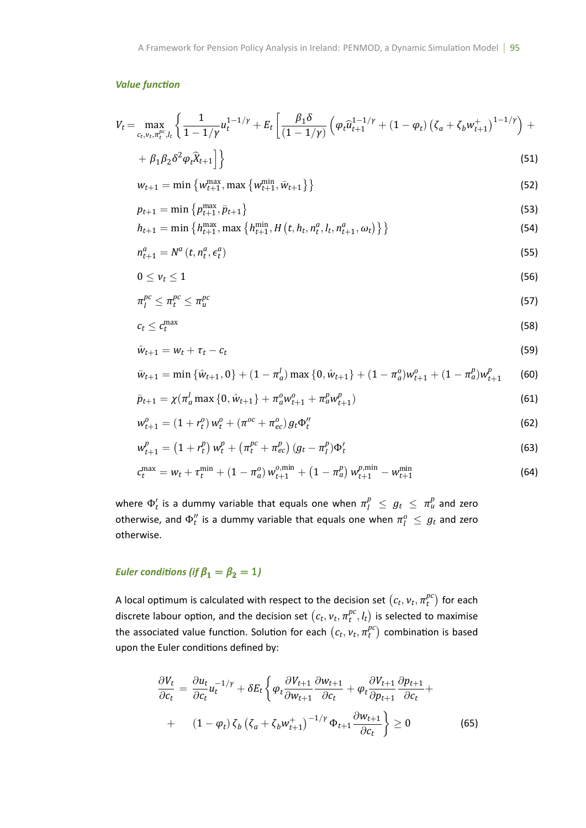## *Value funcƟon*

$$
V_t = \max_{c_t, v_t, \pi_t^{pc}, l_t} \left\{ \frac{1}{1 - 1/\gamma} u_t^{1 - 1/\gamma} + E_t \left[ \frac{\beta_1 \delta}{(1 - 1/\gamma)} \left( \varphi_t \hat{u}_{t+1}^{1 - 1/\gamma} + (1 - \varphi_t) \left( \zeta_a + \zeta_b w_{t+1}^+ \right)^{1 - 1/\gamma} \right) + \right. \right\}
$$

$$
+\beta_1\beta_2\delta^2\varphi_t\widehat{X}_{t+1}\bigg]\bigg\}\tag{51}
$$

$$
w_{t+1} = \min \left\{ w_{t+1}^{\max}, \max \left\{ w_{t+1}^{\min}, \bar{w}_{t+1} \right\} \right\}
$$
\n(52)

$$
p_{t+1} = \min \left\{ p_{t+1}^{\max}, \bar{p}_{t+1} \right\} \tag{53}
$$

$$
h_{t+1} = \min\left\{h_{t+1}^{\max}, \max\left\{h_{t+1}^{\min}, H\left(t, h_t, n_t^a, l_t, n_{t+1}^a, \omega_t\right)\right\}\right\} \tag{54}
$$

$$
n_{t+1}^a = N^a \left( t, n_t^a, \epsilon_t^a \right) \tag{55}
$$

$$
0 \leq \nu_t \leq 1 \tag{56}
$$

$$
\pi_l^{pc} \leq \pi_l^{pc} \leq \pi_u^{pc} \tag{57}
$$

$$
c_t \leq c_t^{\max} \tag{58}
$$

$$
\hat{w}_{t+1} = w_t + \tau_t - c_t \tag{59}
$$

$$
\bar{w}_{t+1} = \min \left\{ \hat{w}_{t+1}, 0 \right\} + (1 - \pi_a^l) \max \left\{ 0, \hat{w}_{t+1} \right\} + (1 - \pi_a^o) w_{t+1}^o + (1 - \pi_a^p) w_{t+1}^p \tag{60}
$$

$$
\bar{p}_{t+1} = \chi(\pi_a^l \max\{0, \hat{w}_{t+1}\} + \pi_a^o w_{t+1}^o + \pi_a^p w_{t+1}^p)
$$
(61)

$$
w_{t+1}^{o} = (1 + r_t^o) w_t^o + (\pi^{oc} + \pi_{ec}^o) g_t \Phi_t^{\prime\prime}
$$
\n(62)

$$
w_{t+1}^p = (1 + r_t^p) w_t^p + (\pi_t^{pc} + \pi_{ec}^p) (g_t - \pi_t^p) \Phi_t'
$$
 (63)

$$
c_t^{\max} = w_t + \tau_t^{\min} + (1 - \pi_a^0) w_{t+1}^{o, \min} + (1 - \pi_a^p) w_{t+1}^{p, \min} - w_{t+1}^{\min}
$$
 (64)

where  $\Phi'_t$  is a dummy variable that equals one when  $\pi^p_l ~\leq~ g_t ~\leq~ \pi^p_u$  and zero otherwise, and  $\Phi_t''$  is a dummy variable that equals one when  $\pi_l^o \leq g_t$  and zero otherwise.

# *Euler conditions (if*  $\beta_1 = \beta_2 = 1$ )

A local optimum is calculated with respect to the decision set  $(c_t, v_t, \pi_t^{pc})$  $t^{pc}_{t})$  for each discrete labour option, and the decision set  $(c_t, v_t, \pi_t^{pc})$  $_{t}^{pc}, l_{t})$  is selected to maximise the associated value function. Solution for each  $(c_t, v_t, \pi_t^{pc})$  $t^{pc}_{t}$ ) combination is based upon the Euler conditions defined by:

$$
\frac{\partial V_t}{\partial c_t} = \frac{\partial u_t}{\partial c_t} u_t^{-1/\gamma} + \delta E_t \left\{ \varphi_t \frac{\partial V_{t+1}}{\partial w_{t+1}} \frac{\partial w_{t+1}}{\partial c_t} + \varphi_t \frac{\partial V_{t+1}}{\partial p_{t+1}} \frac{\partial p_{t+1}}{\partial c_t} + \right.
$$
  
+ 
$$
(1 - \varphi_t) \zeta_b \left( \zeta_a + \zeta_b w_{t+1}^+ \right)^{-1/\gamma} \Phi_{t+1} \frac{\partial w_{t+1}}{\partial c_t} \right\} \ge 0
$$
 (65)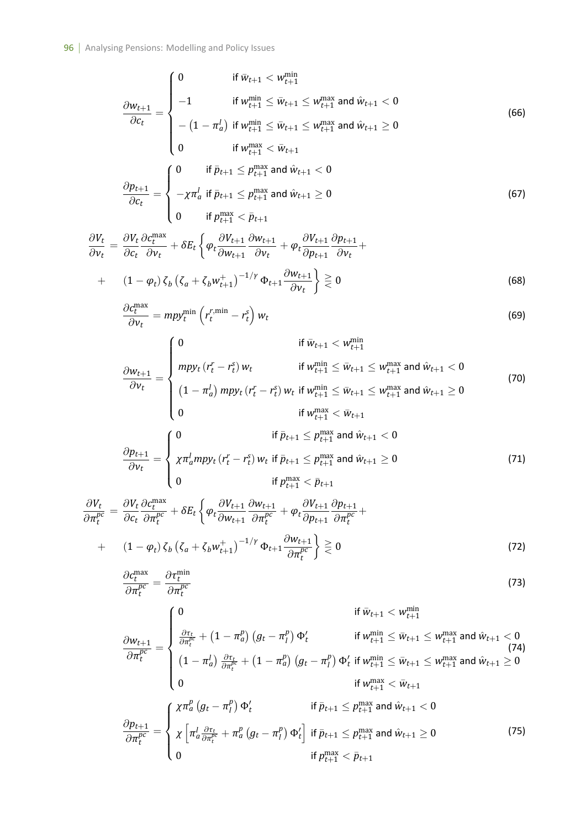$$
\frac{\partial w_{t+1}}{\partial c_t} = \begin{cases}\n0 & \text{if } \bar{w}_{t+1} < w_{t+1}^{\min} \\
-1 & \text{if } w_{t+1}^{\min} \le \bar{w}_{t+1} \le w_{t+1}^{\max} \text{ and } \hat{w}_{t+1} < 0 \\
-(1 - \pi_a^l) & \text{if } w_{t+1}^{\min} \le \bar{w}_{t+1} \le w_{t+1}^{\max} \text{ and } \hat{w}_{t+1} \ge 0 \\
0 & \text{if } w_{t+1}^{\max} < \bar{w}_{t+1} \\
\frac{\partial p_{t+1}}{\partial c_t} = \begin{cases}\n0 & \text{if } \bar{p}_{t+1} \le p_{t+1}^{\max} \text{ and } \hat{w}_{t+1} < 0 \\
-\chi \pi_a^l & \text{if } \bar{p}_{t+1} \le p_{t+1}^{\max} \text{ and } \hat{w}_{t+1} \ge 0 \\
0 & \text{if } p_{t+1}^{\max} < \bar{p}_{t+1}\n\end{cases}\n\end{cases}
$$
\n(67)

$$
\frac{\partial V_t}{\partial v_t} = \frac{\partial V_t}{\partial c_t} \frac{\partial c_t^{\text{max}}}{\partial v_t} + \delta E_t \left\{ \varphi_t \frac{\partial V_{t+1}}{\partial w_{t+1}} \frac{\partial w_{t+1}}{\partial v_t} + \varphi_t \frac{\partial V_{t+1}}{\partial p_{t+1}} \frac{\partial p_{t+1}}{\partial v_t} + \left( 1 - \varphi_t \right) \zeta_b \left( \zeta_a + \zeta_b w_{t+1}^+ \right)^{-1/\gamma} \Phi_{t+1} \frac{\partial w_{t+1}}{\partial v_t} \right\} \geq 0
$$
\n(68)

$$
\frac{\partial c_t^{\max}}{\partial v_t} = m p y_t^{\min} \left( r_t^{r,\min} - r_t^s \right) w_t \tag{69}
$$

$$
\frac{\partial w_{t+1}}{\partial v_t} = \begin{cases}\n0 & \text{if } \bar{w}_{t+1} < w_{t+1}^{\min} \\
mp y_t (r_t^r - r_t^s) w_t & \text{if } w_{t+1}^{\min} \le \bar{w}_{t+1} \le w_{t+1}^{\max} \text{ and } \hat{w}_{t+1} < 0 \\
(1 - \pi_a^l) mp y_t (r_t^r - r_t^s) w_t & \text{if } w_{t+1}^{\min} \le \bar{w}_{t+1} \le w_{t+1}^{\max} \text{ and } \hat{w}_{t+1} \ge 0 \\
0 & \text{if } w_{t+1}^{\max} < \bar{w}_{t+1} \\
\frac{\partial p_{t+1}}{\partial v_t} = \begin{cases}\n0 & \text{if } \bar{p}_{t+1} \le p_{t+1}^{\max} \text{ and } \hat{w}_{t+1} < 0 \\
x \pi_a^l mp y_t (r_t^r - r_t^s) w_t & \text{if } \bar{p}_{t+1} \le p_{t+1}^{\max} \text{ and } \hat{w}_{t+1} \ge 0 \\
0 & \text{if } p_{t+1}^{\max} < \bar{p}_{t+1}\n\end{cases}\n\tag{71}
$$

$$
\frac{\partial V_t}{\partial \pi_t^{pc}} = \frac{\partial V_t}{\partial c_t} \frac{\partial c_t^{max}}{\partial \pi_t^{pc}} + \delta E_t \left\{ \varphi_t \frac{\partial V_{t+1}}{\partial w_{t+1}} \frac{\partial w_{t+1}}{\partial \pi_t^{pc}} + \varphi_t \frac{\partial V_{t+1}}{\partial p_{t+1}} \frac{\partial p_{t+1}}{\partial \pi_t^{pc}} \right\} + (1 - \varphi_t) \zeta_b \left( \zeta_a + \zeta_b w_{t+1}^+ \right)^{-1/\gamma} \Phi_{t+1} \frac{\partial w_{t+1}}{\partial \pi_t^{pc}} \right\} \geq 0
$$
\n(72)

$$
\frac{\partial c_t^{\text{max}}}{\partial \pi_t^{pc}} = \frac{\partial \tau_t^{\text{min}}}{\partial \pi_t^{pc}}
$$
\n(73)

$$
\frac{\partial w_{t+1}}{\partial \pi_t^{p_c}} = \begin{cases}\n0 & \text{if } \bar{w}_{t+1} < w_{t+1}^{\min} \\
\frac{\partial \tau_t}{\partial \pi_t^{p_c}} + (1 - \pi_a^p) (g_t - \pi_t^p) \Phi_t' & \text{if } w_{t+1}^{\min} \le \bar{w}_{t+1} \le w_{t+1}^{\max} \text{ and } \hat{w}_{t+1} < 0 \\
(1 - \pi_a^l) \frac{\partial \tau_t}{\partial \pi_t^{p_c}} + (1 - \pi_a^p) (g_t - \pi_t^p) \Phi_t' & \text{if } w_{t+1}^{\min} \le \bar{w}_{t+1} \le w_{t+1}^{\max} \text{ and } \hat{w}_{t+1} \ge 0 \\
0 & \text{if } w_{t+1}^{\max} < \bar{w}_{t+1}\n\end{cases}
$$
\n
$$
\frac{\partial p_{t+1}}{\partial \pi_t^{p_c}} = \begin{cases}\n\chi \pi_a^p (g_t - \pi_t^p) \Phi_t' & \text{if } \bar{p}_{t+1} \le p_{t+1}^{\max} \text{ and } \hat{w}_{t+1} < 0 \\
\chi \left[ \pi_a^l \frac{\partial \tau_t}{\partial \pi_t^{p_c}} + \pi_a^p (g_t - \pi_t^p) \Phi_t' \right] & \text{if } \bar{p}_{t+1} \le p_{t+1}^{\max} \text{ and } \hat{w}_{t+1} \ge 0 \\
0 & \text{if } p_{t+1}^{\max} < \bar{p}_{t+1}\n\end{cases}
$$
\n(75)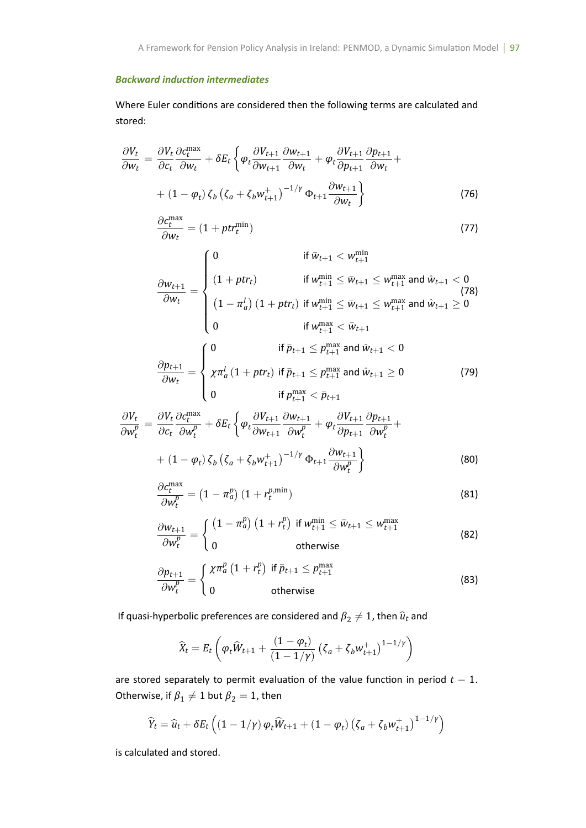## *Backward inducƟon intermediates*

Where Euler conditions are considered then the following terms are calculated and stored:

$$
\frac{\partial V_t}{\partial w_t} = \frac{\partial V_t}{\partial c_t} \frac{\partial c_t^{\text{max}}}{\partial w_t} + \delta E_t \left\{ \varphi_t \frac{\partial V_{t+1}}{\partial w_{t+1}} \frac{\partial w_{t+1}}{\partial w_t} + \varphi_t \frac{\partial V_{t+1}}{\partial p_{t+1}} \frac{\partial p_{t+1}}{\partial w_t} + (1 - \varphi_t) \zeta_b \left( \zeta_a + \zeta_b w_{t+1}^+ \right)^{-1/\gamma} \Phi_{t+1} \frac{\partial w_{t+1}}{\partial w_t} \right\}
$$
(76)

$$
\frac{\partial c_t^{\text{max}}}{\partial w_t} = (1 + pt r_t^{\text{min}}) \tag{77}
$$

$$
\frac{\partial w_{t+1}}{\partial w_t} = \begin{cases}\n0 & \text{if } \bar{w}_{t+1} < w_{t+1}^{\min} \\
(1 + p t r_t) & \text{if } w_{t+1}^{\min} \le \bar{w}_{t+1} \le w_{t+1}^{\max} \text{ and } \hat{w}_{t+1} < 0 \\
(1 - \pi_a^l) (1 + p t r_t) & \text{if } w_{t+1}^{\min} \le \bar{w}_{t+1} \le w_{t+1}^{\max} \text{ and } \hat{w}_{t+1} \ge 0 \\
0 & \text{if } w_{t+1}^{\max} < \bar{w}_{t+1} \\
\frac{\partial p_{t+1}}{\partial w_t} = \begin{cases}\n0 & \text{if } \bar{p}_{t+1} \le p_{t+1}^{\max} \text{ and } \hat{w}_{t+1} < 0 \\
x \pi_a^l (1 + p t r_t) & \text{if } \bar{p}_{t+1} \le p_{t+1}^{\max} \text{ and } \hat{w}_{t+1} \ge 0 \\
0 & \text{if } p_{t+1}^{\max} < \bar{p}_{t+1}\n\end{cases}\n\tag{79}
$$

$$
\frac{\partial V_t}{\partial w_t^p} = \frac{\partial V_t}{\partial c_t} \frac{\partial c_t^{\max}}{\partial w_t^p} + \delta E_t \left\{ \varphi_t \frac{\partial V_{t+1}}{\partial w_{t+1}} \frac{\partial w_{t+1}}{\partial w_t^p} + \varphi_t \frac{\partial V_{t+1}}{\partial p_{t+1}} \frac{\partial p_{t+1}}{\partial w_t^p} + (1 - \varphi_t) \zeta_b \left( \zeta_a + \zeta_b w_{t+1}^+ \right)^{-1/\gamma} \Phi_{t+1} \frac{\partial w_{t+1}}{\partial w_t^p} \right\}
$$
(80)

$$
\frac{\partial c_t^{\max}}{\partial w_t^p} = \left(1 - \pi_a^p\right) \left(1 + r_t^{p, \min}\right) \tag{81}
$$

$$
\frac{\partial w_{t+1}}{\partial w_t^p} = \begin{cases} \left(1 - \pi_a^p\right) \left(1 + r_t^p\right) & \text{if } w_{t+1}^{\min} \le \bar{w}_{t+1} \le w_{t+1}^{\max} \\ 0 & \text{otherwise} \end{cases}
$$
\n(82)

$$
\frac{\partial p_{t+1}}{\partial w_t^p} = \begin{cases} \chi \pi_a^p \left( 1 + r_t^p \right) & \text{if } \bar{p}_{t+1} \le p_{t+1}^{\max} \\ 0 & \text{otherwise} \end{cases}
$$
(83)

If quasi-hyperbolic preferences are considered and  $\pmb{\beta}_2\neq 1$ , then  $\widehat{\pmb{u}}_t$  and

$$
\widehat{X}_t = E_t \left( \varphi_t \widehat{W}_{t+1} + \frac{(1 - \varphi_t)}{(1 - 1/\gamma)} \left( \zeta_a + \zeta_b w_{t+1}^+ \right)^{1 - 1/\gamma} \right)
$$

are stored separately to permit evaluation of the value function in period  $t - 1$ . Otherwise, if  $\beta_1\neq 1$  but  $\beta_2=1$ , then

$$
\widehat{Y}_t = \widehat{u}_t + \delta E_t \left( \left( 1 - 1/\gamma \right) \varphi_t \widehat{W}_{t+1} + \left( 1 - \varphi_t \right) \left( \zeta_a + \zeta_b w_{t+1}^+ \right)^{1 - 1/\gamma} \right)
$$

is calculated and stored.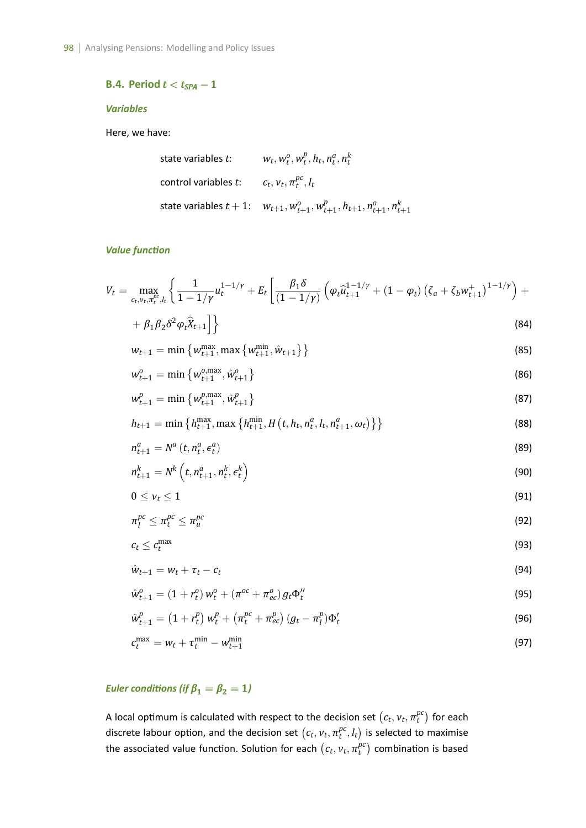## **B.4. Period** *t < tSPA −* 1

## *Variables*

Here, we have:

state variables *t*: 
$$
w_t, w_t^o, w_t^p, h_t, n_t^a, n_t^k
$$
  
control variables *t*: 
$$
c_t, v_t, \pi_t^{pc}, l_t
$$
  
state variables  $t + 1$ : 
$$
w_{t+1}, w_{t+1}^o, w_{t+1}^p, h_{t+1}, n_{t+1}^a, n_{t+1}^k
$$

#### *Value funcƟon*

$$
V_t = \max_{c_t, v_t, \pi_t^{pc}, l_t} \left\{ \frac{1}{1 - 1/\gamma} u_t^{1 - 1/\gamma} + E_t \left[ \frac{\beta_1 \delta}{(1 - 1/\gamma)} \left( \varphi_t \hat{u}_{t+1}^{1 - 1/\gamma} + (1 - \varphi_t) \left( \zeta_a + \zeta_b w_{t+1}^+ \right)^{1 - 1/\gamma} \right) + \right. \right.
$$

$$
+\beta_1\beta_2\delta^2\varphi_t\widehat{X}_{t+1}\Big]\Big\}\tag{84}
$$

$$
w_{t+1} = \min \left\{ w_{t+1}^{\max}, \max \left\{ w_{t+1}^{\min}, \hat{w}_{t+1} \right\} \right\}
$$
\n(85)

$$
w_{t+1}^o = \min \left\{ w_{t+1}^{o, \max}, \hat{w}_{t+1}^o \right\}
$$
 (86)

$$
w_{t+1}^p = \min \left\{ w_{t+1}^{p, \max}, \hat{w}_{t+1}^p \right\}
$$
 (87)

$$
h_{t+1} = \min\left\{h_{t+1}^{\max}, \max\left\{h_{t+1}^{\min}, H\left(t, h_t, n_t^a, l_t, n_{t+1}^a, \omega_t\right)\right\}\right\} \tag{88}
$$

$$
n_{t+1}^a = N^a \left( t, n_t^a, \epsilon_t^a \right) \tag{89}
$$

$$
n_{t+1}^k = N^k \left( t, n_{t+1}^a, n_t^k, \epsilon_t^k \right)
$$
\n
$$
(90)
$$

$$
0\leq \nu_t\leq 1\tag{91}
$$

$$
\pi_l^{pc} \leq \pi_l^{pc} \leq \pi_u^{pc} \tag{92}
$$

$$
c_t \leq c_t^{\max} \tag{93}
$$

$$
\hat{w}_{t+1} = w_t + \tau_t - c_t \tag{94}
$$

$$
\hat{w}_{t+1}^o = (1 + r_t^o) w_t^o + (\pi^{oc} + \pi_{ec}^o) g_t \Phi_t^{\prime\prime}
$$
\n(95)

$$
\hat{w}_{t+1}^p = (1 + r_t^p) w_t^p + (\pi_t^{pc} + \pi_{ec}^p) (g_t - \pi_t^p) \Phi_t'
$$
\n(96)

$$
c_t^{\max} = w_t + \tau_t^{\min} - w_{t+1}^{\min} \tag{97}
$$

# *Euler conditions (if*  $\beta_1 = \beta_2 = 1$ )

A local optimum is calculated with respect to the decision set  $(c_t, v_t, \pi_t^{pc})$  $\binom{pc}{t}$  for each discrete labour option, and the decision set  $(c_t, v_t, \pi_t^{pc})$  $_{t}^{pc}, l_{t}$ ) is selected to maximise the associated value function. Solution for each  $(c_t, v_t, \pi_t^{pc})$  $t^{pc}_{t}$ ) combination is based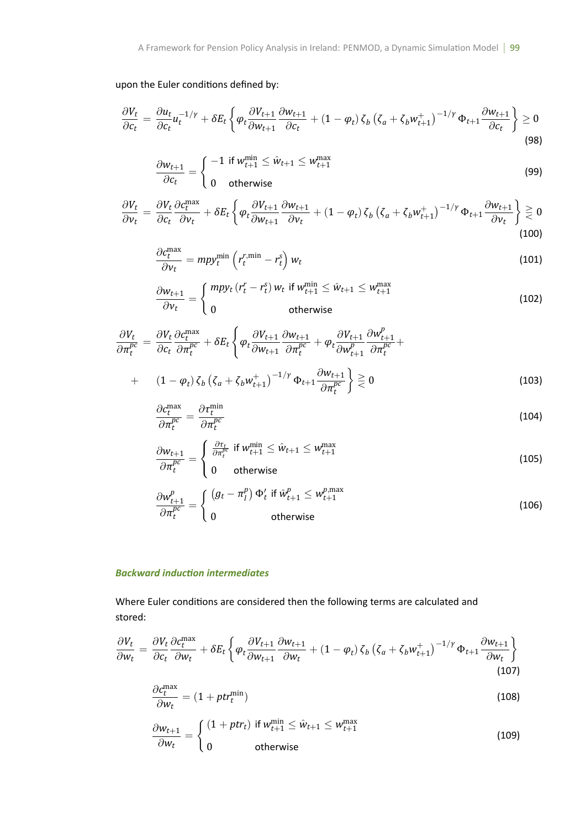# upon the Euler conditions defined by:

$$
\frac{\partial V_t}{\partial c_t} = \frac{\partial u_t}{\partial c_t} u_t^{-1/\gamma} + \delta E_t \left\{ \varphi_t \frac{\partial V_{t+1}}{\partial w_{t+1}} \frac{\partial w_{t+1}}{\partial c_t} + (1 - \varphi_t) \zeta_b \left( \zeta_a + \zeta_b w_{t+1}^+ \right)^{-1/\gamma} \Phi_{t+1} \frac{\partial w_{t+1}}{\partial c_t} \right\} \ge 0
$$
\n(98)

$$
\frac{\partial w_{t+1}}{\partial c_t} = \begin{cases}\n-1 & \text{if } w_{t+1}^{\min} \le \hat{w}_{t+1} \le w_{t+1}^{\max} \\
0 & \text{otherwise}\n\end{cases}
$$
\n(99)

$$
\frac{\partial V_t}{\partial v_t} = \frac{\partial V_t}{\partial c_t} \frac{\partial c_t^{\text{max}}}{\partial v_t} + \delta E_t \left\{ \varphi_t \frac{\partial V_{t+1}}{\partial w_{t+1}} \frac{\partial w_{t+1}}{\partial v_t} + (1 - \varphi_t) \zeta_b \left( \zeta_a + \zeta_b w_{t+1}^+ \right)^{-1/\gamma} \Phi_{t+1} \frac{\partial w_{t+1}}{\partial v_t} \right\} \geq 0
$$
\n(100)

$$
\frac{\partial c_t^{\max}}{\partial v_t} = m p y_t^{\min} \left( r_t^{\text{r,min}} - r_t^{\text{s}} \right) w_t \tag{101}
$$

$$
\frac{\partial w_{t+1}}{\partial v_t} = \begin{cases} mpy_t \left( r_t^r - r_t^s \right) w_t \text{ if } w_{t+1}^{\min} \le \hat{w}_{t+1} \le w_{t+1}^{\max} \\ 0 \qquad \qquad \text{otherwise} \end{cases}
$$
\n(102)

$$
\frac{\partial V_t}{\partial \pi_t^{pc}} = \frac{\partial V_t}{\partial c_t} \frac{\partial c_t^{max}}{\partial \pi_t^{pc}} + \delta E_t \left\{ \varphi_t \frac{\partial V_{t+1}}{\partial w_{t+1}} \frac{\partial w_{t+1}}{\partial \pi_t^{pc}} + \varphi_t \frac{\partial V_{t+1}}{\partial w_{t+1}^p} \frac{\partial w_{t+1}^p}{\partial \pi_t^{pc}} \right\} + (1 - \varphi_t) \zeta_b \left( \zeta_a + \zeta_b w_{t+1}^+ \right)^{-1/\gamma} \Phi_{t+1} \frac{\partial w_{t+1}}{\partial \pi_t^{pc}} \right\} \geq 0
$$
\n(103)

$$
\frac{\partial c_t^{\text{max}}}{\partial \pi_t^{pc}} = \frac{\partial \tau_t^{\text{min}}}{\partial \pi_t^{pc}}
$$
\n(104)

$$
\frac{\partial w_{t+1}}{\partial \pi_t^{pc}} = \begin{cases} \frac{\partial \tau_t}{\partial \pi_t^{pc}} & \text{if } w_{t+1}^{\min} \leq \hat{w}_{t+1} \leq w_{t+1}^{\max} \\ 0 & \text{otherwise} \end{cases}
$$
(105)

$$
\frac{\partial w_{t+1}^p}{\partial \pi_t^{pc}} = \begin{cases} (g_t - \pi_l^p) \Phi_t' & \text{if } \hat{w}_{t+1}^p \le w_{t+1}^{p, \text{max}} \\ 0 & \text{otherwise} \end{cases}
$$
(106)

## *Backward inducƟon intermediates*

Where Euler conditions are considered then the following terms are calculated and stored:

$$
\frac{\partial V_t}{\partial w_t} = \frac{\partial V_t}{\partial c_t} \frac{\partial c_t^{\text{max}}}{\partial w_t} + \delta E_t \left\{ \varphi_t \frac{\partial V_{t+1}}{\partial w_{t+1}} \frac{\partial w_{t+1}}{\partial w_t} + (1 - \varphi_t) \zeta_b \left( \zeta_a + \zeta_b w_{t+1}^+ \right)^{-1/\gamma} \Phi_{t+1} \frac{\partial w_{t+1}}{\partial w_t} \right\}
$$
\n(107)

$$
\frac{\partial c_t^{\text{max}}}{\partial w_t} = (1 + pt_t^{\text{min}}) \tag{108}
$$

$$
\frac{\partial w_{t+1}}{\partial w_t} = \begin{cases} (1 + ptr_t) & \text{if } w_{t+1}^{\min} \le \hat{w}_{t+1} \le w_{t+1}^{\max} \\ 0 & \text{otherwise} \end{cases}
$$
(109)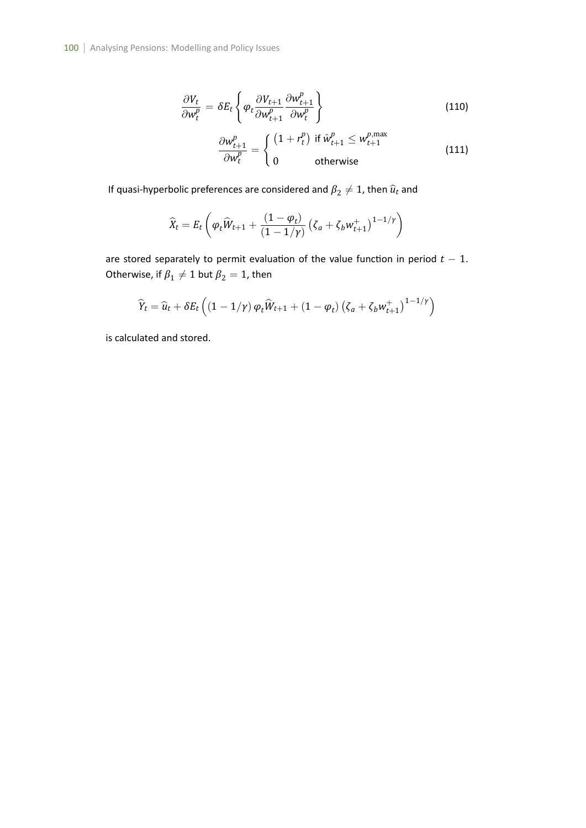$$
\frac{\partial V_t}{\partial w_t^p} = \delta E_t \left\{ \varphi_t \frac{\partial V_{t+1}}{\partial w_{t+1}^p} \frac{\partial w_{t+1}^p}{\partial w_t^p} \right\}
$$
(110)

$$
\frac{\partial w_{t+1}^p}{\partial w_t^p} = \begin{cases} (1+r_t^p) & \text{if } \hat{w}_{t+1}^p \le w_{t+1}^{p,\text{max}} \\ 0 & \text{otherwise} \end{cases}
$$
(111)

If quasi-hyperbolic preferences are considered and  $\beta_2\neq 1$ , then  $\widehat{u}_t$  and

$$
\widehat{X}_t = E_t \left( \varphi_t \widehat{W}_{t+1} + \frac{(1 - \varphi_t)}{(1 - 1/\gamma)} \left( \zeta_a + \zeta_b w_{t+1}^+ \right)^{1 - 1/\gamma} \right)
$$

are stored separately to permit evaluation of the value function in period  $t - 1$ . Otherwise, if  $\pmb{\beta}_1 \neq 1$  but  $\pmb{\beta}_2 = 1$ , then

$$
\widehat{Y}_t = \widehat{u}_t + \delta E_t \left( \left( 1 - 1/\gamma \right) \varphi_t \widehat{W}_{t+1} + \left( 1 - \varphi_t \right) \left( \zeta_a + \zeta_b w_{t+1}^+ \right)^{1 - 1/\gamma} \right)
$$

is calculated and stored.